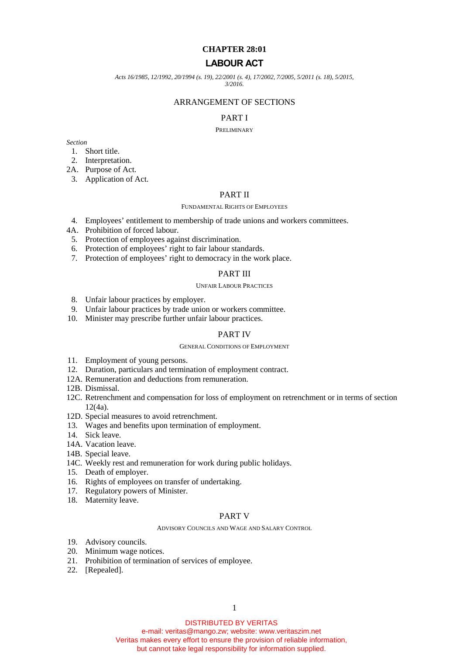# **CHAPTER 28:01**

# **LABOUR ACT**

*Acts 16/1985, 12/1992, 20/1994 (s. 19), 22/2001 (s. 4), 17/2002, 7/2005, 5/2011 (s. 18), 5/2015,*

*3/2016.*

# ARRANGEMENT OF SECTIONS

### PART I

#### PRELIMINARY

*Section*

- 1. Short title.
- 2. Interpretation.

2A. Purpose of Act.

3. Application of Act.

# PART II

#### FUNDAMENTAL RIGHTS OF EMPLOYEES

- 4. Employees' entitlement to membership of trade unions and workers committees.
- 4A. Prohibition of forced labour.
- 5. Protection of employees against discrimination.
- 6. Protection of employees' right to fair labour standards.
- 7. Protection of employees' right to democracy in the work place.

### PART III

### UNFAIR LABOUR PRACTICES

- 8. Unfair labour practices by employer.
- 9. Unfair labour practices by trade union or workers committee.
- 10. Minister may prescribe further unfair labour practices.

### PART IV

### GENERAL CONDITIONS OF EMPLOYMENT

- 11. Employment of young persons.
- 12. Duration, particulars and termination of employment contract.
- 12A. Remuneration and deductions from remuneration.
- 12B. Dismissal.
- 12C. Retrenchment and compensation for loss of employment on retrenchment or in terms of section 12(4a).
- 12D. Special measures to avoid retrenchment.
- 13. Wages and benefits upon termination of employment.
- 14. Sick leave.
- 14A. Vacation leave.
- 14B. Special leave.
- 14C. Weekly rest and remuneration for work during public holidays.
- 15. Death of employer.
- 16. Rights of employees on transfer of undertaking.
- 17. Regulatory powers of Minister.
- 18. Maternity leave.

# PART V

#### ADVISORY COUNCILS AND WAGE AND SALARY CONTROL

- 19. Advisory councils.
- 20. Minimum wage notices.
- 21. Prohibition of termination of services of employee.
- 22. [Repealed].

DISTRIBUTED BY VERITAS

e-mail: veritas@mango.zw; website: www.veritaszim.net Veritas makes every effort to ensure the provision of reliable information, but cannot take legal responsibility for information supplied.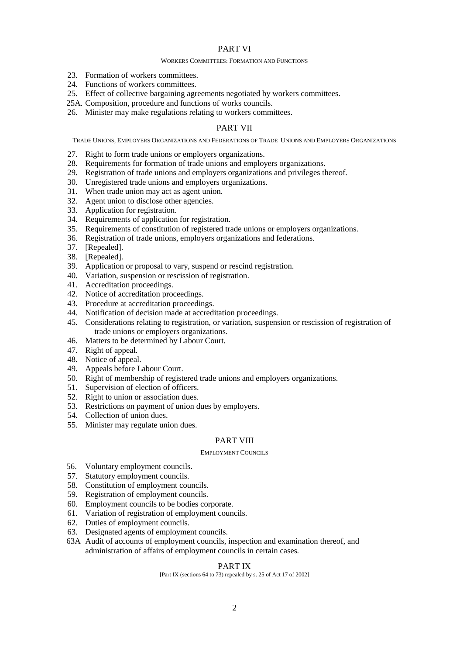# PART VI

#### WORKERS COMMITTEES: FORMATION AND FUNCTIONS

- 23. Formation of workers committees.
- 24. Functions of workers committees.
- 25. Effect of collective bargaining agreements negotiated by workers committees.
- 25A. Composition, procedure and functions of works councils.
- 26. Minister may make regulations relating to workers committees.

# PART VII

TRADE UNIONS, EMPLOYERS ORGANIZATIONS AND FEDERATIONS OF TRADE UNIONS AND EMPLOYERS ORGANIZATIONS

- 27. Right to form trade unions or employers organizations.
- 28. Requirements for formation of trade unions and employers organizations.
- 29. Registration of trade unions and employers organizations and privileges thereof.
- 30. Unregistered trade unions and employers organizations.
- 31. When trade union may act as agent union.
- 32. Agent union to disclose other agencies.
- 33. Application for registration.
- 34. Requirements of application for registration.
- 35. Requirements of constitution of registered trade unions or employers organizations.
- 36. Registration of trade unions, employers organizations and federations.
- 37. [Repealed].
- 38. [Repealed].
- 39. Application or proposal to vary, suspend or rescind registration.
- 40. Variation, suspension or rescission of registration.
- 41. Accreditation proceedings.
- 42. Notice of accreditation proceedings.
- 43. Procedure at accreditation proceedings.
- 44. Notification of decision made at accreditation proceedings.
- 45. Considerations relating to registration, or variation, suspension or rescission of registration of trade unions or employers organizations.
- 46. Matters to be determined by Labour Court.
- 47. Right of appeal.
- 48. Notice of appeal.
- 49. Appeals before Labour Court.
- 50. Right of membership of registered trade unions and employers organizations.
- 51. Supervision of election of officers.
- 52. Right to union or association dues.
- 53. Restrictions on payment of union dues by employers.
- 54. Collection of union dues.
- 55. Minister may regulate union dues.

# PART VIII

#### EMPLOYMENT COUNCILS

- 56. Voluntary employment councils.
- 57. Statutory employment councils.
- 58. Constitution of employment councils.
- 59. Registration of employment councils.
- 60. Employment councils to be bodies corporate.
- 61. Variation of registration of employment councils.
- 62. Duties of employment councils.
- 63. Designated agents of employment councils.
- 63A Audit of accounts of employment councils, inspection and examination thereof, and administration of affairs of employment councils in certain cases.

# PART IX

[Part IX (sections 64 to 73) repealed by s. 25 of Act 17 of 2002]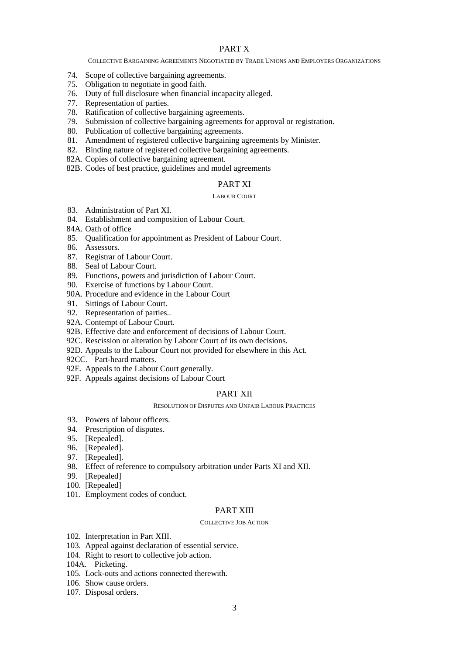# PART X

#### COLLECTIVE BARGAINING AGREEMENTS NEGOTIATED BY TRADE UNIONS AND EMPLOYERS ORGANIZATIONS

- 74. Scope of collective bargaining agreements.
- 75. Obligation to negotiate in good faith.
- 76. Duty of full disclosure when financial incapacity alleged.
- 77. Representation of parties.
- 78. Ratification of collective bargaining agreements.
- 79. Submission of collective bargaining agreements for approval or registration.
- 80. Publication of collective bargaining agreements.
- 81. Amendment of registered collective bargaining agreements by Minister.
- 82. Binding nature of registered collective bargaining agreements.
- 82A. Copies of collective bargaining agreement.
- 82B. Codes of best practice, guidelines and model agreements

# PART XI

#### LABOUR COURT

- 83. Administration of Part XI.
- 84. Establishment and composition of Labour Court.
- 84A. Oath of office
- 85. Qualification for appointment as President of Labour Court.
- 86. Assessors.
- 87. Registrar of Labour Court.
- 88. Seal of Labour Court.
- 89. Functions, powers and jurisdiction of Labour Court.
- 90. Exercise of functions by Labour Court.
- 90A. Procedure and evidence in the Labour Court
- 91. Sittings of Labour Court.
- 92. Representation of parties..
- 92A. Contempt of Labour Court.
- 92B. Effective date and enforcement of decisions of Labour Court.
- 92C. Rescission or alteration by Labour Court of its own decisions.
- 92D. Appeals to the Labour Court not provided for elsewhere in this Act.
- 92CC. Part-heard matters.
- 92E. Appeals to the Labour Court generally.
- 92F. Appeals against decisions of Labour Court

### PART XII

#### RESOLUTION OF DISPUTES AND UNFAIR LABOUR PRACTICES

- 93. Powers of labour officers.
- 94. Prescription of disputes.
- 95. [Repealed].
- 96. [Repealed].
- 97. [Repealed].
- 98. Effect of reference to compulsory arbitration under Parts XI and XII.
- 99. [Repealed]
- 100. [Repealed]
- 101. Employment codes of conduct.

# PART XIII

#### COLLECTIVE JOB ACTION

- 102. Interpretation in Part XIII.
- 103. Appeal against declaration of essential service.
- 104. Right to resort to collective job action.
- 104A. Picketing.
- 105. Lock-outs and actions connected therewith.
- 106. Show cause orders.
- 107. Disposal orders.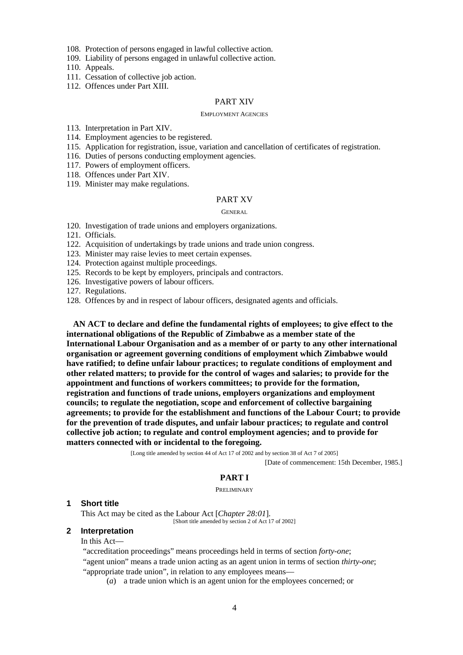108. Protection of persons engaged in lawful collective action.

109. Liability of persons engaged in unlawful collective action.

110. Appeals.

- 111. Cessation of collective job action.
- 112. Offences under Part XIII.

#### PART XIV

#### EMPLOYMENT AGENCIES

- 113. Interpretation in Part XIV.
- 114. Employment agencies to be registered.
- 115. Application for registration, issue, variation and cancellation of certificates of registration.
- 116. Duties of persons conducting employment agencies.
- 117. Powers of employment officers.
- 118. Offences under Part XIV.
- 119. Minister may make regulations.

### PART XV

#### **GENERAL**

- 120. Investigation of trade unions and employers organizations.
- 121. Officials.
- 122. Acquisition of undertakings by trade unions and trade union congress.
- 123. Minister may raise levies to meet certain expenses.
- 124. Protection against multiple proceedings.
- 125. Records to be kept by employers, principals and contractors.
- 126. Investigative powers of labour officers.
- 127. Regulations.
- 128. Offences by and in respect of labour officers, designated agents and officials.

**AN ACT to declare and define the fundamental rights of employees; to give effect to the international obligations of the Republic of Zimbabwe as a member state of the International Labour Organisation and as a member of or party to any other international organisation or agreement governing conditions of employment which Zimbabwe would have ratified; to define unfair labour practices; to regulate conditions of employment and other related matters; to provide for the control of wages and salaries; to provide for the appointment and functions of workers committees; to provide for the formation, registration and functions of trade unions, employers organizations and employment councils; to regulate the negotiation, scope and enforcement of collective bargaining agreements; to provide for the establishment and functions of the Labour Court; to provide for the prevention of trade disputes, and unfair labour practices; to regulate and control collective job action; to regulate and control employment agencies; and to provide for matters connected with or incidental to the foregoing.**

[Long title amended by section 44 of Act 17 of 2002 and by section 38 of Act 7 of 2005]

[Date of commencement: 15th December, 1985.]

## **PART I**

PRELIMINARY

#### **1 Short title**

This Act may be cited as the Labour Act [*Chapter 28:01*].

[Short title amended by section 2 of Act 17 of 2002]

# **2 Interpretation**

In this Act—

"accreditation proceedings" means proceedings held in terms of section *forty-one*; "agent union" means a trade union acting as an agent union in terms of section *thirty-one*; "appropriate trade union", in relation to any employees means—

(*a*) a trade union which is an agent union for the employees concerned; or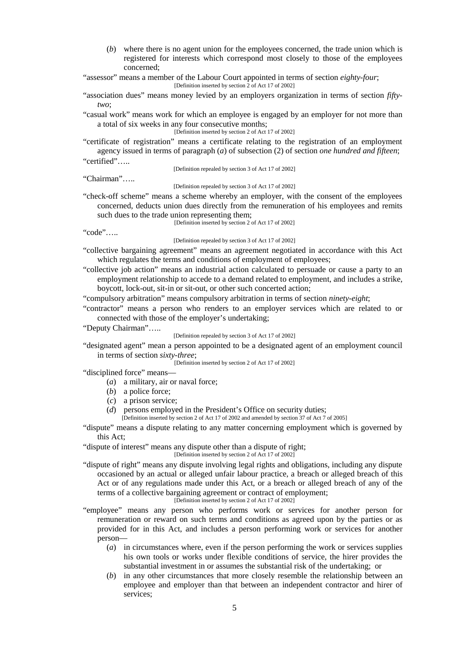(*b*) where there is no agent union for the employees concerned, the trade union which is registered for interests which correspond most closely to those of the employees concerned;

"assessor" means a member of the Labour Court appointed in terms of section *eighty-four*; [Definition inserted by section 2 of Act 17 of 2002]

"association dues" means money levied by an employers organization in terms of section *fiftytwo*;

"casual work" means work for which an employee is engaged by an employer for not more than a total of six weeks in any four consecutive months;

[Definition inserted by section 2 of Act 17 of 2002]

"certificate of registration" means a certificate relating to the registration of an employment agency issued in terms of paragraph (*a*) of subsection (2) of section *one hundred and fifteen*; "certified"…..

[Definition repealed by section 3 of Act 17 of 2002]

"Chairman"…..

[Definition repealed by section 3 of Act 17 of 2002]

"check-off scheme" means a scheme whereby an employer, with the consent of the employees concerned, deducts union dues directly from the remuneration of his employees and remits such dues to the trade union representing them;

[Definition inserted by section 2 of Act 17 of 2002]

"code"…..

[Definition repealed by section 3 of Act 17 of 2002]

- "collective bargaining agreement" means an agreement negotiated in accordance with this Act which regulates the terms and conditions of employment of employees;
- "collective job action" means an industrial action calculated to persuade or cause a party to an employment relationship to accede to a demand related to employment, and includes a strike, boycott, lock-out, sit-in or sit-out, or other such concerted action;

"compulsory arbitration" means compulsory arbitration in terms of section *ninety-eight*;

"contractor" means a person who renders to an employer services which are related to or connected with those of the employer's undertaking;

"Deputy Chairman"…..

[Definition repealed by section 3 of Act 17 of 2002]

"designated agent" mean a person appointed to be a designated agent of an employment council in terms of section *sixty-three*;

[Definition inserted by section 2 of Act 17 of 2002]

"disciplined force" means—

- (*a*) a military, air or naval force;
- (*b*) a police force;
- (*c*) a prison service;
- (*d*) persons employed in the President's Office on security duties;

[Definition inserted by section 2 of Act 17 of 2002 and amended by section 37 of Act 7 of 2005]

"dispute" means a dispute relating to any matter concerning employment which is governed by this Act;

"dispute of interest" means any dispute other than a dispute of right;

[Definition inserted by section 2 of Act 17 of 2002]

- "dispute of right" means any dispute involving legal rights and obligations, including any dispute occasioned by an actual or alleged unfair labour practice, a breach or alleged breach of this Act or of any regulations made under this Act, or a breach or alleged breach of any of the terms of a collective bargaining agreement or contract of employment; [Definition inserted by section 2 of Act 17 of 2002]
- "employee" means any person who performs work or services for another person for remuneration or reward on such terms and conditions as agreed upon by the parties or as provided for in this Act, and includes a person performing work or services for another person—
	- (*a*) in circumstances where, even if the person performing the work or services supplies his own tools or works under flexible conditions of service, the hirer provides the substantial investment in or assumes the substantial risk of the undertaking; or
	- (*b*) in any other circumstances that more closely resemble the relationship between an employee and employer than that between an independent contractor and hirer of services;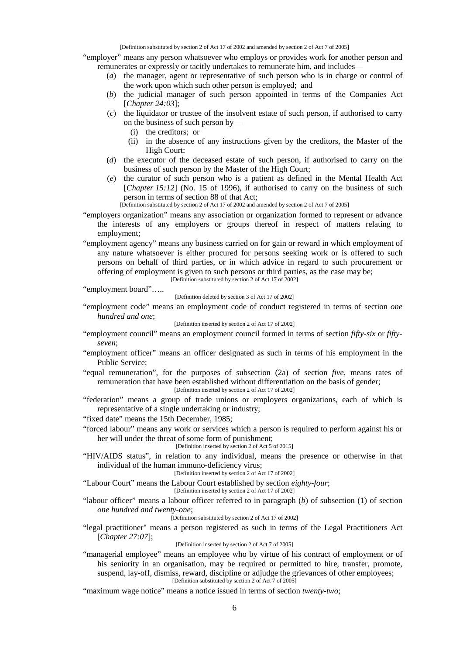[Definition substituted by section 2 of Act 17 of 2002 and amended by section 2 of Act 7 of 2005]

"employer" means any person whatsoever who employs or provides work for another person and remunerates or expressly or tacitly undertakes to remunerate him, and includes—

- (*a*) the manager, agent or representative of such person who is in charge or control of the work upon which such other person is employed; and
- (*b*) the judicial manager of such person appointed in terms of the Companies Act [*Chapter 24:03*];
- (*c*) the liquidator or trustee of the insolvent estate of such person, if authorised to carry on the business of such person by—
	- (i) the creditors; or
	- (ii) in the absence of any instructions given by the creditors, the Master of the High Court;
- (*d*) the executor of the deceased estate of such person, if authorised to carry on the business of such person by the Master of the High Court;
- (*e*) the curator of such person who is a patient as defined in the Mental Health Act [*Chapter 15:12*] (No. 15 of 1996), if authorised to carry on the business of such person in terms of section 88 of that Act;

[Definition substituted by section 2 of Act 17 of 2002 and amended by section 2 of Act 7 of 2005]

- "employers organization" means any association or organization formed to represent or advance the interests of any employers or groups thereof in respect of matters relating to employment;
- "employment agency" means any business carried on for gain or reward in which employment of any nature whatsoever is either procured for persons seeking work or is offered to such persons on behalf of third parties, or in which advice in regard to such procurement or offering of employment is given to such persons or third parties, as the case may be; [Definition substituted by section 2 of Act 17 of 2002]

"employment board"…..

[Definition deleted by section 3 of Act 17 of 2002]

"employment code" means an employment code of conduct registered in terms of section *one hundred and one*;

[Definition inserted by section 2 of Act 17 of 2002]

- "employment council" means an employment council formed in terms of section *fifty-six* or *fifty seven*;
- "employment officer" means an officer designated as such in terms of his employment in the Public Service;
- "equal remuneration", for the purposes of subsection (2a) of section *five*, means rates of remuneration that have been established without differentiation on the basis of gender; [Definition inserted by section 2 of Act 17 of 2002]

"federation" means a group of trade unions or employers organizations, each of which is representative of a single undertaking or industry;

"fixed date" means the 15th December, 1985;

"forced labour" means any work or services which a person is required to perform against his or her will under the threat of some form of punishment;

[Definition inserted by section 2 of Act 5 of 2015]

"HIV/AIDS status", in relation to any individual, means the presence or otherwise in that individual of the human immuno-deficiency virus;

[Definition inserted by section 2 of Act 17 of 2002]

"Labour Court" means the Labour Court established by section *eighty-four*;

[Definition inserted by section 2 of Act 17 of 2002]

"labour officer" means a labour officer referred to in paragraph (*b*) of subsection (1) of section *one hundred and twenty-one*;

[Definition substituted by section 2 of Act 17 of 2002]

"legal practitioner" means a person registered as such in terms of the Legal Practitioners Act [*Chapter 27:07*];

[Definition inserted by section 2 of Act 7 of 2005]

"managerial employee" means an employee who by virtue of his contract of employment or of his seniority in an organisation, may be required or permitted to hire, transfer, promote, suspend, lay-off, dismiss, reward, discipline or adjudge the grievances of other employees; [Definition substituted by section 2 of Act 7 of 2005]

"maximum wage notice" means a notice issued in terms of section *twenty-two*;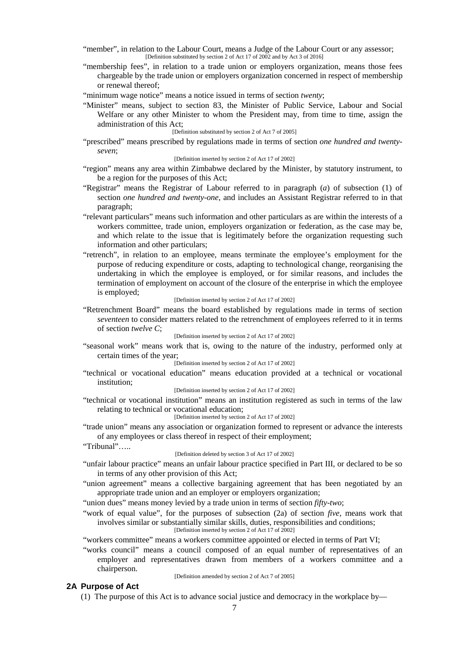"member", in relation to the Labour Court, means a Judge of the Labour Court or any assessor; [Definition substituted by section 2 of Act 17 of 2002 and by Act 3 of 2016]

"membership fees", in relation to a trade union or employers organization, means those fees chargeable by the trade union or employers organization concerned in respect of membership or renewal thereof;

"minimum wage notice" means a notice issued in terms of section *twenty*;

"Minister" means, subject to section 83, the Minister of Public Service, Labour and Social Welfare or any other Minister to whom the President may, from time to time, assign the administration of this Act;

## [Definition substituted by section 2 of Act 7 of 2005]

"prescribed" means prescribed by regulations made in terms of section *one hundred and twenty seven*;

## [Definition inserted by section 2 of Act 17 of 2002]

- "region" means any area within Zimbabwe declared by the Minister, by statutory instrument, to be a region for the purposes of this Act;
- "Registrar" means the Registrar of Labour referred to in paragraph (*a*) of subsection (1) of section *one hundred and twenty-one*, and includes an Assistant Registrar referred to in that paragraph;
- "relevant particulars" means such information and other particulars as are within the interests of a workers committee, trade union, employers organization or federation, as the case may be, and which relate to the issue that is legitimately before the organization requesting such information and other particulars;
- "retrench", in relation to an employee, means terminate the employee's employment for the purpose of reducing expenditure or costs, adapting to technological change, reorganising the undertaking in which the employee is employed, or for similar reasons, and includes the termination of employment on account of the closure of the enterprise in which the employee is employed;

#### [Definition inserted by section 2 of Act 17 of 2002]

"Retrenchment Board" means the board established by regulations made in terms of section *seventeen* to consider matters related to the retrenchment of employees referred to it in terms of section *twelve C*;

### [Definition inserted by section 2 of Act 17 of 2002]

"seasonal work" means work that is, owing to the nature of the industry, performed only at certain times of the year;

[Definition inserted by section 2 of Act 17 of 2002]

"technical or vocational education" means education provided at a technical or vocational institution;

#### [Definition inserted by section 2 of Act 17 of 2002]

"technical or vocational institution" means an institution registered as such in terms of the law relating to technical or vocational education;

### [Definition inserted by section 2 of Act 17 of 2002]

- "trade union" means any association or organization formed to represent or advance the interests of any employees or class thereof in respect of their employment;
- "Tribunal"…..

#### [Definition deleted by section 3 of Act 17 of 2002]

- "unfair labour practice" means an unfair labour practice specified in Part III, or declared to be so in terms of any other provision of this Act;
- "union agreement" means a collective bargaining agreement that has been negotiated by an appropriate trade union and an employer or employers organization;
- "union dues" means money levied by a trade union in terms of section *fifty-two*;
- "work of equal value", for the purposes of subsection (2a) of section *five*, means work that involves similar or substantially similar skills, duties, responsibilities and conditions; [Definition inserted by section 2 of Act 17 of 2002]

"workers committee" means a workers committee appointed or elected in terms of Part VI;

"works council" means a council composed of an equal number of representatives of an employer and representatives drawn from members of a workers committee and a chairperson. [Definition amended by section 2 of Act 7 of 2005]

#### **2A Purpose of Act**

(1) The purpose of this Act is to advance social justice and democracy in the workplace by—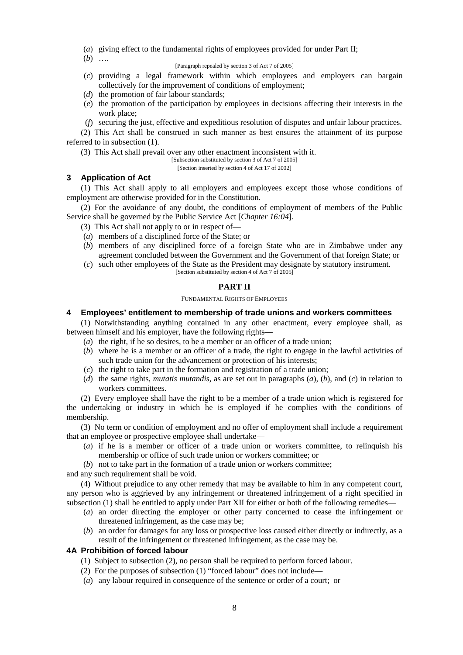- (*a*) giving effect to the fundamental rights of employees provided for under Part II;
- (*b*) ….

### [Paragraph repealed by section 3 of Act 7 of 2005]

- (*c*) providing a legal framework within which employees and employers can bargain collectively for the improvement of conditions of employment;
- (*d*) the promotion of fair labour standards;
- (*e*) the promotion of the participation by employees in decisions affecting their interests in the work place;
- (*f*) securing the just, effective and expeditious resolution of disputes and unfair labour practices.

(2) This Act shall be construed in such manner as best ensures the attainment of its purpose referred to in subsection (1).

(3) This Act shall prevail over any other enactment inconsistent with it.

[Subsection substituted by section 3 of Act 7 of 2005]

[Section inserted by section 4 of Act 17 of 2002]

## **3 Application of Act**

(1) This Act shall apply to all employers and employees except those whose conditions of employment are otherwise provided for in the Constitution.

(2) For the avoidance of any doubt, the conditions of employment of members of the Public Service shall be governed by the Public Service Act [*Chapter 16:04*]*.*

- (3) This Act shall not apply to or in respect of—
- (*a*) members of a disciplined force of the State; or
- (*b*) members of any disciplined force of a foreign State who are in Zimbabwe under any agreement concluded between the Government and the Government of that foreign State; or
- (*c*) such other employees of the State as the President may designate by statutory instrument. [Section substituted by section 4 of Act 7 of 2005]

#### **PART II**

FUNDAMENTAL RIGHTS OF EMPLOYEES

## **4 Employees' entitlement to membership of trade unions and workers committees**

(1) Notwithstanding anything contained in any other enactment, every employee shall, as between himself and his employer, have the following rights—

- (*a*) the right, if he so desires, to be a member or an officer of a trade union;
- (*b*) where he is a member or an officer of a trade, the right to engage in the lawful activities of such trade union for the advancement or protection of his interests;
- (*c*) the right to take part in the formation and registration of a trade union;
- (*d*) the same rights, *mutatis mutandis*, as are set out in paragraphs (*a*), (*b*), and (*c*) in relation to workers committees.

(2) Every employee shall have the right to be a member of a trade union which is registered for the undertaking or industry in which he is employed if he complies with the conditions of membership.

(3) No term or condition of employment and no offer of employment shall include a requirement that an employee or prospective employee shall undertake—

- (*a*) if he is a member or officer of a trade union or workers committee, to relinquish his membership or office of such trade union or workers committee; or
- (*b*) not to take part in the formation of a trade union or workers committee;

and any such requirement shall be void.

(4) Without prejudice to any other remedy that may be available to him in any competent court, any person who is aggrieved by any infringement or threatened infringement of a right specified in subsection (1) shall be entitled to apply under Part XII for either or both of the following remedies—

- (*a*) an order directing the employer or other party concerned to cease the infringement or threatened infringement, as the case may be;
- (*b*) an order for damages for any loss or prospective loss caused either directly or indirectly, as a result of the infringement or threatened infringement, as the case may be.

#### **4A Prohibition of forced labour**

- (1) Subject to subsection (2), no person shall be required to perform forced labour.
- (2) For the purposes of subsection (1) "forced labour" does not include—
- (*a*) any labour required in consequence of the sentence or order of a court; or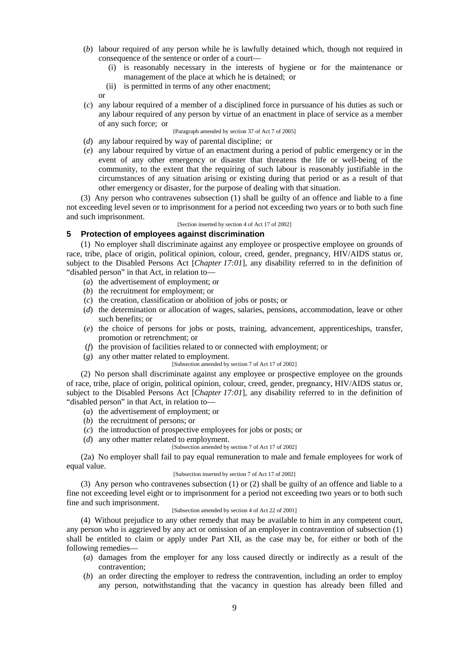- (*b*) labour required of any person while he is lawfully detained which, though not required in consequence of the sentence or order of a court—
	- (i) is reasonably necessary in the interests of hygiene or for the maintenance or management of the place at which he is detained; or
	- (ii) is permitted in terms of any other enactment;

or

(*c*) any labour required of a member of a disciplined force in pursuance of his duties as such or any labour required of any person by virtue of an enactment in place of service as a member of any such force; or

## [Paragraph amended by section 37 of Act 7 of 2005]

- (*d*) any labour required by way of parental discipline; or
- (*e*) any labour required by virtue of an enactment during a period of public emergency or in the event of any other emergency or disaster that threatens the life or well-being of the community, to the extent that the requiring of such labour is reasonably justifiable in the circumstances of any situation arising or existing during that period or as a result of that other emergency or disaster, for the purpose of dealing with that situation.

(3) Any person who contravenes subsection (1) shall be guilty of an offence and liable to a fine not exceeding level seven or to imprisonment for a period not exceeding two years or to both such fine and such imprisonment.

[Section inserted by section 4 of Act 17 of 2002]

# **5 Protection of employees against discrimination**

(1) No employer shall discriminate against any employee or prospective employee on grounds of race, tribe, place of origin, political opinion, colour, creed, gender, pregnancy, HIV/AIDS status or, subject to the Disabled Persons Act [*Chapter 17:01*], any disability referred to in the definition of "disabled person" in that Act, in relation to—

- (*a*) the advertisement of employment; or
- (*b*) the recruitment for employment; or
- (*c*) the creation, classification or abolition of jobs or posts; or
- (*d*) the determination or allocation of wages, salaries, pensions, accommodation, leave or other such benefits; or
- (*e*) the choice of persons for jobs or posts, training, advancement, apprenticeships, transfer, promotion or retrenchment; or
- (*f*) the provision of facilities related to or connected with employment; or
- (*g*) any other matter related to employment.
	- [Subsection amended by section 7 of Act 17 of 2002]

(2) No person shall discriminate against any employee or prospective employee on the grounds of race, tribe, place of origin, political opinion, colour, creed, gender, pregnancy, HIV/AIDS status or, subject to the Disabled Persons Act [*Chapter 17:01*], any disability referred to in the definition of "disabled person" in that Act, in relation to—

- (*a*) the advertisement of employment; or
- (*b*) the recruitment of persons; or
- (*c*) the introduction of prospective employees for jobs or posts; or
- (*d*) any other matter related to employment.
	- [Subsection amended by section 7 of Act 17 of 2002]

(2a) No employer shall fail to pay equal remuneration to male and female employees for work of equal value.

## [Subsection inserted by section 7 of Act 17 of 2002]

(3) Any person who contravenes subsection (1) or (2) shall be guilty of an offence and liable to a fine not exceeding level eight or to imprisonment for a period not exceeding two years or to both such fine and such imprisonment.

#### [Subsection amended by section 4 of Act 22 of 2001]

(4) Without prejudice to any other remedy that may be available to him in any competent court, any person who is aggrieved by any act or omission of an employer in contravention of subsection (1) shall be entitled to claim or apply under Part XII, as the case may be, for either or both of the following remedies—

- (*a*) damages from the employer for any loss caused directly or indirectly as a result of the contravention;
- (*b*) an order directing the employer to redress the contravention, including an order to employ any person, notwithstanding that the vacancy in question has already been filled and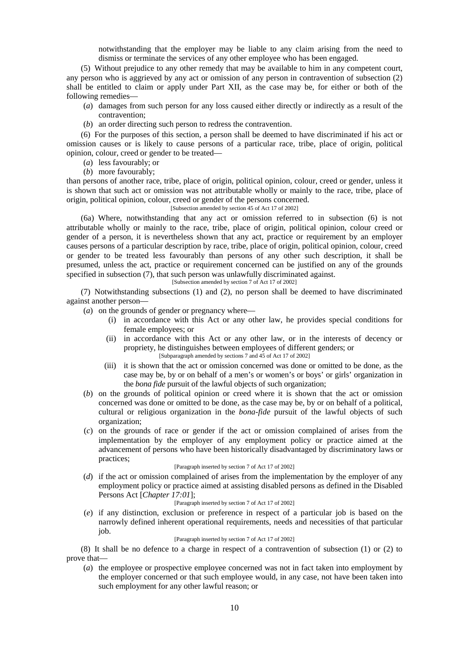notwithstanding that the employer may be liable to any claim arising from the need to dismiss or terminate the services of any other employee who has been engaged.

(5) Without prejudice to any other remedy that may be available to him in any competent court, any person who is aggrieved by any act or omission of any person in contravention of subsection (2) shall be entitled to claim or apply under Part XII, as the case may be, for either or both of the following remedies—

- (*a*) damages from such person for any loss caused either directly or indirectly as a result of the contravention;
- (*b*) an order directing such person to redress the contravention.

(6) For the purposes of this section, a person shall be deemed to have discriminated if his act or omission causes or is likely to cause persons of a particular race, tribe, place of origin, political opinion, colour, creed or gender to be treated—

- (*a*) less favourably; or
- (*b*) more favourably;

than persons of another race, tribe, place of origin, political opinion, colour, creed or gender, unless it is shown that such act or omission was not attributable wholly or mainly to the race, tribe, place of origin, political opinion, colour, creed or gender of the persons concerned.

### [Subsection amended by section 45 of Act 17 of 2002]

(6a) Where, notwithstanding that any act or omission referred to in subsection (6) is not attributable wholly or mainly to the race, tribe, place of origin, political opinion, colour creed or gender of a person, it is nevertheless shown that any act, practice or requirement by an employer causes persons of a particular description by race, tribe, place of origin, political opinion, colour, creed or gender to be treated less favourably than persons of any other such description, it shall be presumed, unless the act, practice or requirement concerned can be justified on any of the grounds specified in subsection (7), that such person was unlawfully discriminated against.

[Subsection amended by section 7 of Act 17 of 2002]

(7) Notwithstanding subsections (1) and (2), no person shall be deemed to have discriminated against another person—

(*a*) on the grounds of gender or pregnancy where—

- (i) in accordance with this Act or any other law, he provides special conditions for female employees; or
- (ii) in accordance with this Act or any other law, or in the interests of decency or propriety, he distinguishes between employees of different genders; or [Subparagraph amended by sections 7 and 45 of Act 17 of 2002]
- (iii) it is shown that the act or omission concerned was done or omitted to be done, as the case may be, by or on behalf of a men's or women's or boys' or girls' organization in the *bona fide* pursuit of the lawful objects of such organization;
- (*b*) on the grounds of political opinion or creed where it is shown that the act or omission concerned was done or omitted to be done, as the case may be, by or on behalf of a political, cultural or religious organization in the *bona-fide* pursuit of the lawful objects of such organization;
- (*c*) on the grounds of race or gender if the act or omission complained of arises from the implementation by the employer of any employment policy or practice aimed at the advancement of persons who have been historically disadvantaged by discriminatory laws or practices;

#### [Paragraph inserted by section 7 of Act 17 of 2002]

(*d*) if the act or omission complained of arises from the implementation by the employer of any employment policy or practice aimed at assisting disabled persons as defined in the Disabled Persons Act [*Chapter 17:01*];

#### [Paragraph inserted by section 7 of Act 17 of 2002]

(*e*) if any distinction, exclusion or preference in respect of a particular job is based on the narrowly defined inherent operational requirements, needs and necessities of that particular job.

### [Paragraph inserted by section 7 of Act 17 of 2002]

(8) It shall be no defence to a charge in respect of a contravention of subsection (1) or (2) to prove that—

(*a*) the employee or prospective employee concerned was not in fact taken into employment by the employer concerned or that such employee would, in any case, not have been taken into such employment for any other lawful reason; or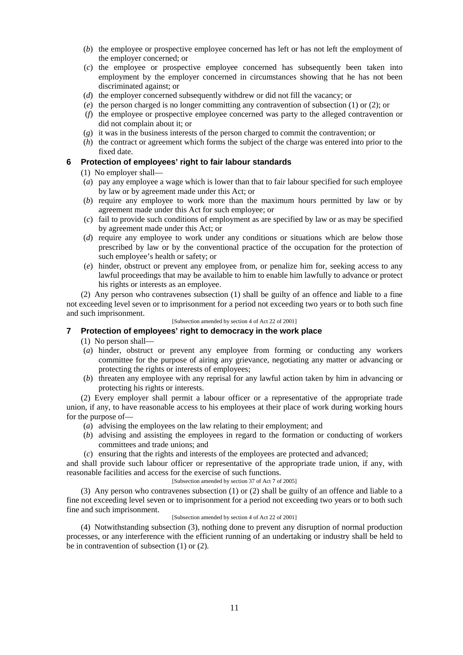- (*b*) the employee or prospective employee concerned has left or has not left the employment of the employer concerned; or
- (*c*) the employee or prospective employee concerned has subsequently been taken into employment by the employer concerned in circumstances showing that he has not been discriminated against; or
- (*d*) the employer concerned subsequently withdrew or did not fill the vacancy; or
- (*e*) the person charged is no longer committing any contravention of subsection (1) or (2); or
- (*f*) the employee or prospective employee concerned was party to the alleged contravention or did not complain about it; or
- (*g*) it was in the business interests of the person charged to commit the contravention; or
- (*h*) the contract or agreement which forms the subject of the charge was entered into prior to the fixed date.

# **6 Protection of employees' right to fair labour standards**

(1) No employer shall—

- (*a*) pay any employee a wage which is lower than that to fair labour specified for such employee by law or by agreement made under this Act; or
- (*b*) require any employee to work more than the maximum hours permitted by law or by agreement made under this Act for such employee; or
- (*c*) fail to provide such conditions of employment as are specified by law or as may be specified by agreement made under this Act; or
- (*d*) require any employee to work under any conditions or situations which are below those prescribed by law or by the conventional practice of the occupation for the protection of such employee's health or safety; or
- (*e*) hinder, obstruct or prevent any employee from, or penalize him for, seeking access to any lawful proceedings that may be available to him to enable him lawfully to advance or protect his rights or interests as an employee.

(2) Any person who contravenes subsection (1) shall be guilty of an offence and liable to a fine not exceeding level seven or to imprisonment for a period not exceeding two years or to both such fine and such imprisonment.

### [Subsection amended by section 4 of Act 22 of 2001]

# **7 Protection of employees' right to democracy in the work place**

(1) No person shall—

- (*a*) hinder, obstruct or prevent any employee from forming or conducting any workers committee for the purpose of airing any grievance, negotiating any matter or advancing or protecting the rights or interests of employees;
- (*b*) threaten any employee with any reprisal for any lawful action taken by him in advancing or protecting his rights or interests.

(2) Every employer shall permit a labour officer or a representative of the appropriate trade union, if any, to have reasonable access to his employees at their place of work during working hours for the purpose of—

- (*a*) advising the employees on the law relating to their employment; and
- (*b*) advising and assisting the employees in regard to the formation or conducting of workers committees and trade unions; and
- (*c*) ensuring that the rights and interests of the employees are protected and advanced;

and shall provide such labour officer or representative of the appropriate trade union, if any, with reasonable facilities and access for the exercise of such functions.

# [Subsection amended by section 37 of Act 7 of 2005]

(3) Any person who contravenes subsection (1) or (2) shall be guilty of an offence and liable to a fine not exceeding level seven or to imprisonment for a period not exceeding two years or to both such fine and such imprisonment.

### [Subsection amended by section 4 of Act 22 of 2001]

(4) Notwithstanding subsection (3), nothing done to prevent any disruption of normal production processes, or any interference with the efficient running of an undertaking or industry shall be held to be in contravention of subsection (1) or (2).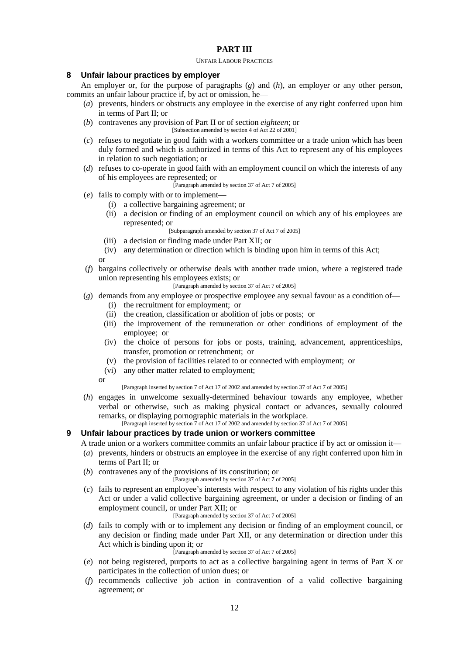# **PART III**

#### UNFAIR LABOUR PRACTICES

### **8 Unfair labour practices by employer**

An employer or, for the purpose of paragraphs (*g*) and (*h*), an employer or any other person, commits an unfair labour practice if, by act or omission, he—

- (*a*) prevents, hinders or obstructs any employee in the exercise of any right conferred upon him in terms of Part II; or
- (*b*) contravenes any provision of Part II or of section *eighteen*; or
	- [Subsection amended by section 4 of Act 22 of 2001]
- (*c*) refuses to negotiate in good faith with a workers committee or a trade union which has been duly formed and which is authorized in terms of this Act to represent any of his employees in relation to such negotiation; or
- (*d*) refuses to co-operate in good faith with an employment council on which the interests of any of his employees are represented; or

[Paragraph amended by section 37 of Act 7 of 2005]

- (*e*) fails to comply with or to implement—
	- (i) a collective bargaining agreement; or
	- (ii) a decision or finding of an employment council on which any of his employees are represented; or
		- [Subparagraph amended by section 37 of Act 7 of 2005]
	- (iii) a decision or finding made under Part XII; or
	- (iv) any determination or direction which is binding upon him in terms of this Act;

or

- (*f*) bargains collectively or otherwise deals with another trade union, where a registered trade union representing his employees exists; or
	- [Paragraph amended by section 37 of Act 7 of 2005]
- (*g*) demands from any employee or prospective employee any sexual favour as a condition of—
	- (i) the recruitment for employment; or
	- (ii) the creation, classification or abolition of jobs or posts; or
	- (iii) the improvement of the remuneration or other conditions of employment of the employee; or
	- (iv) the choice of persons for jobs or posts, training, advancement, apprenticeships, transfer, promotion or retrenchment; or
	- (v) the provision of facilities related to or connected with employment; or
	- (vi) any other matter related to employment;
	- or

[Paragraph inserted by section 7 of Act 17 of 2002 and amended by section 37 of Act 7 of 2005]

(*h*) engages in unwelcome sexually-determined behaviour towards any employee, whether verbal or otherwise, such as making physical contact or advances, sexually coloured remarks, or displaying pornographic materials in the workplace. [Paragraph inserted by section 7 of Act 17 of 2002 and amended by section 37 of Act 7 of 2005]

### **9 Unfair labour practices by trade union or workers committee**

A trade union or a workers committee commits an unfair labour practice if by act or omission it—

- (*a*) prevents, hinders or obstructs an employee in the exercise of any right conferred upon him in terms of Part II; or
- (*b*) contravenes any of the provisions of its constitution; or
	- [Paragraph amended by section 37 of Act 7 of 2005]
- (*c*) fails to represent an employee's interests with respect to any violation of his rights under this Act or under a valid collective bargaining agreement, or under a decision or finding of an employment council, or under Part XII: or

[Paragraph amended by section 37 of Act 7 of 2005]

- (*d*) fails to comply with or to implement any decision or finding of an employment council, or any decision or finding made under Part XII, or any determination or direction under this Act which is binding upon it; or
	- [Paragraph amended by section 37 of Act 7 of 2005]
- (*e*) not being registered, purports to act as a collective bargaining agent in terms of Part X or participates in the collection of union dues; or
- (*f*) recommends collective job action in contravention of a valid collective bargaining agreement; or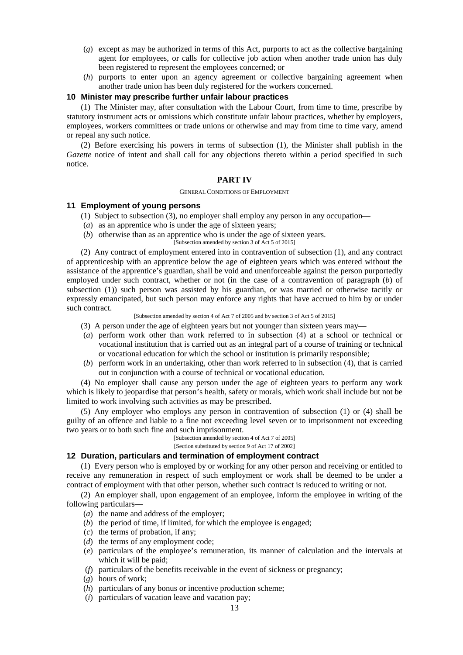- (*g*) except as may be authorized in terms of this Act, purports to act as the collective bargaining agent for employees, or calls for collective job action when another trade union has duly been registered to represent the employees concerned; or
- (*h*) purports to enter upon an agency agreement or collective bargaining agreement when another trade union has been duly registered for the workers concerned.

### **10 Minister may prescribe further unfair labour practices**

(1) The Minister may, after consultation with the Labour Court, from time to time, prescribe by statutory instrument acts or omissions which constitute unfair labour practices, whether by employers, employees, workers committees or trade unions or otherwise and may from time to time vary, amend or repeal any such notice.

(2) Before exercising his powers in terms of subsection (1), the Minister shall publish in the *Gazette* notice of intent and shall call for any objections thereto within a period specified in such notice.

### **PART IV**

#### GENERAL CONDITIONS OF EMPLOYMENT

### **11 Employment of young persons**

- (1) Subject to subsection (3), no employer shall employ any person in any occupation—
- (*a*) as an apprentice who is under the age of sixteen years;
- (*b*) otherwise than as an apprentice who is under the age of sixteen years.
	- [Subsection amended by section 3 of Act 5 of 2015]

(2) Any contract of employment entered into in contravention of subsection (1), and any contract of apprenticeship with an apprentice below the age of eighteen years which was entered without the assistance of the apprentice's guardian, shall be void and unenforceable against the person purportedly employed under such contract, whether or not (in the case of a contravention of paragraph (*b*) of subsection (1)) such person was assisted by his guardian, or was married or otherwise tacitly or expressly emancipated, but such person may enforce any rights that have accrued to him by or under such contract.

[Subsection amended by section 4 of Act 7 of 2005 and by section 3 of Act 5 of 2015]

- (3) A person under the age of eighteen years but not younger than sixteen years may—
- (*a*) perform work other than work referred to in subsection (4) at a school or technical or vocational institution that is carried out as an integral part of a course of training or technical or vocational education for which the school or institution is primarily responsible;
- (*b*) perform work in an undertaking, other than work referred to in subsection (4), that is carried out in conjunction with a course of technical or vocational education.

(4) No employer shall cause any person under the age of eighteen years to perform any work which is likely to jeopardise that person's health, safety or morals, which work shall include but not be limited to work involving such activities as may be prescribed.

(5) Any employer who employs any person in contravention of subsection (1) or (4) shall be guilty of an offence and liable to a fine not exceeding level seven or to imprisonment not exceeding two years or to both such fine and such imprisonment.

[Subsection amended by section 4 of Act 7 of 2005] [Section substituted by section 9 of Act 17 of 2002]

### **12 Duration, particulars and termination of employment contract**

(1) Every person who is employed by or working for any other person and receiving or entitled to receive any remuneration in respect of such employment or work shall be deemed to be under a contract of employment with that other person, whether such contract is reduced to writing or not.

(2) An employer shall, upon engagement of an employee, inform the employee in writing of the following particulars—

- (*a*) the name and address of the employer;
- (*b*) the period of time, if limited, for which the employee is engaged;
- (*c*) the terms of probation, if any;
- (*d*) the terms of any employment code;
- (*e*) particulars of the employee's remuneration, its manner of calculation and the intervals at which it will be paid;
- (*f*) particulars of the benefits receivable in the event of sickness or pregnancy;
- (*g*) hours of work;
- (*h*) particulars of any bonus or incentive production scheme;
- (*i*) particulars of vacation leave and vacation pay;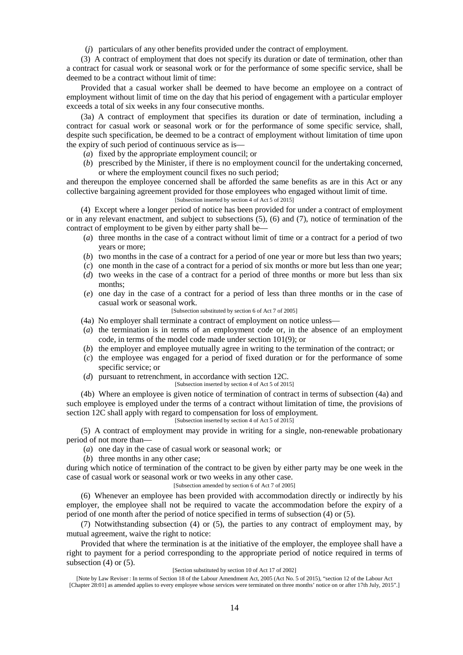(*j*) particulars of any other benefits provided under the contract of employment.

(3) A contract of employment that does not specify its duration or date of termination, other than a contract for casual work or seasonal work or for the performance of some specific service, shall be deemed to be a contract without limit of time:

Provided that a casual worker shall be deemed to have become an employee on a contract of employment without limit of time on the day that his period of engagement with a particular employer exceeds a total of six weeks in any four consecutive months.

(3a) A contract of employment that specifies its duration or date of termination, including a contract for casual work or seasonal work or for the performance of some specific service, shall, despite such specification, be deemed to be a contract of employment without limitation of time upon the expiry of such period of continuous service as is—

- (*a*) fixed by the appropriate employment council; or
- (*b*) prescribed by the Minister, if there is no employment council for the undertaking concerned, or where the employment council fixes no such period;

and thereupon the employee concerned shall be afforded the same benefits as are in this Act or any collective bargaining agreement provided for those employees who engaged without limit of time. [Subsection inserted by section 4 of Act 5 of 2015]

(4) Except where a longer period of notice has been provided for under a contract of employment or in any relevant enactment, and subject to subsections (5), (6) and (7), notice of termination of the contract of employment to be given by either party shall be—

- (*a*) three months in the case of a contract without limit of time or a contract for a period of two years or more;
- (*b*) two months in the case of a contract for a period of one year or more but less than two years;
- (*c*) one month in the case of a contract for a period of six months or more but less than one year;
- (*d*) two weeks in the case of a contract for a period of three months or more but less than six months;
- (*e*) one day in the case of a contract for a period of less than three months or in the case of casual work or seasonal work.

[Subsection substituted by section 6 of Act 7 of 2005]

- (4a) No employer shall terminate a contract of employment on notice unless—
- (*a*) the termination is in terms of an employment code or, in the absence of an employment code, in terms of the model code made under section 101(9); or
- (*b*) the employer and employee mutually agree in writing to the termination of the contract; or
- (*c*) the employee was engaged for a period of fixed duration or for the performance of some specific service; or
- (*d*) pursuant to retrenchment, in accordance with section 12C.
	- [Subsection inserted by section 4 of Act 5 of 2015]

(4b) Where an employee is given notice of termination of contract in terms of subsection (4a) and such employee is employed under the terms of a contract without limitation of time, the provisions of section 12C shall apply with regard to compensation for loss of employment.

[Subsection inserted by section 4 of Act 5 of 2015]

(5) A contract of employment may provide in writing for a single, non-renewable probationary period of not more than—

(*a*) one day in the case of casual work or seasonal work; or

(*b*) three months in any other case;

during which notice of termination of the contract to be given by either party may be one week in the case of casual work or seasonal work or two weeks in any other case.

### [Subsection amended by section 6 of Act 7 of 2005]

(6) Whenever an employee has been provided with accommodation directly or indirectly by his employer, the employee shall not be required to vacate the accommodation before the expiry of a period of one month after the period of notice specified in terms of subsection (4) or (5).

(7) Notwithstanding subsection (4) or (5), the parties to any contract of employment may, by mutual agreement, waive the right to notice:

Provided that where the termination is at the initiative of the employer, the employee shall have a right to payment for a period corresponding to the appropriate period of notice required in terms of subsection  $(4)$  or  $(5)$ .

#### [Section substituted by section 10 of Act 17 of 2002]

<sup>[</sup>Note by Law Reviser : In terms of Section 18 of the Labour Amendment Act, 2005 (Act No. 5 of 2015), "section 12 of the Labour Act [Chapter 28:01] as amended applies to every employee whose services were terminated on three months' notice on or after 17th July, 2015".]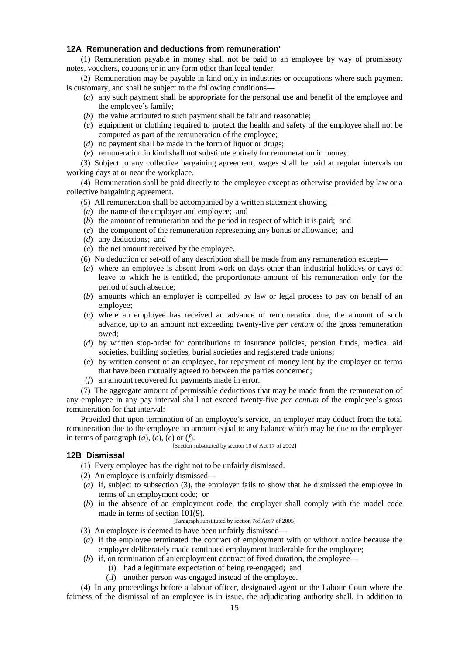# **12A Remuneration and deductions from remuneration`**

(1) Remuneration payable in money shall not be paid to an employee by way of promissory notes, vouchers, coupons or in any form other than legal tender.

(2) Remuneration may be payable in kind only in industries or occupations where such payment is customary, and shall be subject to the following conditions—

- (*a*) any such payment shall be appropriate for the personal use and benefit of the employee and the employee's family;
- (*b*) the value attributed to such payment shall be fair and reasonable;
- (*c*) equipment or clothing required to protect the health and safety of the employee shall not be computed as part of the remuneration of the employee;
- (*d*) no payment shall be made in the form of liquor or drugs;
- (*e*) remuneration in kind shall not substitute entirely for remuneration in money.

(3) Subject to any collective bargaining agreement, wages shall be paid at regular intervals on working days at or near the workplace.

(4) Remuneration shall be paid directly to the employee except as otherwise provided by law or a collective bargaining agreement.

- (5) All remuneration shall be accompanied by a written statement showing—
- (*a*) the name of the employer and employee; and
- (*b*) the amount of remuneration and the period in respect of which it is paid; and
- (*c*) the component of the remuneration representing any bonus or allowance; and
- (*d*) any deductions; and
- (*e*) the net amount received by the employee.
- (6) No deduction or set-off of any description shall be made from any remuneration except—
- (*a*) where an employee is absent from work on days other than industrial holidays or days of leave to which he is entitled, the proportionate amount of his remuneration only for the period of such absence;
- (*b*) amounts which an employer is compelled by law or legal process to pay on behalf of an employee;
- (*c*) where an employee has received an advance of remuneration due, the amount of such advance, up to an amount not exceeding twenty-five *per centum* of the gross remuneration owed;
- (*d*) by written stop-order for contributions to insurance policies, pension funds, medical aid societies, building societies, burial societies and registered trade unions;
- (*e*) by written consent of an employee, for repayment of money lent by the employer on terms that have been mutually agreed to between the parties concerned;
- (*f*) an amount recovered for payments made in error.

(7) The aggregate amount of permissible deductions that may be made from the remuneration of any employee in any pay interval shall not exceed twenty-five *per centum* of the employee's gross remuneration for that interval:

Provided that upon termination of an employee's service, an employer may deduct from the total remuneration due to the employee an amount equal to any balance which may be due to the employer in terms of paragraph  $(a)$ ,  $(c)$ ,  $(e)$  or  $(f)$ .

### [Section substituted by section 10 of Act 17 of 2002]

## **12B Dismissal**

(1) Every employee has the right not to be unfairly dismissed.

- (2) An employee is unfairly dismissed—
- (*a*) if, subject to subsection (3), the employer fails to show that he dismissed the employee in terms of an employment code; or
- (*b*) in the absence of an employment code, the employer shall comply with the model code made in terms of section 101(9).

[Paragraph substituted by section 7of Act 7 of 2005]

- (3) An employee is deemed to have been unfairly dismissed—
- (*a*) if the employee terminated the contract of employment with or without notice because the employer deliberately made continued employment intolerable for the employee;
- (*b*) if, on termination of an employment contract of fixed duration, the employee—
	- (i) had a legitimate expectation of being re-engaged; and
		- (ii) another person was engaged instead of the employee.

(4) In any proceedings before a labour officer, designated agent or the Labour Court where the fairness of the dismissal of an employee is in issue, the adjudicating authority shall, in addition to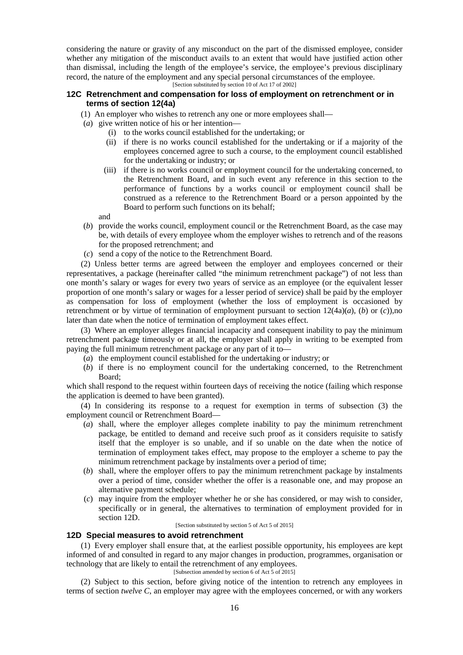considering the nature or gravity of any misconduct on the part of the dismissed employee, consider whether any mitigation of the misconduct avails to an extent that would have justified action other than dismissal, including the length of the employee's service, the employee's previous disciplinary record, the nature of the employment and any special personal circumstances of the employee.

[Section substituted by section 10 of Act 17 of 2002]

# **12C Retrenchment and compensation for loss of employment on retrenchment or in terms of section 12(4a)**

- (1) An employer who wishes to retrench any one or more employees shall—
- (*a*) give written notice of his or her intention—
	- (i) to the works council established for the undertaking; or
	- (ii) if there is no works council established for the undertaking or if a majority of the employees concerned agree to such a course, to the employment council established for the undertaking or industry; or
	- (iii) if there is no works council or employment council for the undertaking concerned, to the Retrenchment Board, and in such event any reference in this section to the performance of functions by a works council or employment council shall be construed as a reference to the Retrenchment Board or a person appointed by the Board to perform such functions on its behalf;

and

- (*b*) provide the works council, employment council or the Retrenchment Board, as the case may be, with details of every employee whom the employer wishes to retrench and of the reasons for the proposed retrenchment; and
- (*c*) send a copy of the notice to the Retrenchment Board.

(2) Unless better terms are agreed between the employer and employees concerned or their representatives, a package (hereinafter called "the minimum retrenchment package") of not less than one month's salary or wages for every two years of service as an employee (or the equivalent lesser proportion of one month's salary or wages for a lesser period of service) shall be paid by the employer as compensation for loss of employment (whether the loss of employment is occasioned by retrenchment or by virtue of termination of employment pursuant to section  $12(4a)(a)$ , (*b*) or (*c*)),no later than date when the notice of termination of employment takes effect.

(3) Where an employer alleges financial incapacity and consequent inability to pay the minimum retrenchment package timeously or at all, the employer shall apply in writing to be exempted from paying the full minimum retrenchment package or any part of it to—

- (*a*) the employment council established for the undertaking or industry; or
- (*b*) if there is no employment council for the undertaking concerned, to the Retrenchment Board;

which shall respond to the request within fourteen days of receiving the notice (failing which response the application is deemed to have been granted).

(4) In considering its response to a request for exemption in terms of subsection (3) the employment council or Retrenchment Board—

- (*a*) shall, where the employer alleges complete inability to pay the minimum retrenchment package, be entitled to demand and receive such proof as it considers requisite to satisfy itself that the employer is so unable, and if so unable on the date when the notice of termination of employment takes effect, may propose to the employer a scheme to pay the minimum retrenchment package by instalments over a period of time;
- (*b*) shall, where the employer offers to pay the minimum retrenchment package by instalments over a period of time, consider whether the offer is a reasonable one, and may propose an alternative payment schedule;
- (*c*) may inquire from the employer whether he or she has considered, or may wish to consider, specifically or in general, the alternatives to termination of employment provided for in section 12D.

[Section substituted by section 5 of Act 5 of 2015]

### **12D Special measures to avoid retrenchment**

(1) Every employer shall ensure that, at the earliest possible opportunity, his employees are kept informed of and consulted in regard to any major changes in production, programmes, organisation or technology that are likely to entail the retrenchment of any employees.

[Subsection amended by section 6 of Act 5 of 2015]

(2) Subject to this section, before giving notice of the intention to retrench any employees in terms of section *twelve C*, an employer may agree with the employees concerned, or with any workers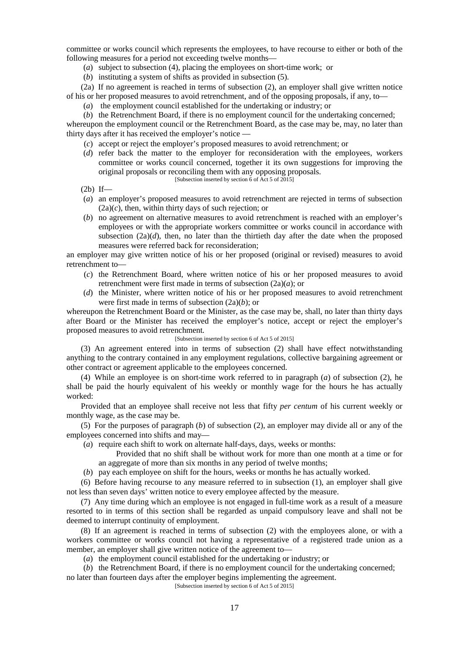committee or works council which represents the employees, to have recourse to either or both of the following measures for a period not exceeding twelve months—

- (*a*) subject to subsection (4), placing the employees on short-time work; or
- (*b*) instituting a system of shifts as provided in subsection (5).

(2a) If no agreement is reached in terms of subsection (2), an employer shall give written notice of his or her proposed measures to avoid retrenchment, and of the opposing proposals, if any, to—

(*a*) the employment council established for the undertaking or industry; or

(*b*) the Retrenchment Board, if there is no employment council for the undertaking concerned; whereupon the employment council or the Retrenchment Board, as the case may be, may, no later than thirty days after it has received the employer's notice —

- (*c*) accept or reject the employer's proposed measures to avoid retrenchment; or
- (*d*) refer back the matter to the employer for reconsideration with the employees, workers committee or works council concerned, together it its own suggestions for improving the original proposals or reconciling them with any opposing proposals. [Subsection inserted by section 6 of Act 5 of 2015]
- $(2b)$  If—
- (*a*) an employer's proposed measures to avoid retrenchment are rejected in terms of subsection (2a)(*c*), then, within thirty days of such rejection; or
- (*b*) no agreement on alternative measures to avoid retrenchment is reached with an employer's employees or with the appropriate workers committee or works council in accordance with subsection  $(2a)(d)$ , then, no later than the thirtieth day after the date when the proposed measures were referred back for reconsideration;

an employer may give written notice of his or her proposed (original or revised) measures to avoid retrenchment to—

- (*c*) the Retrenchment Board, where written notice of his or her proposed measures to avoid retrenchment were first made in terms of subsection (2a)(*a*); or
- (*d*) the Minister, where written notice of his or her proposed measures to avoid retrenchment were first made in terms of subsection (2a)(*b*); or

whereupon the Retrenchment Board or the Minister, as the case may be, shall, no later than thirty days after Board or the Minister has received the employer's notice, accept or reject the employer's proposed measures to avoid retrenchment.

### [Subsection inserted by section 6 of Act 5 of 2015]

(3) An agreement entered into in terms of subsection (2) shall have effect notwithstanding anything to the contrary contained in any employment regulations, collective bargaining agreement or other contract or agreement applicable to the employees concerned.

(4) While an employee is on short-time work referred to in paragraph (*a*) of subsection (2), he shall be paid the hourly equivalent of his weekly or monthly wage for the hours he has actually worked:

Provided that an employee shall receive not less that fifty *per centum* of his current weekly or monthly wage, as the case may be.

(5) For the purposes of paragraph (*b*) of subsection (2), an employer may divide all or any of the employees concerned into shifts and may—

(*a*) require each shift to work on alternate half-days, days, weeks or months:

Provided that no shift shall be without work for more than one month at a time or for an aggregate of more than six months in any period of twelve months;

(*b*) pay each employee on shift for the hours, weeks or months he has actually worked.

(6) Before having recourse to any measure referred to in subsection (1), an employer shall give not less than seven days' written notice to every employee affected by the measure.

(7) Any time during which an employee is not engaged in full-time work as a result of a measure resorted to in terms of this section shall be regarded as unpaid compulsory leave and shall not be deemed to interrupt continuity of employment.

(8) If an agreement is reached in terms of subsection (2) with the employees alone, or with a workers committee or works council not having a representative of a registered trade union as a member, an employer shall give written notice of the agreement to—

(*a*) the employment council established for the undertaking or industry; or

(*b*) the Retrenchment Board, if there is no employment council for the undertaking concerned; no later than fourteen days after the employer begins implementing the agreement.

[Subsection inserted by section 6 of Act 5 of 2015]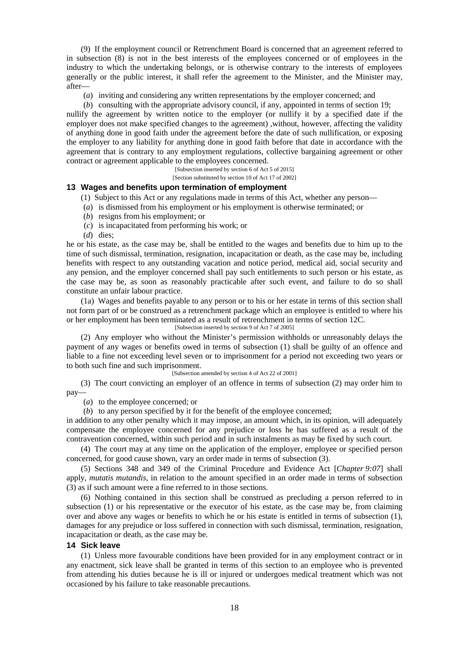(9) If the employment council or Retrenchment Board is concerned that an agreement referred to in subsection (8) is not in the best interests of the employees concerned or of employees in the industry to which the undertaking belongs, or is otherwise contrary to the interests of employees generally or the public interest, it shall refer the agreement to the Minister, and the Minister may, after—

(*a*) inviting and considering any written representations by the employer concerned; and

(*b*) consulting with the appropriate advisory council, if any, appointed in terms of section 19; nullify the agreement by written notice to the employer (or nullify it by a specified date if the employer does not make specified changes to the agreement) ,without, however, affecting the validity of anything done in good faith under the agreement before the date of such nullification, or exposing the employer to any liability for anything done in good faith before that date in accordance with the agreement that is contrary to any employment regulations, collective bargaining agreement or other contract or agreement applicable to the employees concerned.

[Subsection inserted by section 6 of Act 5 of 2015]

[Section substituted by section 10 of Act 17 of 2002]

### **13 Wages and benefits upon termination of employment**

(1) Subject to this Act or any regulations made in terms of this Act, whether any person—

- (*a*) is dismissed from his employment or his employment is otherwise terminated; or
- (*b*) resigns from his employment; or
- (*c*) is incapacitated from performing his work; or
- (*d*) dies;

he or his estate, as the case may be, shall be entitled to the wages and benefits due to him up to the time of such dismissal, termination, resignation, incapacitation or death, as the case may be, including benefits with respect to any outstanding vacation and notice period, medical aid, social security and any pension, and the employer concerned shall pay such entitlements to such person or his estate, as the case may be, as soon as reasonably practicable after such event, and failure to do so shall constitute an unfair labour practice.

(1a) Wages and benefits payable to any person or to his or her estate in terms of this section shall not form part of or be construed as a retrenchment package which an employee is entitled to where his or her employment has been terminated as a result of retrenchment in terms of section 12C.

### [Subsection inserted by section 9 of Act 7 of 2005]

(2) Any employer who without the Minister's permission withholds or unreasonably delays the payment of any wages or benefits owed in terms of subsection (1) shall be guilty of an offence and liable to a fine not exceeding level seven or to imprisonment for a period not exceeding two years or to both such fine and such imprisonment.

#### [Subsection amended by section 4 of Act 22 of 2001]

(3) The court convicting an employer of an offence in terms of subsection (2) may order him to pay—

(*a*) to the employee concerned; or

(*b*) to any person specified by it for the benefit of the employee concerned;

in addition to any other penalty which it may impose, an amount which, in its opinion, will adequately compensate the employee concerned for any prejudice or loss he has suffered as a result of the contravention concerned, within such period and in such instalments as may be fixed by such court.

(4) The court may at any time on the application of the employer, employee or specified person concerned, for good cause shown, vary an order made in terms of subsection (3).

(5) Sections 348 and 349 of the Criminal Procedure and Evidence Act [*Chapter 9:07*] shall apply, *mutatis mutandis*, in relation to the amount specified in an order made in terms of subsection (3) as if such amount were a fine referred to in those sections.

(6) Nothing contained in this section shall be construed as precluding a person referred to in subsection (1) or his representative or the executor of his estate, as the case may be, from claiming over and above any wages or benefits to which he or his estate is entitled in terms of subsection (1), damages for any prejudice or loss suffered in connection with such dismissal, termination, resignation, incapacitation or death, as the case may be.

#### **14 Sick leave**

(1) Unless more favourable conditions have been provided for in any employment contract or in any enactment, sick leave shall be granted in terms of this section to an employee who is prevented from attending his duties because he is ill or injured or undergoes medical treatment which was not occasioned by his failure to take reasonable precautions.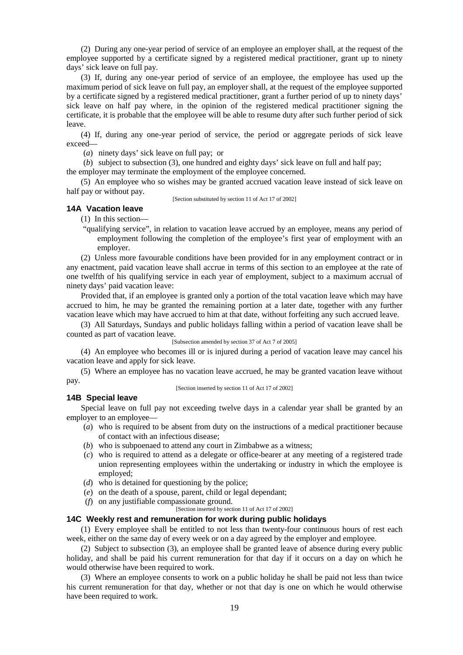(2) During any one-year period of service of an employee an employer shall, at the request of the employee supported by a certificate signed by a registered medical practitioner, grant up to ninety days' sick leave on full pay.

(3) If, during any one-year period of service of an employee, the employee has used up the maximum period of sick leave on full pay, an employer shall, at the request of the employee supported by a certificate signed by a registered medical practitioner, grant a further period of up to ninety days' sick leave on half pay where, in the opinion of the registered medical practitioner signing the certificate, it is probable that the employee will be able to resume duty after such further period of sick leave.

(4) If, during any one-year period of service, the period or aggregate periods of sick leave exceed—

(*a*) ninety days' sick leave on full pay; or

(*b*) subject to subsection (3), one hundred and eighty days' sick leave on full and half pay; the employer may terminate the employment of the employee concerned.

(5) An employee who so wishes may be granted accrued vacation leave instead of sick leave on half pay or without pay.

[Section substituted by section 11 of Act 17 of 2002]

# **14A Vacation leave**

(1) In this section—

"qualifying service", in relation to vacation leave accrued by an employee, means any period of employment following the completion of the employee's first year of employment with an employer.

(2) Unless more favourable conditions have been provided for in any employment contract or in any enactment, paid vacation leave shall accrue in terms of this section to an employee at the rate of one twelfth of his qualifying service in each year of employment, subject to a maximum accrual of ninety days' paid vacation leave:

Provided that, if an employee is granted only a portion of the total vacation leave which may have accrued to him, he may be granted the remaining portion at a later date, together with any further vacation leave which may have accrued to him at that date, without forfeiting any such accrued leave.

(3) All Saturdays, Sundays and public holidays falling within a period of vacation leave shall be counted as part of vacation leave.

[Subsection amended by section 37 of Act 7 of 2005]

(4) An employee who becomes ill or is injured during a period of vacation leave may cancel his vacation leave and apply for sick leave.

(5) Where an employee has no vacation leave accrued, he may be granted vacation leave without pay.

[Section inserted by section 11 of Act 17 of 2002]

### **14B Special leave**

Special leave on full pay not exceeding twelve days in a calendar year shall be granted by an employer to an employee—

- (*a*) who is required to be absent from duty on the instructions of a medical practitioner because of contact with an infectious disease;
- (*b*) who is subpoenaed to attend any court in Zimbabwe as a witness;
- (*c*) who is required to attend as a delegate or office-bearer at any meeting of a registered trade union representing employees within the undertaking or industry in which the employee is employed;
- (*d*) who is detained for questioning by the police;
- (*e*) on the death of a spouse, parent, child or legal dependant;
- (*f*) on any justifiable compassionate ground.
	- [Section inserted by section 11 of Act 17 of 2002]

#### **14C Weekly rest and remuneration for work during public holidays**

(1) Every employee shall be entitled to not less than twenty-four continuous hours of rest each week, either on the same day of every week or on a day agreed by the employer and employee.

(2) Subject to subsection (3), an employee shall be granted leave of absence during every public holiday, and shall be paid his current remuneration for that day if it occurs on a day on which he would otherwise have been required to work.

(3) Where an employee consents to work on a public holiday he shall be paid not less than twice his current remuneration for that day, whether or not that day is one on which he would otherwise have been required to work.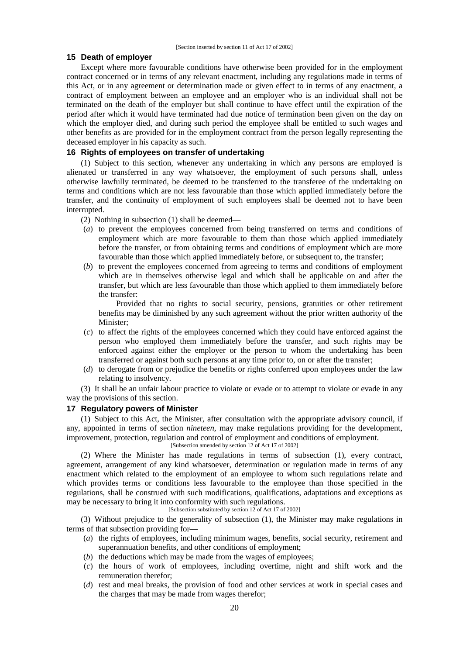### **15 Death of employer**

Except where more favourable conditions have otherwise been provided for in the employment contract concerned or in terms of any relevant enactment, including any regulations made in terms of this Act, or in any agreement or determination made or given effect to in terms of any enactment, a contract of employment between an employee and an employer who is an individual shall not be terminated on the death of the employer but shall continue to have effect until the expiration of the period after which it would have terminated had due notice of termination been given on the day on which the employer died, and during such period the employee shall be entitled to such wages and other benefits as are provided for in the employment contract from the person legally representing the deceased employer in his capacity as such.

## **16 Rights of employees on transfer of undertaking**

(1) Subject to this section, whenever any undertaking in which any persons are employed is alienated or transferred in any way whatsoever, the employment of such persons shall, unless otherwise lawfully terminated, be deemed to be transferred to the transferee of the undertaking on terms and conditions which are not less favourable than those which applied immediately before the transfer, and the continuity of employment of such employees shall be deemed not to have been interrupted.

(2) Nothing in subsection (1) shall be deemed—

- (*a*) to prevent the employees concerned from being transferred on terms and conditions of employment which are more favourable to them than those which applied immediately before the transfer, or from obtaining terms and conditions of employment which are more favourable than those which applied immediately before, or subsequent to, the transfer;
- (*b*) to prevent the employees concerned from agreeing to terms and conditions of employment which are in themselves otherwise legal and which shall be applicable on and after the transfer, but which are less favourable than those which applied to them immediately before the transfer:

Provided that no rights to social security, pensions, gratuities or other retirement benefits may be diminished by any such agreement without the prior written authority of the Minister;

- (*c*) to affect the rights of the employees concerned which they could have enforced against the person who employed them immediately before the transfer, and such rights may be enforced against either the employer or the person to whom the undertaking has been transferred or against both such persons at any time prior to, on or after the transfer;
- (*d*) to derogate from or prejudice the benefits or rights conferred upon employees under the law relating to insolvency.

(3) It shall be an unfair labour practice to violate or evade or to attempt to violate or evade in any way the provisions of this section.

### **17 Regulatory powers of Minister**

(1) Subject to this Act, the Minister, after consultation with the appropriate advisory council, if any, appointed in terms of section *nineteen*, may make regulations providing for the development, improvement, protection, regulation and control of employment and conditions of employment.

[Subsection amended by section 12 of Act 17 of 2002]

(2) Where the Minister has made regulations in terms of subsection (1), every contract, agreement, arrangement of any kind whatsoever, determination or regulation made in terms of any enactment which related to the employment of an employee to whom such regulations relate and which provides terms or conditions less favourable to the employee than those specified in the regulations, shall be construed with such modifications, qualifications, adaptations and exceptions as may be necessary to bring it into conformity with such regulations.

[Subsection substituted by section 12 of Act 17 of 2002]

(3) Without prejudice to the generality of subsection (1), the Minister may make regulations in terms of that subsection providing for—

- (*a*) the rights of employees, including minimum wages, benefits, social security, retirement and superannuation benefits, and other conditions of employment;
- (*b*) the deductions which may be made from the wages of employees;
- (*c*) the hours of work of employees, including overtime, night and shift work and the remuneration therefor;
- (*d*) rest and meal breaks, the provision of food and other services at work in special cases and the charges that may be made from wages therefor;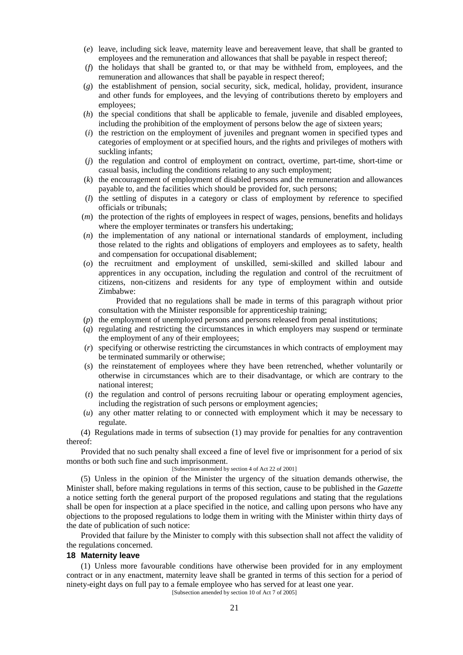- (*e*) leave, including sick leave, maternity leave and bereavement leave, that shall be granted to employees and the remuneration and allowances that shall be payable in respect thereof;
- (*f*) the holidays that shall be granted to, or that may be withheld from, employees, and the remuneration and allowances that shall be payable in respect thereof;
- (*g*) the establishment of pension, social security, sick, medical, holiday, provident, insurance and other funds for employees, and the levying of contributions thereto by employers and employees;
- (*h*) the special conditions that shall be applicable to female, juvenile and disabled employees, including the prohibition of the employment of persons below the age of sixteen years;
- (*i*) the restriction on the employment of juveniles and pregnant women in specified types and categories of employment or at specified hours, and the rights and privileges of mothers with suckling infants;
- (*j*) the regulation and control of employment on contract, overtime, part-time, short-time or casual basis, including the conditions relating to any such employment;
- (*k*) the encouragement of employment of disabled persons and the remuneration and allowances payable to, and the facilities which should be provided for, such persons;
- (*l*) the settling of disputes in a category or class of employment by reference to specified officials or tribunals;
- (*m*) the protection of the rights of employees in respect of wages, pensions, benefits and holidays where the employer terminates or transfers his undertaking:
- (*n*) the implementation of any national or international standards of employment, including those related to the rights and obligations of employers and employees as to safety, health and compensation for occupational disablement;
- (*o*) the recruitment and employment of unskilled, semi-skilled and skilled labour and apprentices in any occupation, including the regulation and control of the recruitment of citizens, non-citizens and residents for any type of employment within and outside Zimbabwe:

Provided that no regulations shall be made in terms of this paragraph without prior consultation with the Minister responsible for apprenticeship training;

- (*p*) the employment of unemployed persons and persons released from penal institutions;
- (*q*) regulating and restricting the circumstances in which employers may suspend or terminate the employment of any of their employees;
- (*r*) specifying or otherwise restricting the circumstances in which contracts of employment may be terminated summarily or otherwise;
- (*s*) the reinstatement of employees where they have been retrenched, whether voluntarily or otherwise in circumstances which are to their disadvantage, or which are contrary to the national interest;
- (*t*) the regulation and control of persons recruiting labour or operating employment agencies, including the registration of such persons or employment agencies;
- (*u*) any other matter relating to or connected with employment which it may be necessary to regulate.

(4) Regulations made in terms of subsection (1) may provide for penalties for any contravention thereof:

Provided that no such penalty shall exceed a fine of level five or imprisonment for a period of six months or both such fine and such imprisonment.

#### [Subsection amended by section 4 of Act 22 of 2001]

(5) Unless in the opinion of the Minister the urgency of the situation demands otherwise, the Minister shall, before making regulations in terms of this section, cause to be published in the *Gazette* a notice setting forth the general purport of the proposed regulations and stating that the regulations shall be open for inspection at a place specified in the notice, and calling upon persons who have any objections to the proposed regulations to lodge them in writing with the Minister within thirty days of the date of publication of such notice:

Provided that failure by the Minister to comply with this subsection shall not affect the validity of the regulations concerned.

#### **18 Maternity leave**

(1) Unless more favourable conditions have otherwise been provided for in any employment contract or in any enactment, maternity leave shall be granted in terms of this section for a period of ninety-eight days on full pay to a female employee who has served for at least one year.

[Subsection amended by section 10 of Act 7 of 2005]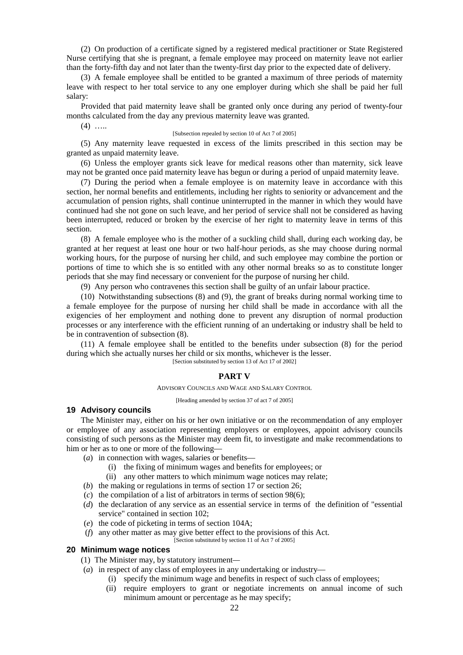(2) On production of a certificate signed by a registered medical practitioner or State Registered Nurse certifying that she is pregnant, a female employee may proceed on maternity leave not earlier than the forty-fifth day and not later than the twenty-first day prior to the expected date of delivery.

(3) A female employee shall be entitled to be granted a maximum of three periods of maternity leave with respect to her total service to any one employer during which she shall be paid her full salary:

Provided that paid maternity leave shall be granted only once during any period of twenty-four months calculated from the day any previous maternity leave was granted.

 $(4)$  …

#### [Subsection repealed by section 10 of Act 7 of 2005]

(5) Any maternity leave requested in excess of the limits prescribed in this section may be granted as unpaid maternity leave.

(6) Unless the employer grants sick leave for medical reasons other than maternity, sick leave may not be granted once paid maternity leave has begun or during a period of unpaid maternity leave.

(7) During the period when a female employee is on maternity leave in accordance with this section, her normal benefits and entitlements, including her rights to seniority or advancement and the accumulation of pension rights, shall continue uninterrupted in the manner in which they would have continued had she not gone on such leave, and her period of service shall not be considered as having been interrupted, reduced or broken by the exercise of her right to maternity leave in terms of this section.

(8) A female employee who is the mother of a suckling child shall, during each working day, be granted at her request at least one hour or two half-hour periods, as she may choose during normal working hours, for the purpose of nursing her child, and such employee may combine the portion or portions of time to which she is so entitled with any other normal breaks so as to constitute longer periods that she may find necessary or convenient for the purpose of nursing her child.

(9) Any person who contravenes this section shall be guilty of an unfair labour practice.

(10) Notwithstanding subsections (8) and (9), the grant of breaks during normal working time to a female employee for the purpose of nursing her child shall be made in accordance with all the exigencies of her employment and nothing done to prevent any disruption of normal production processes or any interference with the efficient running of an undertaking or industry shall be held to be in contravention of subsection (8).

(11) A female employee shall be entitled to the benefits under subsection (8) for the period during which she actually nurses her child or six months, whichever is the lesser. [Section substituted by section 13 of Act 17 of 2002]

#### **PART V**

#### ADVISORY COUNCILS AND WAGE AND SALARY CONTROL

[Heading amended by section 37 of act 7 of 2005]

#### **19 Advisory councils**

The Minister may, either on his or her own initiative or on the recommendation of any employer or employee of any association representing employers or employees, appoint advisory councils consisting of such persons as the Minister may deem fit, to investigate and make recommendations to him or her as to one or more of the following—

- (*a*) in connection with wages, salaries or benefits—
	- (i) the fixing of minimum wages and benefits for employees; or
	- (ii) any other matters to which minimum wage notices may relate;
- (*b*) the making or regulations in terms of section 17 or section 26;
- (*c*) the compilation of a list of arbitrators in terms of section 98(6);
- (*d*) the declaration of any service as an essential service in terms of the definition of "essential service" contained in section 102;
- (*e*) the code of picketing in terms of section 104A;
- (*f*) any other matter as may give better effect to the provisions of this Act.

[Section substituted by section 11 of Act 7 of 2005]

# **20 Minimum wage notices**

- (1) The Minister may, by statutory instrument*—*
- (*a*) in respect of any class of employees in any undertaking or industry—
	- (i) specify the minimum wage and benefits in respect of such class of employees;
	- (ii) require employers to grant or negotiate increments on annual income of such minimum amount or percentage as he may specify;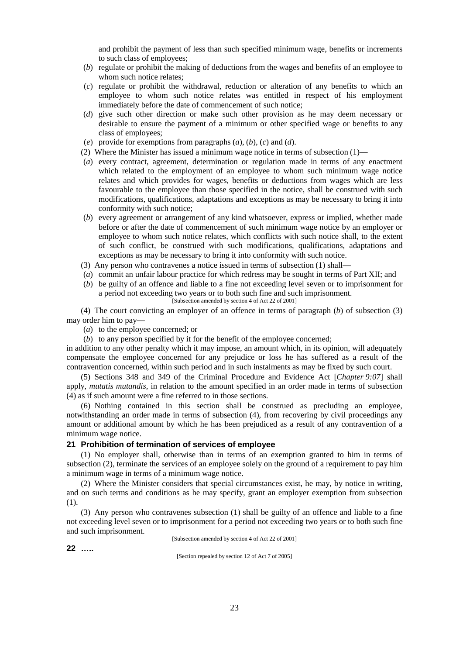and prohibit the payment of less than such specified minimum wage, benefits or increments to such class of employees;

- (*b*) regulate or prohibit the making of deductions from the wages and benefits of an employee to whom such notice relates;
- (*c*) regulate or prohibit the withdrawal, reduction or alteration of any benefits to which an employee to whom such notice relates was entitled in respect of his employment immediately before the date of commencement of such notice;
- (*d*) give such other direction or make such other provision as he may deem necessary or desirable to ensure the payment of a minimum or other specified wage or benefits to any class of employees;
- (*e*) provide for exemptions from paragraphs (*a*), (*b*), (*c*) and (*d*).
- (2) Where the Minister has issued a minimum wage notice in terms of subsection  $(1)$ —
- (*a*) every contract, agreement, determination or regulation made in terms of any enactment which related to the employment of an employee to whom such minimum wage notice relates and which provides for wages, benefits or deductions from wages which are less favourable to the employee than those specified in the notice, shall be construed with such modifications, qualifications, adaptations and exceptions as may be necessary to bring it into conformity with such notice;
- (*b*) every agreement or arrangement of any kind whatsoever, express or implied, whether made before or after the date of commencement of such minimum wage notice by an employer or employee to whom such notice relates, which conflicts with such notice shall, to the extent of such conflict, be construed with such modifications, qualifications, adaptations and exceptions as may be necessary to bring it into conformity with such notice.
- (3) Any person who contravenes a notice issued in terms of subsection (1) shall—
- (*a*) commit an unfair labour practice for which redress may be sought in terms of Part XII; and
- (*b*) be guilty of an offence and liable to a fine not exceeding level seven or to imprisonment for a period not exceeding two years or to both such fine and such imprisonment. [Subsection amended by section 4 of Act 22 of 2001]

(4) The court convicting an employer of an offence in terms of paragraph (*b*) of subsection (3) may order him to pay—

- (*a*) to the employee concerned; or
- (*b*) to any person specified by it for the benefit of the employee concerned;

in addition to any other penalty which it may impose, an amount which, in its opinion, will adequately compensate the employee concerned for any prejudice or loss he has suffered as a result of the contravention concerned, within such period and in such instalments as may be fixed by such court.

(5) Sections 348 and 349 of the Criminal Procedure and Evidence Act [*Chapter 9:07*] shall apply, *mutatis mutandis*, in relation to the amount specified in an order made in terms of subsection (4) as if such amount were a fine referred to in those sections.

(6) Nothing contained in this section shall be construed as precluding an employee, notwithstanding an order made in terms of subsection (4), from recovering by civil proceedings any amount or additional amount by which he has been prejudiced as a result of any contravention of a minimum wage notice.

#### **21 Prohibition of termination of services of employee**

(1) No employer shall, otherwise than in terms of an exemption granted to him in terms of subsection (2), terminate the services of an employee solely on the ground of a requirement to pay him a minimum wage in terms of a minimum wage notice.

(2) Where the Minister considers that special circumstances exist, he may, by notice in writing, and on such terms and conditions as he may specify, grant an employer exemption from subsection (1).

(3) Any person who contravenes subsection (1) shall be guilty of an offence and liable to a fine not exceeding level seven or to imprisonment for a period not exceeding two years or to both such fine and such imprisonment.

[Subsection amended by section 4 of Act 22 of 2001]

**22 …..**

[Section repealed by section 12 of Act 7 of 2005]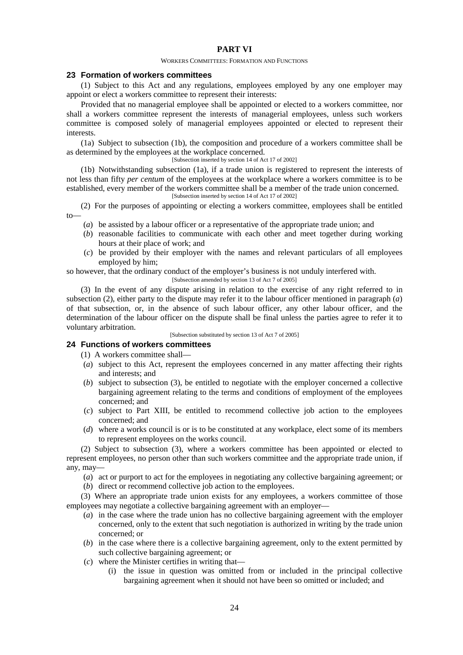# **PART VI**

#### WORKERS COMMITTEES: FORMATION AND FUNCTIONS

#### **23 Formation of workers committees**

(1) Subject to this Act and any regulations, employees employed by any one employer may appoint or elect a workers committee to represent their interests:

Provided that no managerial employee shall be appointed or elected to a workers committee, nor shall a workers committee represent the interests of managerial employees, unless such workers committee is composed solely of managerial employees appointed or elected to represent their interests.

(1a) Subject to subsection (1b), the composition and procedure of a workers committee shall be as determined by the employees at the workplace concerned.

[Subsection inserted by section 14 of Act 17 of 2002]

(1b) Notwithstanding subsection (1a), if a trade union is registered to represent the interests of not less than fifty *per centum* of the employees at the workplace where a workers committee is to be established, every member of the workers committee shall be a member of the trade union concerned. [Subsection inserted by section 14 of Act 17 of 2002]

(2) For the purposes of appointing or electing a workers committee, employees shall be entitled to—

- (*a*) be assisted by a labour officer or a representative of the appropriate trade union; and
- (*b*) reasonable facilities to communicate with each other and meet together during working hours at their place of work; and
- (*c*) be provided by their employer with the names and relevant particulars of all employees employed by him;

so however, that the ordinary conduct of the employer's business is not unduly interfered with. [Subsection amended by section 13 of Act 7 of 2005]

(3) In the event of any dispute arising in relation to the exercise of any right referred to in subsection (2), either party to the dispute may refer it to the labour officer mentioned in paragraph (*a*) of that subsection, or, in the absence of such labour officer, any other labour officer, and the determination of the labour officer on the dispute shall be final unless the parties agree to refer it to voluntary arbitration.

[Subsection substituted by section 13 of Act 7 of 2005]

# **24 Functions of workers committees**

(1) A workers committee shall—

- (*a*) subject to this Act, represent the employees concerned in any matter affecting their rights and interests; and
- (*b*) subject to subsection (3), be entitled to negotiate with the employer concerned a collective bargaining agreement relating to the terms and conditions of employment of the employees concerned; and
- (*c*) subject to Part XIII, be entitled to recommend collective job action to the employees concerned; and
- (*d*) where a works council is or is to be constituted at any workplace, elect some of its members to represent employees on the works council.

(2) Subject to subsection (3), where a workers committee has been appointed or elected to represent employees, no person other than such workers committee and the appropriate trade union, if any, may—

- (*a*) act or purport to act for the employees in negotiating any collective bargaining agreement; or
- (*b*) direct or recommend collective job action to the employees.

(3) Where an appropriate trade union exists for any employees, a workers committee of those employees may negotiate a collective bargaining agreement with an employer—

- (*a*) in the case where the trade union has no collective bargaining agreement with the employer concerned, only to the extent that such negotiation is authorized in writing by the trade union concerned; or
- (*b*) in the case where there is a collective bargaining agreement, only to the extent permitted by such collective bargaining agreement; or
- (*c*) where the Minister certifies in writing that—
	- (i) the issue in question was omitted from or included in the principal collective bargaining agreement when it should not have been so omitted or included; and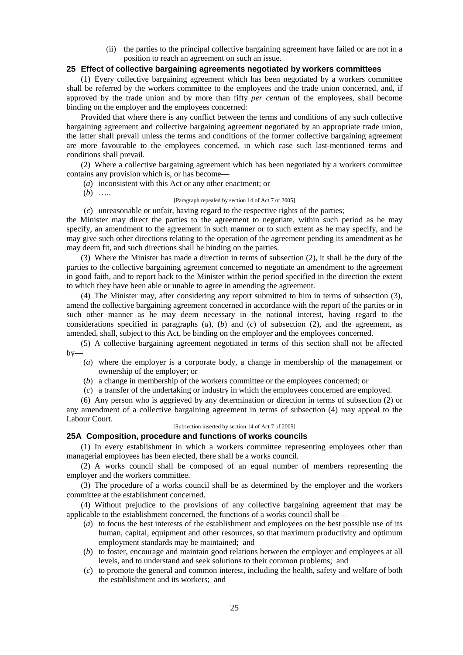(ii) the parties to the principal collective bargaining agreement have failed or are not in a position to reach an agreement on such an issue.

### **25 Effect of collective bargaining agreements negotiated by workers committees**

(1) Every collective bargaining agreement which has been negotiated by a workers committee shall be referred by the workers committee to the employees and the trade union concerned, and, if approved by the trade union and by more than fifty *per centum* of the employees, shall become binding on the employer and the employees concerned:

Provided that where there is any conflict between the terms and conditions of any such collective bargaining agreement and collective bargaining agreement negotiated by an appropriate trade union, the latter shall prevail unless the terms and conditions of the former collective bargaining agreement are more favourable to the employees concerned, in which case such last-mentioned terms and conditions shall prevail.

(2) Where a collective bargaining agreement which has been negotiated by a workers committee contains any provision which is, or has become—

(*a*) inconsistent with this Act or any other enactment; or

(*b*) …..

#### [Paragraph repealed by section 14 of Act 7 of 2005]

(*c*) unreasonable or unfair, having regard to the respective rights of the parties;

the Minister may direct the parties to the agreement to negotiate, within such period as he may specify, an amendment to the agreement in such manner or to such extent as he may specify, and he may give such other directions relating to the operation of the agreement pending its amendment as he may deem fit, and such directions shall be binding on the parties.

(3) Where the Minister has made a direction in terms of subsection (2), it shall be the duty of the parties to the collective bargaining agreement concerned to negotiate an amendment to the agreement in good faith, and to report back to the Minister within the period specified in the direction the extent to which they have been able or unable to agree in amending the agreement.

(4) The Minister may, after considering any report submitted to him in terms of subsection (3), amend the collective bargaining agreement concerned in accordance with the report of the parties or in such other manner as he may deem necessary in the national interest, having regard to the considerations specified in paragraphs (*a*), (*b*) and (*c*) of subsection (2), and the agreement, as amended, shall, subject to this Act, be binding on the employer and the employees concerned.

(5) A collective bargaining agreement negotiated in terms of this section shall not be affected by—

(*a*) where the employer is a corporate body, a change in membership of the management or ownership of the employer; or

(*b*) a change in membership of the workers committee or the employees concerned; or

(*c*) a transfer of the undertaking or industry in which the employees concerned are employed.

(6) Any person who is aggrieved by any determination or direction in terms of subsection (2) or any amendment of a collective bargaining agreement in terms of subsection (4) may appeal to the Labour Court.

# [Subsection inserted by section 14 of Act 7 of 2005]

### **25A Composition, procedure and functions of works councils**

(1) In every establishment in which a workers committee representing employees other than managerial employees has been elected, there shall be a works council.

(2) A works council shall be composed of an equal number of members representing the employer and the workers committee.

(3) The procedure of a works council shall be as determined by the employer and the workers committee at the establishment concerned.

(4) Without prejudice to the provisions of any collective bargaining agreement that may be applicable to the establishment concerned, the functions of a works council shall be—

- (*a*) to focus the best interests of the establishment and employees on the best possible use of its human, capital, equipment and other resources, so that maximum productivity and optimum employment standards may be maintained; and
- (*b*) to foster, encourage and maintain good relations between the employer and employees at all levels, and to understand and seek solutions to their common problems; and
- (*c*) to promote the general and common interest, including the health, safety and welfare of both the establishment and its workers; and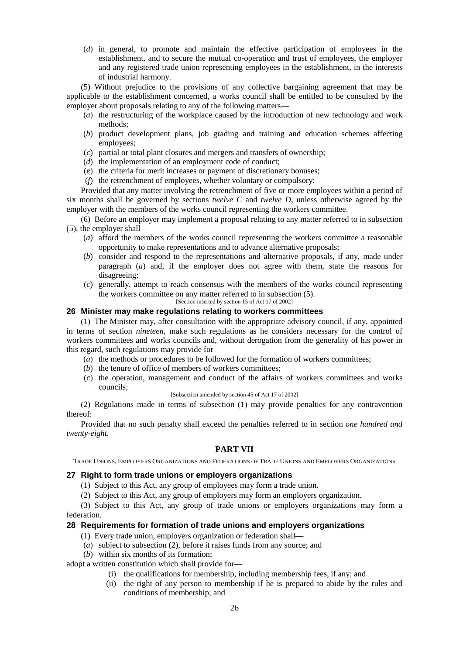(*d*) in general, to promote and maintain the effective participation of employees in the establishment, and to secure the mutual co-operation and trust of employees, the employer and any registered trade union representing employees in the establishment, in the interests of industrial harmony.

(5) Without prejudice to the provisions of any collective bargaining agreement that may be applicable to the establishment concerned, a works council shall be entitled to be consulted by the employer about proposals relating to any of the following matters—

- (*a*) the restructuring of the workplace caused by the introduction of new technology and work methods;
- (*b*) product development plans, job grading and training and education schemes affecting employees;
- (*c*) partial or total plant closures and mergers and transfers of ownership;
- (*d*) the implementation of an employment code of conduct;
- (*e*) the criteria for merit increases or payment of discretionary bonuses;
- (*f*) the retrenchment of employees, whether voluntary or compulsory:

Provided that any matter involving the retrenchment of five or more employees within a period of six months shall be governed by sections *twelve C* and *twelve D*, unless otherwise agreed by the employer with the members of the works council representing the workers committee.

(6) Before an employer may implement a proposal relating to any matter referred to in subsection (5), the employer shall—

- (*a*) afford the members of the works council representing the workers committee a reasonable opportunity to make representations and to advance alternative proposals;
- (*b*) consider and respond to the representations and alternative proposals, if any, made under paragraph (*a*) and, if the employer does not agree with them, state the reasons for disagreeing;
- (*c*) generally, attempt to reach consensus with the members of the works council representing the workers committee on any matter referred to in subsection (5).
	- [Section inserted by section 15 of Act 17 of 2002]

# **26 Minister may make regulations relating to workers committees**

(1) The Minister may, after consultation with the appropriate advisory council, if any, appointed in terms of section *nineteen*, make such regulations as he considers necessary for the control of workers committees and works councils and, without derogation from the generality of his power in this regard, such regulations may provide for—

- (*a*) the methods or procedures to be followed for the formation of workers committees;
- (*b*) the tenure of office of members of workers committees;
- (*c*) the operation, management and conduct of the affairs of workers committees and works councils;
	- [Subsection amended by section 45 of Act 17 of 2002]

(2) Regulations made in terms of subsection (1) may provide penalties for any contravention thereof:

Provided that no such penalty shall exceed the penalties referred to in section *one hundred and twenty-eight.*

## **PART VII**

TRADE UNIONS, EMPLOYERS ORGANIZATIONS AND FEDERATIONS OF TRADE UNIONS AND EMPLOYERS ORGANIZATIONS

#### **27 Right to form trade unions or employers organizations**

- (1) Subject to this Act, any group of employees may form a trade union.
- (2) Subject to this Act, any group of employers may form an employers organization.

(3) Subject to this Act, any group of trade unions or employers organizations may form a federation.

### **28 Requirements for formation of trade unions and employers organizations**

- (1) Every trade union, employers organization or federation shall—
- (*a*) subject to subsection (2), before it raises funds from any source; and
- (*b*) within six months of its formation;

adopt a written constitution which shall provide for—

- (i) the qualifications for membership, including membership fees, if any; and
- (ii) the right of any person to membership if he is prepared to abide by the rules and conditions of membership; and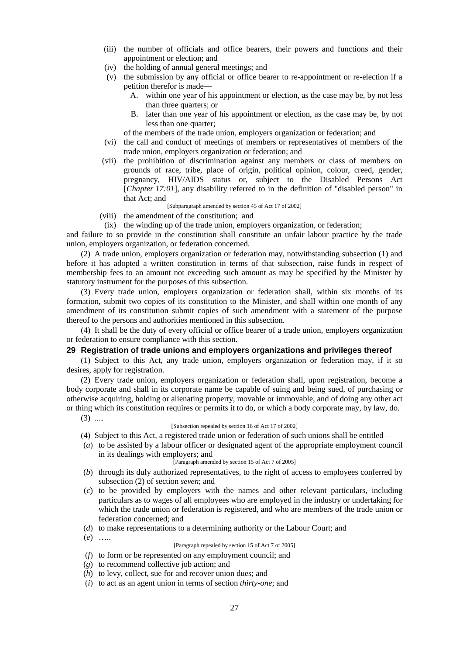- (iii) the number of officials and office bearers, their powers and functions and their appointment or election; and
- (iv) the holding of annual general meetings; and
- (v) the submission by any official or office bearer to re-appointment or re-election if a petition therefor is made—
	- A. within one year of his appointment or election, as the case may be, by not less than three quarters; or
	- B. later than one year of his appointment or election, as the case may be, by not less than one quarter;

of the members of the trade union, employers organization or federation; and

- (vi) the call and conduct of meetings of members or representatives of members of the trade union, employers organization or federation; and
- (vii) the prohibition of discrimination against any members or class of members on grounds of race, tribe, place of origin, political opinion, colour, creed, gender, pregnancy, HIV/AIDS status or, subject to the Disabled Persons Act [*Chapter 17:01*], any disability referred to in the definition of "disabled person" in that Act; and

[Subparagraph amended by section 45 of Act 17 of 2002]

- (viii) the amendment of the constitution; and
- (ix) the winding up of the trade union, employers organization, or federation;

and failure to so provide in the constitution shall constitute an unfair labour practice by the trade union, employers organization, or federation concerned.

(2) A trade union, employers organization or federation may, notwithstanding subsection (1) and before it has adopted a written constitution in terms of that subsection, raise funds in respect of membership fees to an amount not exceeding such amount as may be specified by the Minister by statutory instrument for the purposes of this subsection.

(3) Every trade union, employers organization or federation shall, within six months of its formation, submit two copies of its constitution to the Minister, and shall within one month of any amendment of its constitution submit copies of such amendment with a statement of the purpose thereof to the persons and authorities mentioned in this subsection.

(4) It shall be the duty of every official or office bearer of a trade union, employers organization or federation to ensure compliance with this section.

### **29 Registration of trade unions and employers organizations and privileges thereof**

(1) Subject to this Act, any trade union, employers organization or federation may, if it so desires, apply for registration.

(2) Every trade union, employers organization or federation shall, upon registration, become a body corporate and shall in its corporate name be capable of suing and being sued, of purchasing or otherwise acquiring, holding or alienating property, movable or immovable, and of doing any other act or thing which its constitution requires or permits it to do, or which a body corporate may, by law, do.

 $(3)$  …

#### [Subsection repealed by section 16 of Act 17 of 2002]

- (4) Subject to this Act, a registered trade union or federation of such unions shall be entitled—
- (*a*) to be assisted by a labour officer or designated agent of the appropriate employment council in its dealings with employers; and

[Paragraph amended by section 15 of Act 7 of 2005]

- (*b*) through its duly authorized representatives, to the right of access to employees conferred by subsection (2) of section *seven*; and
- (*c*) to be provided by employers with the names and other relevant particulars, including particulars as to wages of all employees who are employed in the industry or undertaking for which the trade union or federation is registered, and who are members of the trade union or federation concerned; and
- (*d*) to make representations to a determining authority or the Labour Court; and
- (*e*) …..

[Paragraph repealed by section 15 of Act 7 of 2005]

- (*f*) to form or be represented on any employment council; and
- (*g*) to recommend collective job action; and
- (*h*) to levy, collect, sue for and recover union dues; and
- (*i*) to act as an agent union in terms of section *thirty-one*; and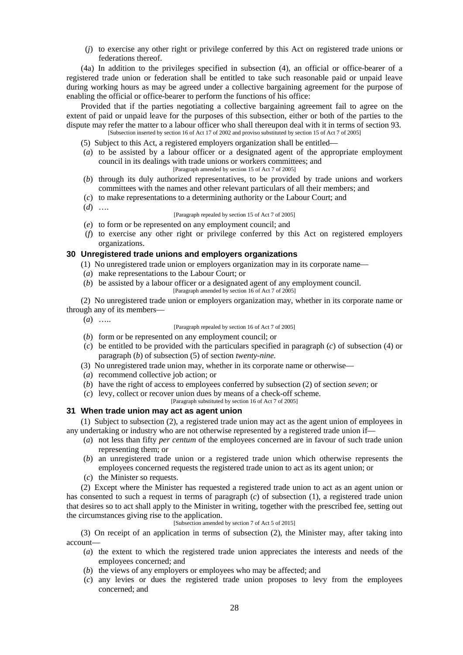(*j*) to exercise any other right or privilege conferred by this Act on registered trade unions or federations thereof.

(4a) In addition to the privileges specified in subsection (4), an official or office-bearer of a registered trade union or federation shall be entitled to take such reasonable paid or unpaid leave during working hours as may be agreed under a collective bargaining agreement for the purpose of enabling the official or office-bearer to perform the functions of his office:

Provided that if the parties negotiating a collective bargaining agreement fail to agree on the extent of paid or unpaid leave for the purposes of this subsection, either or both of the parties to the dispute may refer the matter to a labour officer who shall thereupon deal with it in terms of section 93. [Subsection inserted by section 16 of Act 17 of 2002 and proviso substituted by section 15 of Act 7 of 2005]

- (5) Subject to this Act, a registered employers organization shall be entitled—
- (*a*) to be assisted by a labour officer or a designated agent of the appropriate employment council in its dealings with trade unions or workers committees; and
	- [Paragraph amended by section 15 of Act 7 of 2005]
- (*b*) through its duly authorized representatives, to be provided by trade unions and workers committees with the names and other relevant particulars of all their members; and
- (*c*) to make representations to a determining authority or the Labour Court; and
- (*d*) ….

#### [Paragraph repealed by section 15 of Act 7 of 2005]

- (*e*) to form or be represented on any employment council; and
- (*f*) to exercise any other right or privilege conferred by this Act on registered employers organizations.

### **30 Unregistered trade unions and employers organizations**

- (1) No unregistered trade union or employers organization may in its corporate name—
- (*a*) make representations to the Labour Court; or
- (*b*) be assisted by a labour officer or a designated agent of any employment council.
	- [Paragraph amended by section 16 of Act 7 of 2005]

(2) No unregistered trade union or employers organization may, whether in its corporate name or through any of its members—

- $(a)$  …
- [Paragraph repealed by section 16 of Act 7 of 2005]
- (*b*) form or be represented on any employment council; or
- (*c*) be entitled to be provided with the particulars specified in paragraph (*c*) of subsection (4) or paragraph (*b*) of subsection (5) of section *twenty-nine.*
- (3) No unregistered trade union may, whether in its corporate name or otherwise—
- (*a*) recommend collective job action; or
- (*b*) have the right of access to employees conferred by subsection (2) of section *seven*; or
- (*c*) levy, collect or recover union dues by means of a check-off scheme.
	- [Paragraph substituted by section 16 of Act 7 of 2005]

## **31 When trade union may act as agent union**

(1) Subject to subsection (2), a registered trade union may act as the agent union of employees in any undertaking or industry who are not otherwise represented by a registered trade union if—

- (*a*) not less than fifty *per centum* of the employees concerned are in favour of such trade union representing them; or
- (*b*) an unregistered trade union or a registered trade union which otherwise represents the employees concerned requests the registered trade union to act as its agent union; or
- (*c*) the Minister so requests.

(2) Except where the Minister has requested a registered trade union to act as an agent union or has consented to such a request in terms of paragraph (*c*) of subsection (1), a registered trade union that desires so to act shall apply to the Minister in writing, together with the prescribed fee, setting out the circumstances giving rise to the application.

## [Subsection amended by section 7 of Act 5 of 2015]

(3) On receipt of an application in terms of subsection (2), the Minister may, after taking into account—

- (*a*) the extent to which the registered trade union appreciates the interests and needs of the employees concerned; and
- (*b*) the views of any employers or employees who may be affected; and
- (*c*) any levies or dues the registered trade union proposes to levy from the employees concerned; and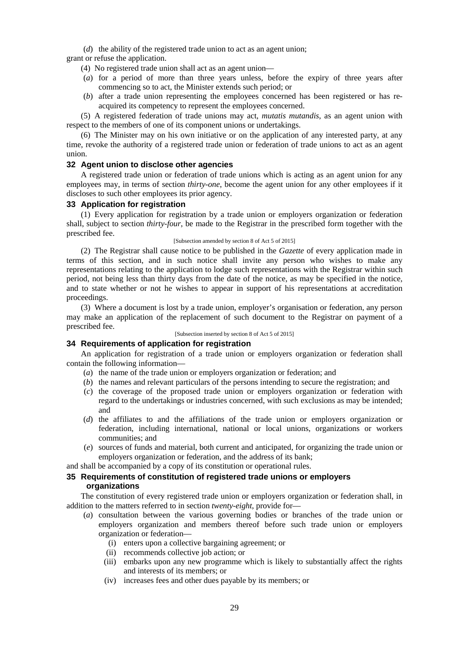(*d*) the ability of the registered trade union to act as an agent union;

grant or refuse the application.

(4) No registered trade union shall act as an agent union—

- (*a*) for a period of more than three years unless, before the expiry of three years after commencing so to act, the Minister extends such period; or
- (*b*) after a trade union representing the employees concerned has been registered or has re acquired its competency to represent the employees concerned.

(5) A registered federation of trade unions may act, *mutatis mutandis*, as an agent union with respect to the members of one of its component unions or undertakings.

(6) The Minister may on his own initiative or on the application of any interested party, at any time, revoke the authority of a registered trade union or federation of trade unions to act as an agent union.

## **32 Agent union to disclose other agencies**

A registered trade union or federation of trade unions which is acting as an agent union for any employees may, in terms of section *thirty-one*, become the agent union for any other employees if it discloses to such other employees its prior agency.

# **33 Application for registration**

(1) Every application for registration by a trade union or employers organization or federation shall, subject to section *thirty-four*, be made to the Registrar in the prescribed form together with the prescribed fee.

#### [Subsection amended by section 8 of Act 5 of 2015]

(2) The Registrar shall cause notice to be published in the *Gazette* of every application made in terms of this section, and in such notice shall invite any person who wishes to make any representations relating to the application to lodge such representations with the Registrar within such period, not being less than thirty days from the date of the notice, as may be specified in the notice, and to state whether or not he wishes to appear in support of his representations at accreditation proceedings.

(3) Where a document is lost by a trade union, employer's organisation or federation, any person may make an application of the replacement of such document to the Registrar on payment of a prescribed fee.

[Subsection inserted by section 8 of Act 5 of 2015]

## **34 Requirements of application for registration**

An application for registration of a trade union or employers organization or federation shall contain the following information—

- (*a*) the name of the trade union or employers organization or federation; and
- (*b*) the names and relevant particulars of the persons intending to secure the registration; and
- (*c*) the coverage of the proposed trade union or employers organization or federation with regard to the undertakings or industries concerned, with such exclusions as may be intended; and
- (*d*) the affiliates to and the affiliations of the trade union or employers organization or federation, including international, national or local unions, organizations or workers communities; and
- (*e*) sources of funds and material, both current and anticipated, for organizing the trade union or employers organization or federation, and the address of its bank;

and shall be accompanied by a copy of its constitution or operational rules.

# **35 Requirements of constitution of registered trade unions or employers organizations**

The constitution of every registered trade union or employers organization or federation shall, in addition to the matters referred to in section *twenty-eight*, provide for—

- (*a*) consultation between the various governing bodies or branches of the trade union or employers organization and members thereof before such trade union or employers organization or federation—
	- (i) enters upon a collective bargaining agreement; or
	- (ii) recommends collective job action; or
	- (iii) embarks upon any new programme which is likely to substantially affect the rights and interests of its members; or
	- (iv) increases fees and other dues payable by its members; or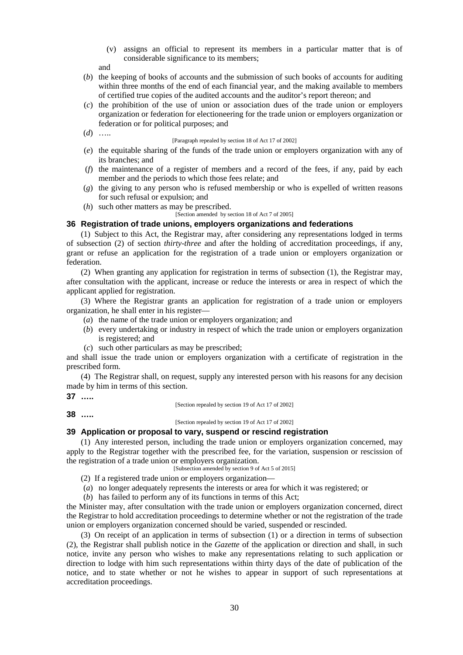(v) assigns an official to represent its members in a particular matter that is of considerable significance to its members;

and

- (*b*) the keeping of books of accounts and the submission of such books of accounts for auditing within three months of the end of each financial year, and the making available to members of certified true copies of the audited accounts and the auditor's report thereon; and
- (*c*) the prohibition of the use of union or association dues of the trade union or employers organization or federation for electioneering for the trade union or employers organization or federation or for political purposes; and
- (*d*) …..

[Paragraph repealed by section 18 of Act 17 of 2002]

- (*e*) the equitable sharing of the funds of the trade union or employers organization with any of its branches; and
- (*f*) the maintenance of a register of members and a record of the fees, if any, paid by each member and the periods to which those fees relate; and
- (*g*) the giving to any person who is refused membership or who is expelled of written reasons for such refusal or expulsion; and
- (*h*) such other matters as may be prescribed.
- [Section amended by section 18 of Act 7 of 2005]

## **36 Registration of trade unions, employers organizations and federations**

(1) Subject to this Act, the Registrar may, after considering any representations lodged in terms of subsection (2) of section *thirty-three* and after the holding of accreditation proceedings, if any, grant or refuse an application for the registration of a trade union or employers organization or federation.

(2) When granting any application for registration in terms of subsection (1), the Registrar may, after consultation with the applicant, increase or reduce the interests or area in respect of which the applicant applied for registration.

(3) Where the Registrar grants an application for registration of a trade union or employers organization, he shall enter in his register—

- (*a*) the name of the trade union or employers organization; and
- (*b*) every undertaking or industry in respect of which the trade union or employers organization is registered; and
- (*c*) such other particulars as may be prescribed;

and shall issue the trade union or employers organization with a certificate of registration in the prescribed form.

(4) The Registrar shall, on request, supply any interested person with his reasons for any decision made by him in terms of this section.

$$
37 \ \ldots
$$

[Section repealed by section 19 of Act 17 of 2002]

**38 …..**

[Section repealed by section 19 of Act 17 of 2002]

## **39 Application or proposal to vary, suspend or rescind registration**

(1) Any interested person, including the trade union or employers organization concerned, may apply to the Registrar together with the prescribed fee, for the variation, suspension or rescission of the registration of a trade union or employers organization.

[Subsection amended by section 9 of Act 5 of 2015]

- (2) If a registered trade union or employers organization—
- (*a*) no longer adequately represents the interests or area for which it was registered; or
- (*b*) has failed to perform any of its functions in terms of this Act;

the Minister may, after consultation with the trade union or employers organization concerned, direct the Registrar to hold accreditation proceedings to determine whether or not the registration of the trade union or employers organization concerned should be varied, suspended or rescinded.

(3) On receipt of an application in terms of subsection (1) or a direction in terms of subsection (2), the Registrar shall publish notice in the *Gazette* of the application or direction and shall, in such notice, invite any person who wishes to make any representations relating to such application or direction to lodge with him such representations within thirty days of the date of publication of the notice, and to state whether or not he wishes to appear in support of such representations at accreditation proceedings.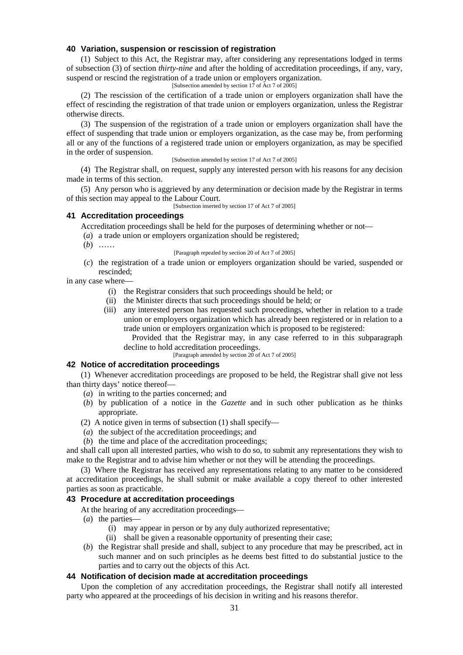### **40 Variation, suspension or rescission of registration**

(1) Subject to this Act, the Registrar may, after considering any representations lodged in terms of subsection (3) of section *thirty-nine* and after the holding of accreditation proceedings, if any, vary, suspend or rescind the registration of a trade union or employers organization.

[Subsection amended by section 17 of Act 7 of 2005]

(2) The rescission of the certification of a trade union or employers organization shall have the effect of rescinding the registration of that trade union or employers organization, unless the Registrar otherwise directs.

(3) The suspension of the registration of a trade union or employers organization shall have the effect of suspending that trade union or employers organization, as the case may be, from performing all or any of the functions of a registered trade union or employers organization, as may be specified in the order of suspension.

#### [Subsection amended by section 17 of Act 7 of 2005]

(4) The Registrar shall, on request, supply any interested person with his reasons for any decision made in terms of this section.

(5) Any person who is aggrieved by any determination or decision made by the Registrar in terms of this section may appeal to the Labour Court.

[Subsection inserted by section 17 of Act 7 of 2005]

## **41 Accreditation proceedings**

Accreditation proceedings shall be held for the purposes of determining whether or not—

- (*a*) a trade union or employers organization should be registered;
- (*b*) ……

[Paragraph repealed by section 20 of Act 7 of 2005]

(*c*) the registration of a trade union or employers organization should be varied, suspended or rescinded;

in any case where—

- (i) the Registrar considers that such proceedings should be held; or
- (ii) the Minister directs that such proceedings should be held; or
- (iii) any interested person has requested such proceedings, whether in relation to a trade union or employers organization which has already been registered or in relation to a trade union or employers organization which is proposed to be registered:

Provided that the Registrar may, in any case referred to in this subparagraph decline to hold accreditation proceedings.

[Paragraph amended by section 20 of Act 7 of 2005]

# **42 Notice of accreditation proceedings**

(1) Whenever accreditation proceedings are proposed to be held, the Registrar shall give not less than thirty days' notice thereof—

- (*a*) in writing to the parties concerned; and
- (*b*) by publication of a notice in the *Gazette* and in such other publication as he thinks appropriate.
- (2) A notice given in terms of subsection (1) shall specify—
- (*a*) the subject of the accreditation proceedings; and
- (*b*) the time and place of the accreditation proceedings;

and shall call upon all interested parties, who wish to do so, to submit any representations they wish to make to the Registrar and to advise him whether or not they will be attending the proceedings.

(3) Where the Registrar has received any representations relating to any matter to be considered at accreditation proceedings, he shall submit or make available a copy thereof to other interested parties as soon as practicable.

### **43 Procedure at accreditation proceedings**

At the hearing of any accreditation proceedings—

- (*a*) the parties—
	- (i) may appear in person or by any duly authorized representative;
	- (ii) shall be given a reasonable opportunity of presenting their case;
- (*b*) the Registrar shall preside and shall, subject to any procedure that may be prescribed, act in such manner and on such principles as he deems best fitted to do substantial justice to the parties and to carry out the objects of this Act.

### **44 Notification of decision made at accreditation proceedings**

Upon the completion of any accreditation proceedings, the Registrar shall notify all interested party who appeared at the proceedings of his decision in writing and his reasons therefor.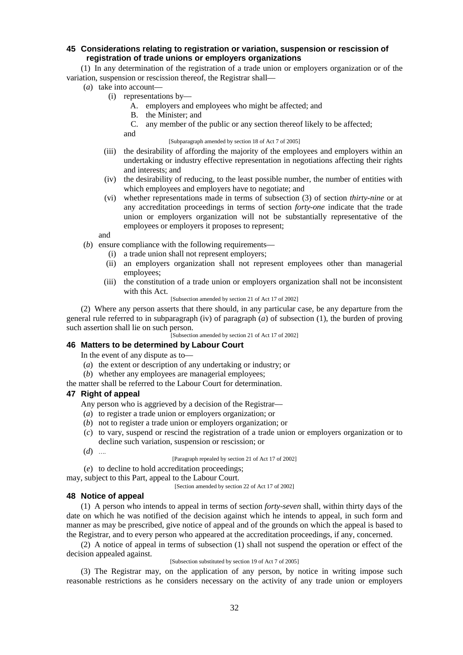# **45 Considerations relating to registration or variation, suspension or rescission of registration of trade unions or employers organizations**

(1) In any determination of the registration of a trade union or employers organization or of the variation, suspension or rescission thereof, the Registrar shall—

- (*a*) take into account—
	- (i) representations by—
		- A. employers and employees who might be affected; and
		- B. the Minister; and
		- C. any member of the public or any section thereof likely to be affected;

and

[Subparagraph amended by section 18 of Act 7 of 2005]

- (iii) the desirability of affording the majority of the employees and employers within an undertaking or industry effective representation in negotiations affecting their rights and interests; and
- (iv) the desirability of reducing, to the least possible number, the number of entities with which employees and employers have to negotiate; and
- (vi) whether representations made in terms of subsection (3) of section *thirty-nine* or at any accreditation proceedings in terms of section *forty-one* indicate that the trade union or employers organization will not be substantially representative of the employees or employers it proposes to represent;

and

- (*b*) ensure compliance with the following requirements—
	- (i) a trade union shall not represent employers;
	- (ii) an employers organization shall not represent employees other than managerial employees;
	- (iii) the constitution of a trade union or employers organization shall not be inconsistent with this Act.
		- [Subsection amended by section 21 of Act 17 of 2002]

(2) Where any person asserts that there should, in any particular case, be any departure from the general rule referred to in subparagraph (iv) of paragraph (*a*) of subsection (1), the burden of proving such assertion shall lie on such person.

[Subsection amended by section 21 of Act 17 of 2002]

## **46 Matters to be determined by Labour Court**

In the event of any dispute as to—

- (*a*) the extent or description of any undertaking or industry; or
- (*b*) whether any employees are managerial employees;
- the matter shall be referred to the Labour Court for determination.

### **47 Right of appeal**

- Any person who is aggrieved by a decision of the Registrar—
- (*a*) to register a trade union or employers organization; or
- (*b*) not to register a trade union or employers organization; or
- (*c*) to vary, suspend or rescind the registration of a trade union or employers organization or to decline such variation, suspension or rescission; or
- (*d*) ….

[Paragraph repealed by section 21 of Act 17 of 2002]

(*e*) to decline to hold accreditation proceedings;

may, subject to this Part, appeal to the Labour Court.

[Section amended by section 22 of Act 17 of 2002]

### **48 Notice of appeal**

(1) A person who intends to appeal in terms of section *forty-seven* shall, within thirty days of the date on which he was notified of the decision against which he intends to appeal, in such form and manner as may be prescribed, give notice of appeal and of the grounds on which the appeal is based to the Registrar, and to every person who appeared at the accreditation proceedings, if any, concerned.

(2) A notice of appeal in terms of subsection (1) shall not suspend the operation or effect of the decision appealed against.

#### [Subsection substituted by section 19 of Act 7 of 2005]

(3) The Registrar may, on the application of any person, by notice in writing impose such reasonable restrictions as he considers necessary on the activity of any trade union or employers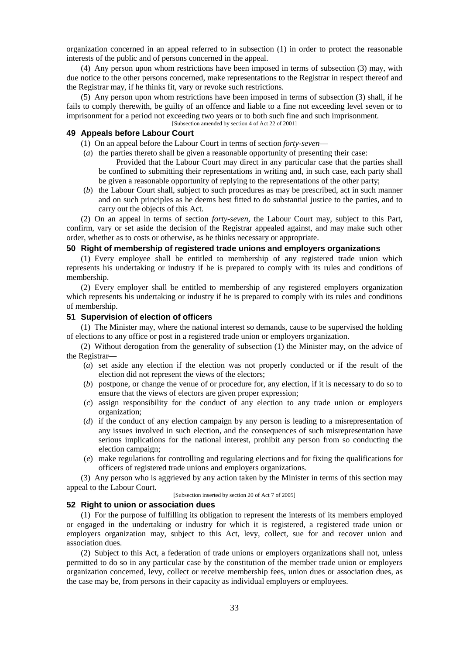organization concerned in an appeal referred to in subsection (1) in order to protect the reasonable interests of the public and of persons concerned in the appeal.

(4) Any person upon whom restrictions have been imposed in terms of subsection (3) may, with due notice to the other persons concerned, make representations to the Registrar in respect thereof and the Registrar may, if he thinks fit, vary or revoke such restrictions.

(5) Any person upon whom restrictions have been imposed in terms of subsection (3) shall, if he fails to comply therewith, be guilty of an offence and liable to a fine not exceeding level seven or to imprisonment for a period not exceeding two years or to both such fine and such imprisonment. [Subsection amended by section 4 of Act 22 of 2001]

### **49 Appeals before Labour Court**

- (1) On an appeal before the Labour Court in terms of section *forty-seven*—
- (*a*) the parties thereto shall be given a reasonable opportunity of presenting their case: Provided that the Labour Court may direct in any particular case that the parties shall be confined to submitting their representations in writing and, in such case, each party shall
	- be given a reasonable opportunity of replying to the representations of the other party;
- (*b*) the Labour Court shall, subject to such procedures as may be prescribed, act in such manner and on such principles as he deems best fitted to do substantial justice to the parties, and to carry out the objects of this Act.

(2) On an appeal in terms of section *forty-seven*, the Labour Court may, subject to this Part, confirm, vary or set aside the decision of the Registrar appealed against, and may make such other order, whether as to costs or otherwise, as he thinks necessary or appropriate.

## **50 Right of membership of registered trade unions and employers organizations**

(1) Every employee shall be entitled to membership of any registered trade union which represents his undertaking or industry if he is prepared to comply with its rules and conditions of membership.

(2) Every employer shall be entitled to membership of any registered employers organization which represents his undertaking or industry if he is prepared to comply with its rules and conditions of membership.

## **51 Supervision of election of officers**

(1) The Minister may, where the national interest so demands, cause to be supervised the holding of elections to any office or post in a registered trade union or employers organization.

(2) Without derogation from the generality of subsection (1) the Minister may, on the advice of the Registrar—

- (*a*) set aside any election if the election was not properly conducted or if the result of the election did not represent the views of the electors;
- (*b*) postpone, or change the venue of or procedure for, any election, if it is necessary to do so to ensure that the views of electors are given proper expression;
- (*c*) assign responsibility for the conduct of any election to any trade union or employers organization;
- (*d*) if the conduct of any election campaign by any person is leading to a misrepresentation of any issues involved in such election, and the consequences of such misrepresentation have serious implications for the national interest, prohibit any person from so conducting the election campaign;
- (*e*) make regulations for controlling and regulating elections and for fixing the qualifications for officers of registered trade unions and employers organizations.

(3) Any person who is aggrieved by any action taken by the Minister in terms of this section may appeal to the Labour Court.

[Subsection inserted by section 20 of Act 7 of 2005]

# **52 Right to union or association dues**

(1) For the purpose of fulfilling its obligation to represent the interests of its members employed or engaged in the undertaking or industry for which it is registered, a registered trade union or employers organization may, subject to this Act, levy, collect, sue for and recover union and association dues.

(2) Subject to this Act, a federation of trade unions or employers organizations shall not, unless permitted to do so in any particular case by the constitution of the member trade union or employers organization concerned, levy, collect or receive membership fees, union dues or association dues, as the case may be, from persons in their capacity as individual employers or employees.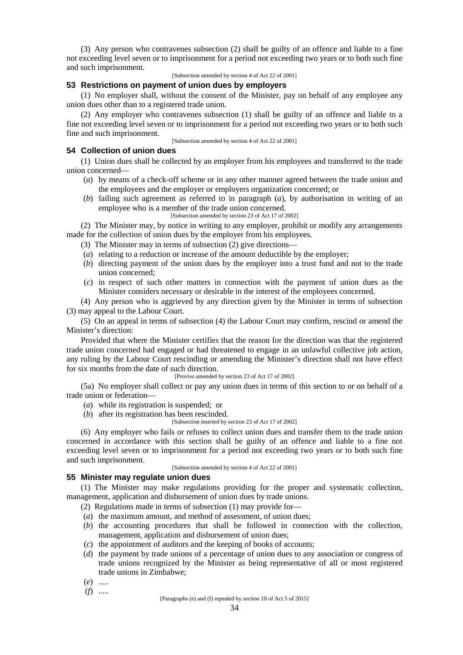(3) Any person who contravenes subsection (2) shall be guilty of an offence and liable to a fine not exceeding level seven or to imprisonment for a period not exceeding two years or to both such fine and such imprisonment.

[Subsection amended by section 4 of Act 22 of 2001]

# **53 Restrictions on payment of union dues by employers**

(1) No employer shall, without the consent of the Minister, pay on behalf of any employee any union dues other than to a registered trade union.

(2) Any employer who contravenes subsection (1) shall be guilty of an offence and liable to a fine not exceeding level seven or to imprisonment for a period not exceeding two years or to both such fine and such imprisonment.

[Subsection amended by section 4 of Act 22 of 2001]

# **54 Collection of union dues**

(1) Union dues shall be collected by an employer from his employees and transferred to the trade union concerned—

- (*a*) by means of a check-off scheme or in any other manner agreed between the trade union and the employees and the employer or employers organization concerned; or
- (*b*) failing such agreement as referred to in paragraph (*a*), by authorisation in writing of an employee who is a member of the trade union concerned.
	- [Subsection amended by section 23 of Act 17 of 2002]

(2) The Minister may, by notice in writing to any employer, prohibit or modify any arrangements made for the collection of union dues by the employer from his employees.

- (3) The Minister may in terms of subsection (2) give directions—
- (*a*) relating to a reduction or increase of the amount deductible by the employer;
- (*b*) directing payment of the union dues by the employer into a trust fund and not to the trade union concerned;
- (*c*) in respect of such other matters in connection with the payment of union dues as the Minister considers necessary or desirable in the interest of the employees concerned.

(4) Any person who is aggrieved by any direction given by the Minister in terms of subsection (3) may appeal to the Labour Court.

(5) On an appeal in terms of subsection (4) the Labour Court may confirm, rescind or amend the Minister's direction:

Provided that where the Minister certifies that the reason for the direction was that the registered trade union concerned had engaged or had threatened to engage in an unlawful collective job action, any ruling by the Labour Court rescinding or amending the Minister's direction shall not have effect for six months from the date of such direction.

#### [Proviso amended by section 23 of Act 17 of 2002]

(5a) No employer shall collect or pay any union dues in terms of this section to or on behalf of a trade union or federation—

- (*a*) while its registration is suspended; or
- (*b*) after its registration has been rescinded.

[Subsection inserted by section 23 of Act 17 of 2002]

(6) Any employer who fails or refuses to collect union dues and transfer them to the trade union concerned in accordance with this section shall be guilty of an offence and liable to a fine not exceeding level seven or to imprisonment for a period not exceeding two years or to both such fine and such imprisonment.

[Subsection amended by section 4 of Act 22 of 2001]

# **55 Minister may regulate union dues**

(1) The Minister may make regulations providing for the proper and systematic collection, management, application and disbursement of union dues by trade unions.

- (2) Regulations made in terms of subsection (1) may provide for—
- (*a*) the maximum amount, and method of assessment, of union dues;
- (*b*) the accounting procedures that shall be followed in connection with the collection, management, application and disbursement of union dues;
- (*c*) the appointment of auditors and the keeping of books of accounts;
- (*d*) the payment by trade unions of a percentage of union dues to any association or congress of trade unions recognized by the Minister as being representative of all or most registered trade unions in Zimbabwe;
- (*e*) .....
- (*f*) .....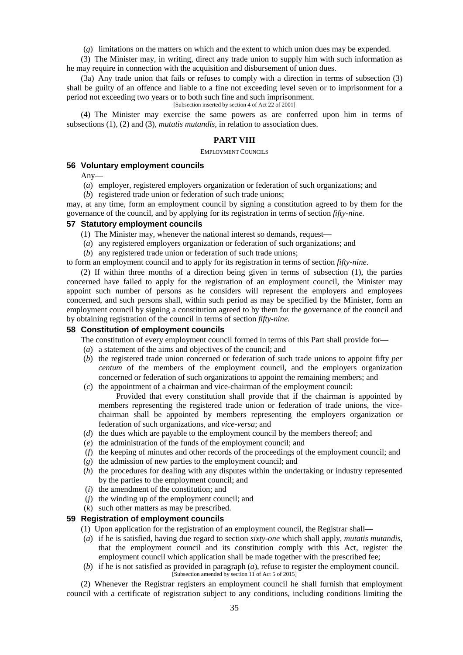(*g*) limitations on the matters on which and the extent to which union dues may be expended.

(3) The Minister may, in writing, direct any trade union to supply him with such information as he may require in connection with the acquisition and disbursement of union dues.

(3a) Any trade union that fails or refuses to comply with a direction in terms of subsection (3) shall be guilty of an offence and liable to a fine not exceeding level seven or to imprisonment for a period not exceeding two years or to both such fine and such imprisonment.

[Subsection inserted by section 4 of Act 22 of 2001]

(4) The Minister may exercise the same powers as are conferred upon him in terms of subsections (1), (2) and (3), *mutatis mutandis*, in relation to association dues.

# **PART VIII**

### **EMPLOYMENT COUNCILS**

# **56 Voluntary employment councils**

Any—

- (*a*) employer, registered employers organization or federation of such organizations; and
- (*b*) registered trade union or federation of such trade unions;

may, at any time, form an employment council by signing a constitution agreed to by them for the governance of the council, and by applying for its registration in terms of section *fifty-nine.*

### **57 Statutory employment councils**

- (1) The Minister may, whenever the national interest so demands, request—
- (*a*) any registered employers organization or federation of such organizations; and
- (*b*) any registered trade union or federation of such trade unions;

to form an employment council and to apply for its registration in terms of section *fifty-nine.*

(2) If within three months of a direction being given in terms of subsection (1), the parties concerned have failed to apply for the registration of an employment council, the Minister may appoint such number of persons as he considers will represent the employers and employees concerned, and such persons shall, within such period as may be specified by the Minister, form an employment council by signing a constitution agreed to by them for the governance of the council and by obtaining registration of the council in terms of section *fifty-nine.*

## **58 Constitution of employment councils**

The constitution of every employment council formed in terms of this Part shall provide for—

- (*a*) a statement of the aims and objectives of the council; and
- (*b*) the registered trade union concerned or federation of such trade unions to appoint fifty *per centum* of the members of the employment council, and the employers organization concerned or federation of such organizations to appoint the remaining members; and
- (*c*) the appointment of a chairman and vice-chairman of the employment council:

Provided that every constitution shall provide that if the chairman is appointed by members representing the registered trade union or federation of trade unions, the vice chairman shall be appointed by members representing the employers organization or federation of such organizations, and *vice-versa*; and

- (*d*) the dues which are payable to the employment council by the members thereof; and
- (*e*) the administration of the funds of the employment council; and
- (*f*) the keeping of minutes and other records of the proceedings of the employment council; and
- (*g*) the admission of new parties to the employment council; and
- (*h*) the procedures for dealing with any disputes within the undertaking or industry represented by the parties to the employment council; and
- (*i*) the amendment of the constitution; and
- (*j*) the winding up of the employment council; and
- (*k*) such other matters as may be prescribed.

### **59 Registration of employment councils**

- (1) Upon application for the registration of an employment council, the Registrar shall—
- (*a*) if he is satisfied, having due regard to section *sixty-one* which shall apply, *mutatis mutandis*, that the employment council and its constitution comply with this Act, register the employment council which application shall be made together with the prescribed fee;
- (*b*) if he is not satisfied as provided in paragraph (*a*), refuse to register the employment council. [Subsection amended by section 11 of Act 5 of 2015]

(2) Whenever the Registrar registers an employment council he shall furnish that employment council with a certificate of registration subject to any conditions, including conditions limiting the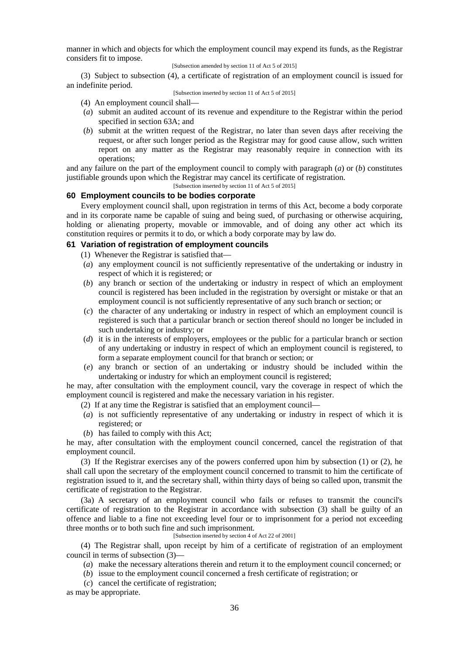manner in which and objects for which the employment council may expend its funds, as the Registrar considers fit to impose.

[Subsection amended by section 11 of Act 5 of 2015]

(3) Subject to subsection (4), a certificate of registration of an employment council is issued for an indefinite period.

### [Subsection inserted by section 11 of Act 5 of 2015]

- (4) An employment council shall—
- (*a*) submit an audited account of its revenue and expenditure to the Registrar within the period specified in section 63A; and
- (*b*) submit at the written request of the Registrar, no later than seven days after receiving the request, or after such longer period as the Registrar may for good cause allow, such written report on any matter as the Registrar may reasonably require in connection with its operations;

and any failure on the part of the employment council to comply with paragraph (*a*) or (*b*) constitutes justifiable grounds upon which the Registrar may cancel its certificate of registration.

[Subsection inserted by section 11 of Act 5 of 2015]

# **60 Employment councils to be bodies corporate**

Every employment council shall, upon registration in terms of this Act, become a body corporate and in its corporate name be capable of suing and being sued, of purchasing or otherwise acquiring, holding or alienating property, movable or immovable, and of doing any other act which its constitution requires or permits it to do, or which a body corporate may by law do.

# **61 Variation of registration of employment councils**

- (1) Whenever the Registrar is satisfied that—
- (*a*) any employment council is not sufficiently representative of the undertaking or industry in respect of which it is registered; or
- (*b*) any branch or section of the undertaking or industry in respect of which an employment council is registered has been included in the registration by oversight or mistake or that an employment council is not sufficiently representative of any such branch or section; or
- (*c*) the character of any undertaking or industry in respect of which an employment council is registered is such that a particular branch or section thereof should no longer be included in such undertaking or industry; or
- (*d*) it is in the interests of employers, employees or the public for a particular branch or section of any undertaking or industry in respect of which an employment council is registered, to form a separate employment council for that branch or section; or
- (*e*) any branch or section of an undertaking or industry should be included within the undertaking or industry for which an employment council is registered;

he may, after consultation with the employment council, vary the coverage in respect of which the employment council is registered and make the necessary variation in his register.

- (2) If at any time the Registrar is satisfied that an employment council—
- (*a*) is not sufficiently representative of any undertaking or industry in respect of which it is registered; or
- (*b*) has failed to comply with this Act;

he may, after consultation with the employment council concerned, cancel the registration of that employment council.

(3) If the Registrar exercises any of the powers conferred upon him by subsection (1) or (2), he shall call upon the secretary of the employment council concerned to transmit to him the certificate of registration issued to it, and the secretary shall, within thirty days of being so called upon, transmit the certificate of registration to the Registrar.

(3a) A secretary of an employment council who fails or refuses to transmit the council's certificate of registration to the Registrar in accordance with subsection (3) shall be guilty of an offence and liable to a fine not exceeding level four or to imprisonment for a period not exceeding three months or to both such fine and such imprisonment.

[Subsection inserted by section 4 of Act 22 of 2001]

(4) The Registrar shall, upon receipt by him of a certificate of registration of an employment council in terms of subsection (3)—

- (*a*) make the necessary alterations therein and return it to the employment council concerned; or
- (*b*) issue to the employment council concerned a fresh certificate of registration; or
- (*c*) cancel the certificate of registration;

as may be appropriate.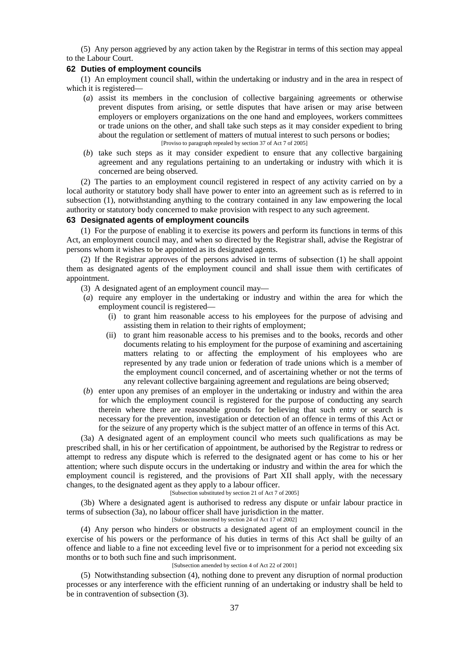(5) Any person aggrieved by any action taken by the Registrar in terms of this section may appeal to the Labour Court.

### **62 Duties of employment councils**

(1) An employment council shall, within the undertaking or industry and in the area in respect of which it is registered—

- (*a*) assist its members in the conclusion of collective bargaining agreements or otherwise prevent disputes from arising, or settle disputes that have arisen or may arise between employers or employers organizations on the one hand and employees, workers committees or trade unions on the other, and shall take such steps as it may consider expedient to bring about the regulation or settlement of matters of mutual interest to such persons or bodies; [Proviso to paragraph repealed by section 37 of Act 7 of 2005]
- (*b*) take such steps as it may consider expedient to ensure that any collective bargaining agreement and any regulations pertaining to an undertaking or industry with which it is concerned are being observed.

(2) The parties to an employment council registered in respect of any activity carried on by a local authority or statutory body shall have power to enter into an agreement such as is referred to in subsection (1), notwithstanding anything to the contrary contained in any law empowering the local authority or statutory body concerned to make provision with respect to any such agreement.

#### **63 Designated agents of employment councils**

(1) For the purpose of enabling it to exercise its powers and perform its functions in terms of this Act, an employment council may, and when so directed by the Registrar shall, advise the Registrar of persons whom it wishes to be appointed as its designated agents.

(2) If the Registrar approves of the persons advised in terms of subsection (1) he shall appoint them as designated agents of the employment council and shall issue them with certificates of appointment.

- (3) A designated agent of an employment council may—
- (*a*) require any employer in the undertaking or industry and within the area for which the employment council is registered—
	- (i) to grant him reasonable access to his employees for the purpose of advising and assisting them in relation to their rights of employment;
	- (ii) to grant him reasonable access to his premises and to the books, records and other documents relating to his employment for the purpose of examining and ascertaining matters relating to or affecting the employment of his employees who are represented by any trade union or federation of trade unions which is a member of the employment council concerned, and of ascertaining whether or not the terms of any relevant collective bargaining agreement and regulations are being observed;
- (*b*) enter upon any premises of an employer in the undertaking or industry and within the area for which the employment council is registered for the purpose of conducting any search therein where there are reasonable grounds for believing that such entry or search is necessary for the prevention, investigation or detection of an offence in terms of this Act or for the seizure of any property which is the subject matter of an offence in terms of this Act.

(3a) A designated agent of an employment council who meets such qualifications as may be prescribed shall, in his or her certification of appointment, be authorised by the Registrar to redress or attempt to redress any dispute which is referred to the designated agent or has come to his or her attention; where such dispute occurs in the undertaking or industry and within the area for which the employment council is registered, and the provisions of Part XII shall apply, with the necessary changes, to the designated agent as they apply to a labour officer.

[Subsection substituted by section 21 of Act 7 of 2005]

(3b) Where a designated agent is authorised to redress any dispute or unfair labour practice in terms of subsection (3a), no labour officer shall have jurisdiction in the matter.

[Subsection inserted by section 24 of Act 17 of 2002]

(4) Any person who hinders or obstructs a designated agent of an employment council in the exercise of his powers or the performance of his duties in terms of this Act shall be guilty of an offence and liable to a fine not exceeding level five or to imprisonment for a period not exceeding six months or to both such fine and such imprisonment.

### [Subsection amended by section 4 of Act 22 of 2001]

(5) Notwithstanding subsection (4), nothing done to prevent any disruption of normal production processes or any interference with the efficient running of an undertaking or industry shall be held to be in contravention of subsection (3).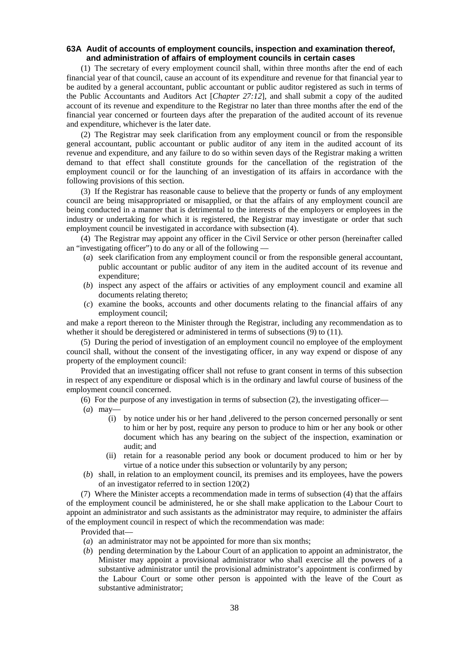# **63A Audit of accounts of employment councils, inspection and examination thereof, and administration of affairs of employment councils in certain cases**

(1) The secretary of every employment council shall, within three months after the end of each financial year of that council, cause an account of its expenditure and revenue for that financial year to be audited by a general accountant, public accountant or public auditor registered as such in terms of the Public Accountants and Auditors Act [*Chapter 27:12*]*,* and shall submit a copy of the audited account of its revenue and expenditure to the Registrar no later than three months after the end of the financial year concerned or fourteen days after the preparation of the audited account of its revenue and expenditure, whichever is the later date.

(2) The Registrar may seek clarification from any employment council or from the responsible general accountant, public accountant or public auditor of any item in the audited account of its revenue and expenditure, and any failure to do so within seven days of the Registrar making a written demand to that effect shall constitute grounds for the cancellation of the registration of the employment council or for the launching of an investigation of its affairs in accordance with the following provisions of this section.

(3) If the Registrar has reasonable cause to believe that the property or funds of any employment council are being misappropriated or misapplied, or that the affairs of any employment council are being conducted in a manner that is detrimental to the interests of the employers or employees in the industry or undertaking for which it is registered, the Registrar may investigate or order that such employment council be investigated in accordance with subsection (4).

(4) The Registrar may appoint any officer in the Civil Service or other person (hereinafter called an "investigating officer") to do any or all of the following —

- (*a*) seek clarification from any employment council or from the responsible general accountant, public accountant or public auditor of any item in the audited account of its revenue and expenditure;
- (*b*) inspect any aspect of the affairs or activities of any employment council and examine all documents relating thereto;
- (*c*) examine the books, accounts and other documents relating to the financial affairs of any employment council;

and make a report thereon to the Minister through the Registrar, including any recommendation as to whether it should be deregistered or administered in terms of subsections (9) to (11).

(5) During the period of investigation of an employment council no employee of the employment council shall, without the consent of the investigating officer, in any way expend or dispose of any property of the employment council:

Provided that an investigating officer shall not refuse to grant consent in terms of this subsection in respect of any expenditure or disposal which is in the ordinary and lawful course of business of the employment council concerned.

(6) For the purpose of any investigation in terms of subsection (2), the investigating officer—

- (*a*) may—
	- (i) by notice under his or her hand ,delivered to the person concerned personally or sent to him or her by post, require any person to produce to him or her any book or other document which has any bearing on the subject of the inspection, examination or audit; and
	- (ii) retain for a reasonable period any book or document produced to him or her by virtue of a notice under this subsection or voluntarily by any person;
- (*b*) shall, in relation to an employment council, its premises and its employees, have the powers of an investigator referred to in section 120(2)

(7) Where the Minister accepts a recommendation made in terms of subsection (4) that the affairs of the employment council be administered, he or she shall make application to the Labour Court to appoint an administrator and such assistants as the administrator may require, to administer the affairs of the employment council in respect of which the recommendation was made:

- Provided that—
- (*a*) an administrator may not be appointed for more than six months;
- (*b*) pending determination by the Labour Court of an application to appoint an administrator, the Minister may appoint a provisional administrator who shall exercise all the powers of a substantive administrator until the provisional administrator's appointment is confirmed by the Labour Court or some other person is appointed with the leave of the Court as substantive administrator;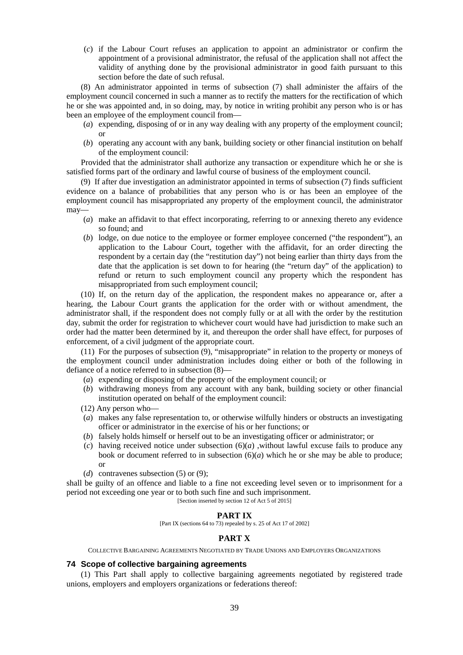(*c*) if the Labour Court refuses an application to appoint an administrator or confirm the appointment of a provisional administrator, the refusal of the application shall not affect the validity of anything done by the provisional administrator in good faith pursuant to this section before the date of such refusal.

(8) An administrator appointed in terms of subsection (7) shall administer the affairs of the employment council concerned in such a manner as to rectify the matters for the rectification of which he or she was appointed and, in so doing, may, by notice in writing prohibit any person who is or has been an employee of the employment council from—

- (*a*) expending, disposing of or in any way dealing with any property of the employment council; or
- (*b*) operating any account with any bank, building society or other financial institution on behalf of the employment council:

Provided that the administrator shall authorize any transaction or expenditure which he or she is satisfied forms part of the ordinary and lawful course of business of the employment council.

(9) If after due investigation an administrator appointed in terms of subsection (7) finds sufficient evidence on a balance of probabilities that any person who is or has been an employee of the employment council has misappropriated any property of the employment council, the administrator may—

- (*a*) make an affidavit to that effect incorporating, referring to or annexing thereto any evidence so found; and
- (*b*) lodge, on due notice to the employee or former employee concerned ("the respondent"), an application to the Labour Court, together with the affidavit, for an order directing the respondent by a certain day (the "restitution day") not being earlier than thirty days from the date that the application is set down to for hearing (the "return day" of the application) to refund or return to such employment council any property which the respondent has misappropriated from such employment council;

(10) If, on the return day of the application, the respondent makes no appearance or, after a hearing, the Labour Court grants the application for the order with or without amendment, the administrator shall, if the respondent does not comply fully or at all with the order by the restitution day, submit the order for registration to whichever court would have had jurisdiction to make such an order had the matter been determined by it, and thereupon the order shall have effect, for purposes of enforcement, of a civil judgment of the appropriate court.

(11) For the purposes of subsection (9), "misappropriate" in relation to the property or moneys of the employment council under administration includes doing either or both of the following in defiance of a notice referred to in subsection (8)—

- (*a*) expending or disposing of the property of the employment council; or
- (*b*) withdrawing moneys from any account with any bank, building society or other financial institution operated on behalf of the employment council:
- (12) Any person who—
- (*a*) makes any false representation to, or otherwise wilfully hinders or obstructs an investigating officer or administrator in the exercise of his or her functions; or
- (*b*) falsely holds himself or herself out to be an investigating officer or administrator; or
- (*c*) having received notice under subsection (6)(*a*) ,without lawful excuse fails to produce any book or document referred to in subsection  $(6)(a)$  which he or she may be able to produce; or
- (*d*) contravenes subsection (5) or (9);

shall be guilty of an offence and liable to a fine not exceeding level seven or to imprisonment for a period not exceeding one year or to both such fine and such imprisonment.

[Section inserted by section 12 of Act 5 of 2015]

# **PART IX**

[Part IX (sections 64 to 73) repealed by s. 25 of Act 17 of 2002]

# **PART X**

COLLECTIVE BARGAINING AGREEMENTS NEGOTIATED BY TRADE UNIONS AND EMPLOYERS ORGANIZATIONS

### **74 Scope of collective bargaining agreements**

(1) This Part shall apply to collective bargaining agreements negotiated by registered trade unions, employers and employers organizations or federations thereof: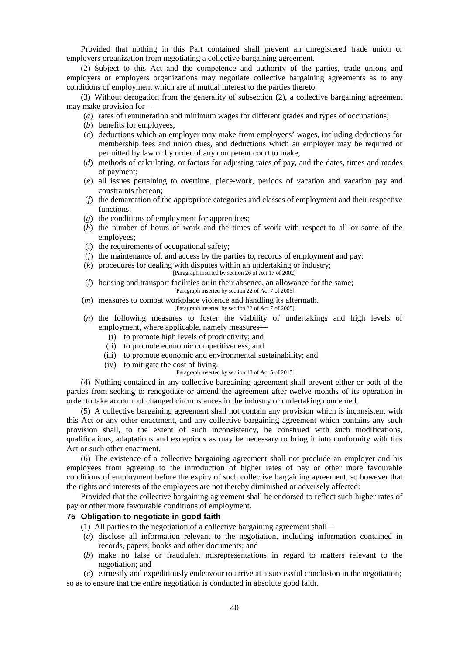Provided that nothing in this Part contained shall prevent an unregistered trade union or employers organization from negotiating a collective bargaining agreement.

(2) Subject to this Act and the competence and authority of the parties, trade unions and employers or employers organizations may negotiate collective bargaining agreements as to any conditions of employment which are of mutual interest to the parties thereto.

(3) Without derogation from the generality of subsection (2), a collective bargaining agreement may make provision for—

- (*a*) rates of remuneration and minimum wages for different grades and types of occupations;
- (*b*) benefits for employees;
- (*c*) deductions which an employer may make from employees' wages, including deductions for membership fees and union dues, and deductions which an employer may be required or permitted by law or by order of any competent court to make;
- (*d*) methods of calculating, or factors for adjusting rates of pay, and the dates, times and modes of payment;
- (*e*) all issues pertaining to overtime, piece-work, periods of vacation and vacation pay and constraints thereon;
- (*f*) the demarcation of the appropriate categories and classes of employment and their respective functions;
- (*g*) the conditions of employment for apprentices;
- (*h*) the number of hours of work and the times of work with respect to all or some of the employees;
- (*i*) the requirements of occupational safety;
- (*j*) the maintenance of, and access by the parties to, records of employment and pay;
- (*k*) procedures for dealing with disputes within an undertaking or industry;
	- [Paragraph inserted by section 26 of Act 17 of 2002]
- (*l*) housing and transport facilities or in their absence, an allowance for the same; [Paragraph inserted by section 22 of Act 7 of 2005]
- (*m*) measures to combat workplace violence and handling its aftermath. [Paragraph inserted by section 22 of Act 7 of 2005]
- (*n*) the following measures to foster the viability of undertakings and high levels of employment, where applicable, namely measures—
	- (i) to promote high levels of productivity; and
	- (ii) to promote economic competitiveness; and
	- (iii) to promote economic and environmental sustainability; and
	- (iv) to mitigate the cost of living.

#### [Paragraph inserted by section 13 of Act 5 of 2015]

(4) Nothing contained in any collective bargaining agreement shall prevent either or both of the parties from seeking to renegotiate or amend the agreement after twelve months of its operation in order to take account of changed circumstances in the industry or undertaking concerned.

(5) A collective bargaining agreement shall not contain any provision which is inconsistent with this Act or any other enactment, and any collective bargaining agreement which contains any such provision shall, to the extent of such inconsistency, be construed with such modifications, qualifications, adaptations and exceptions as may be necessary to bring it into conformity with this Act or such other enactment.

(6) The existence of a collective bargaining agreement shall not preclude an employer and his employees from agreeing to the introduction of higher rates of pay or other more favourable conditions of employment before the expiry of such collective bargaining agreement, so however that the rights and interests of the employees are not thereby diminished or adversely affected:

Provided that the collective bargaining agreement shall be endorsed to reflect such higher rates of pay or other more favourable conditions of employment.

# **75 Obligation to negotiate in good faith**

- (1) All parties to the negotiation of a collective bargaining agreement shall—
- (*a*) disclose all information relevant to the negotiation, including information contained in records, papers, books and other documents; and
- (*b*) make no false or fraudulent misrepresentations in regard to matters relevant to the negotiation; and
- (*c*) earnestly and expeditiously endeavour to arrive at a successful conclusion in the negotiation; so as to ensure that the entire negotiation is conducted in absolute good faith.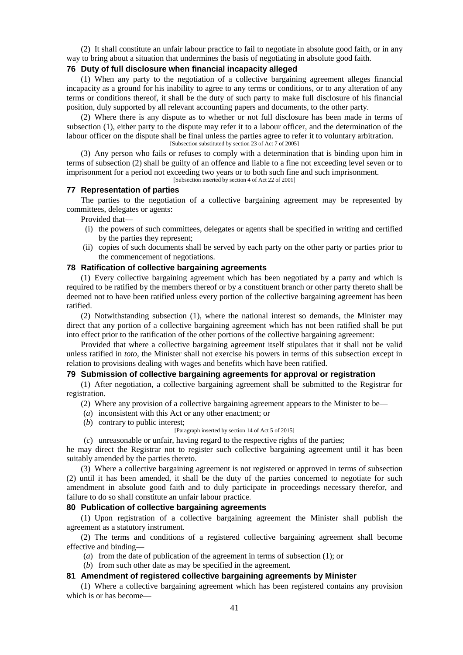(2) It shall constitute an unfair labour practice to fail to negotiate in absolute good faith, or in any way to bring about a situation that undermines the basis of negotiating in absolute good faith.

#### **76 Duty of full disclosure when financial incapacity alleged**

(1) When any party to the negotiation of a collective bargaining agreement alleges financial incapacity as a ground for his inability to agree to any terms or conditions, or to any alteration of any terms or conditions thereof, it shall be the duty of such party to make full disclosure of his financial position, duly supported by all relevant accounting papers and documents, to the other party.

(2) Where there is any dispute as to whether or not full disclosure has been made in terms of subsection (1), either party to the dispute may refer it to a labour officer, and the determination of the labour officer on the dispute shall be final unless the parties agree to refer it to voluntary arbitration. [Subsection substituted by section 23 of Act 7 of 2005]

(3) Any person who fails or refuses to comply with a determination that is binding upon him in terms of subsection (2) shall be guilty of an offence and liable to a fine not exceeding level seven or to imprisonment for a period not exceeding two years or to both such fine and such imprisonment.

[Subsection inserted by section 4 of Act 22 of 2001]

### **77 Representation of parties**

The parties to the negotiation of a collective bargaining agreement may be represented by committees, delegates or agents:

Provided that—

- (i) the powers of such committees, delegates or agents shall be specified in writing and certified by the parties they represent;
- (ii) copies of such documents shall be served by each party on the other party or parties prior to the commencement of negotiations.

### **78 Ratification of collective bargaining agreements**

(1) Every collective bargaining agreement which has been negotiated by a party and which is required to be ratified by the members thereof or by a constituent branch or other party thereto shall be deemed not to have been ratified unless every portion of the collective bargaining agreement has been ratified.

(2) Notwithstanding subsection (1), where the national interest so demands, the Minister may direct that any portion of a collective bargaining agreement which has not been ratified shall be put into effect prior to the ratification of the other portions of the collective bargaining agreement:

Provided that where a collective bargaining agreement itself stipulates that it shall not be valid unless ratified in *toto*, the Minister shall not exercise his powers in terms of this subsection except in relation to provisions dealing with wages and benefits which have been ratified.

### **79 Submission of collective bargaining agreements for approval or registration**

(1) After negotiation, a collective bargaining agreement shall be submitted to the Registrar for registration.

- (2) Where any provision of a collective bargaining agreement appears to the Minister to be—
- (*a*) inconsistent with this Act or any other enactment; or
- (*b*) contrary to public interest;

# [Paragraph inserted by section 14 of Act 5 of 2015]

(*c*) unreasonable or unfair, having regard to the respective rights of the parties;

he may direct the Registrar not to register such collective bargaining agreement until it has been suitably amended by the parties thereto.

(3) Where a collective bargaining agreement is not registered or approved in terms of subsection (2) until it has been amended, it shall be the duty of the parties concerned to negotiate for such amendment in absolute good faith and to duly participate in proceedings necessary therefor, and failure to do so shall constitute an unfair labour practice.

## **80 Publication of collective bargaining agreements**

(1) Upon registration of a collective bargaining agreement the Minister shall publish the agreement as a statutory instrument.

(2) The terms and conditions of a registered collective bargaining agreement shall become effective and binding—

(*a*) from the date of publication of the agreement in terms of subsection (1); or

(*b*) from such other date as may be specified in the agreement.

## **81 Amendment of registered collective bargaining agreements by Minister**

(1) Where a collective bargaining agreement which has been registered contains any provision which is or has become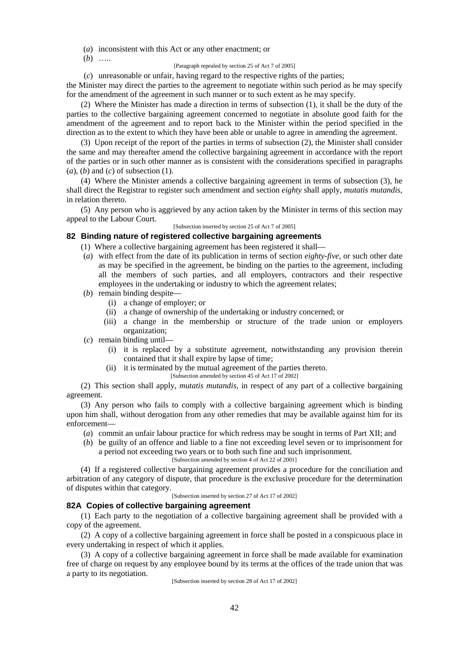(*a*) inconsistent with this Act or any other enactment; or

(*b*) …..

[Paragraph repealed by section 25 of Act 7 of 2005]

(*c*) unreasonable or unfair, having regard to the respective rights of the parties;

the Minister may direct the parties to the agreement to negotiate within such period as he may specify for the amendment of the agreement in such manner or to such extent as he may specify.

(2) Where the Minister has made a direction in terms of subsection (1), it shall be the duty of the parties to the collective bargaining agreement concerned to negotiate in absolute good faith for the amendment of the agreement and to report back to the Minister within the period specified in the direction as to the extent to which they have been able or unable to agree in amending the agreement.

(3) Upon receipt of the report of the parties in terms of subsection (2), the Minister shall consider the same and may thereafter amend the collective bargaining agreement in accordance with the report of the parties or in such other manner as is consistent with the considerations specified in paragraphs (*a*), (*b*) and (*c*) of subsection (1).

(4) Where the Minister amends a collective bargaining agreement in terms of subsection (3), he shall direct the Registrar to register such amendment and section *eighty* shall apply, *mutatis mutandis*, in relation thereto.

(5) Any person who is aggrieved by any action taken by the Minister in terms of this section may appeal to the Labour Court.

[Subsection inserted by section 25 of Act 7 of 2005]

## **82 Binding nature of registered collective bargaining agreements**

- (1) Where a collective bargaining agreement has been registered it shall—
- (*a*) with effect from the date of its publication in terms of section *eighty-five*, or such other date as may be specified in the agreement, be binding on the parties to the agreement, including all the members of such parties, and all employers, contractors and their respective employees in the undertaking or industry to which the agreement relates;
- (*b*) remain binding despite—
	- (i) a change of employer; or
	- (ii) a change of ownership of the undertaking or industry concerned; or
	- (iii) a change in the membership or structure of the trade union or employers organization;
- (*c*) remain binding until—
	- (i) it is replaced by a substitute agreement, notwithstanding any provision therein contained that it shall expire by lapse of time;
	- (ii) it is terminated by the mutual agreement of the parties thereto.
		- [Subsection amended by section 45 of Act 17 of 2002]

(2) This section shall apply, *mutatis mutandis*, in respect of any part of a collective bargaining agreement.

(3) Any person who fails to comply with a collective bargaining agreement which is binding upon him shall, without derogation from any other remedies that may be available against him for its enforcement—

- (*a*) commit an unfair labour practice for which redress may be sought in terms of Part XII; and
- (*b*) be guilty of an offence and liable to a fine not exceeding level seven or to imprisonment for a period not exceeding two years or to both such fine and such imprisonment. [Subsection amended by section 4 of Act 22 of 2001]

(4) If a registered collective bargaining agreement provides a procedure for the conciliation and arbitration of any category of dispute, that procedure is the exclusive procedure for the determination of disputes within that category.

[Subsection inserted by section 27 of Act 17 of 2002]

### **82A Copies of collective bargaining agreement**

(1) Each party to the negotiation of a collective bargaining agreement shall be provided with a copy of the agreement.

(2) A copy of a collective bargaining agreement in force shall be posted in a conspicuous place in every undertaking in respect of which it applies.

(3) A copy of a collective bargaining agreement in force shall be made available for examination free of charge on request by any employee bound by its terms at the offices of the trade union that was a party to its negotiation.

[Subsection inserted by section 28 of Act 17 of 2002]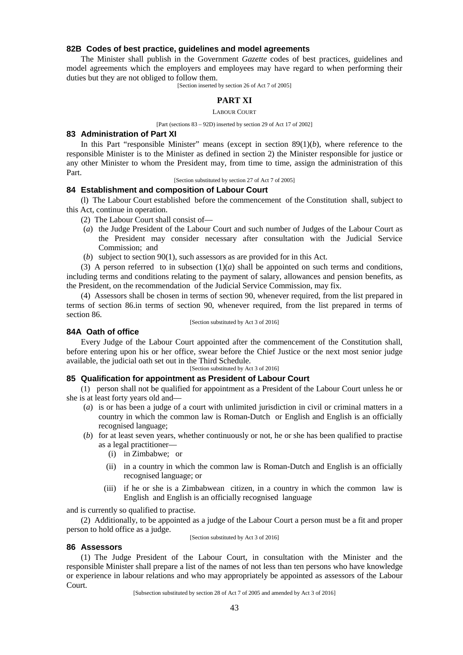## **82B Codes of best practice, guidelines and model agreements**

The Minister shall publish in the Government *Gazette* codes of best practices, guidelines and model agreements which the employers and employees may have regard to when performing their duties but they are not obliged to follow them.

[Section inserted by section 26 of Act 7 of 2005]

# **PART XI**

LABOUR COURT

[Part (sections 83 – 92D) inserted by section 29 of Act 17 of 2002]

### **83 Administration of Part XI**

In this Part "responsible Minister" means (except in section 89(1)(*b*), where reference to the responsible Minister is to the Minister as defined in section 2) the Minister responsible for justice or any other Minister to whom the President may, from time to time, assign the administration of this Part.

#### [Section substituted by section 27 of Act 7 of 2005]

## **84 Establishment and composition of Labour Court**

(l) The Labour Court established before the commencement of the Constitution shall, subject to this Act, continue in operation.

- (2) The Labour Court shall consist of—
- (*a*) the Judge President of the Labour Court and such number of Judges of the Labour Court as the President may consider necessary after consultation with the Judicial Service Commission; and
- (*b*) subject to section 90(1), such assessors as are provided for in this Act.

(3) A person referred to in subsection  $(1)(a)$  shall be appointed on such terms and conditions, including terms and conditions relating to the payment of salary, allowances and pension benefits, as the President, on the recommendation of the Judicial Service Commission, may fix.

(4) Assessors shall be chosen in terms of section 90, whenever required, from the list prepared in terms of section 86.in terms of section 90, whenever required, from the list prepared in terms of section 86.

#### [Section substituted by Act 3 of 2016]

## **84A Oath of office**

Every Judge of the Labour Court appointed after the commencement of the Constitution shall, before entering upon his or her office, swear before the Chief Justice or the next most senior judge available, the judicial oath set out in the Third Schedule.

[Section substituted by Act 3 of 2016]

## **85 Qualification for appointment as President of Labour Court**

(1) person shall not be qualified for appointment as a President of the Labour Court unless he or she is at least forty years old and—

- (*a*) is or has been a judge of a court with unlimited jurisdiction in civil or criminal matters in a country in which the common law is Roman-Dutch or English and English is an officially recognised language;
- (*b*) for at least seven years, whether continuously or not, he or she has been qualified to practise as a legal practitioner—
	- (i) in Zimbabwe; or
	- (ii) in a country in which the common law is Roman-Dutch and English is an officially recognised language; or
	- (iii) if he or she is a Zimbabwean citizen, in a country in which the common law is English and English is an officially recognised language

and is currently so qualified to practise.

(2) Additionally, to be appointed as a judge of the Labour Court a person must be a fit and proper person to hold office as a judge. [Section substituted by Act 3 of 2016]

# **86 Assessors**

(1) The Judge President of the Labour Court, in consultation with the Minister and the responsible Minister shall prepare a list of the names of not less than ten persons who have knowledge or experience in labour relations and who may appropriately be appointed as assessors of the Labour Court.

[Subsection substituted by section 28 of Act 7 of 2005 and amended by Act 3 of 2016]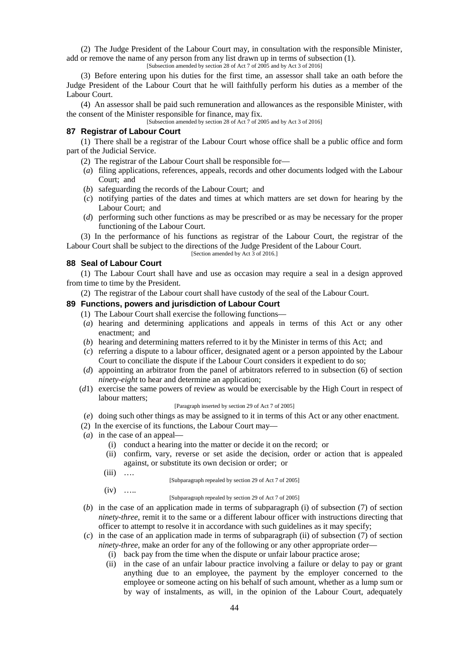(2) The Judge President of the Labour Court may, in consultation with the responsible Minister, add or remove the name of any person from any list drawn up in terms of subsection (1).

[Subsection amended by section 28 of Act 7 of 2005 and by Act 3 of 2016]

(3) Before entering upon his duties for the first time, an assessor shall take an oath before the Judge President of the Labour Court that he will faithfully perform his duties as a member of the Labour Court.

(4) An assessor shall be paid such remuneration and allowances as the responsible Minister, with the consent of the Minister responsible for finance, may fix.

[Subsection amended by section 28 of Act 7 of 2005 and by Act 3 of 2016]

# **87 Registrar of Labour Court**

(1) There shall be a registrar of the Labour Court whose office shall be a public office and form part of the Judicial Service.

- (2) The registrar of the Labour Court shall be responsible for—
- (*a*) filing applications, references, appeals, records and other documents lodged with the Labour Court; and
- (*b*) safeguarding the records of the Labour Court; and
- (*c*) notifying parties of the dates and times at which matters are set down for hearing by the Labour Court; and
- (*d*) performing such other functions as may be prescribed or as may be necessary for the proper functioning of the Labour Court.

(3) In the performance of his functions as registrar of the Labour Court, the registrar of the Labour Court shall be subject to the directions of the Judge President of the Labour Court.

[Section amended by Act  $3$  of 2016.]

### **88 Seal of Labour Court**

(1) The Labour Court shall have and use as occasion may require a seal in a design approved from time to time by the President.

(2) The registrar of the Labour court shall have custody of the seal of the Labour Court.

# **89 Functions, powers and jurisdiction of Labour Court**

- (1) The Labour Court shall exercise the following functions—
- (*a*) hearing and determining applications and appeals in terms of this Act or any other enactment; and
- (*b*) hearing and determining matters referred to it by the Minister in terms of this Act; and
- (*c*) referring a dispute to a labour officer, designated agent or a person appointed by the Labour Court to conciliate the dispute if the Labour Court considers it expedient to do so;
- (*d*) appointing an arbitrator from the panel of arbitrators referred to in subsection (6) of section *ninety-eight* to hear and determine an application;
- (*d*1) exercise the same powers of review as would be exercisable by the High Court in respect of labour matters;

#### [Paragraph inserted by section 29 of Act 7 of 2005]

- (*e*) doing such other things as may be assigned to it in terms of this Act or any other enactment.
- (2) In the exercise of its functions, the Labour Court may—
- (*a*) in the case of an appeal—
	- (i) conduct a hearing into the matter or decide it on the record; or
	- (ii) confirm, vary, reverse or set aside the decision, order or action that is appealed against, or substitute its own decision or order; or
	- $(iii)$  …

[Subparagraph repealed by section 29 of Act 7 of 2005]

 $(iv)$  …

#### [Subparagraph repealed by section 29 of Act 7 of 2005]

- $(b)$  in the case of an application made in terms of subparagraph (i) of subsection (7) of section *ninety-three*, remit it to the same or a different labour officer with instructions directing that officer to attempt to resolve it in accordance with such guidelines as it may specify;
- (*c*) in the case of an application made in terms of subparagraph (ii) of subsection (7) of section *ninety-three*, make an order for any of the following or any other appropriate order—
	- (i) back pay from the time when the dispute or unfair labour practice arose;
	- (ii) in the case of an unfair labour practice involving a failure or delay to pay or grant anything due to an employee, the payment by the employer concerned to the employee or someone acting on his behalf of such amount, whether as a lump sum or by way of instalments, as will, in the opinion of the Labour Court, adequately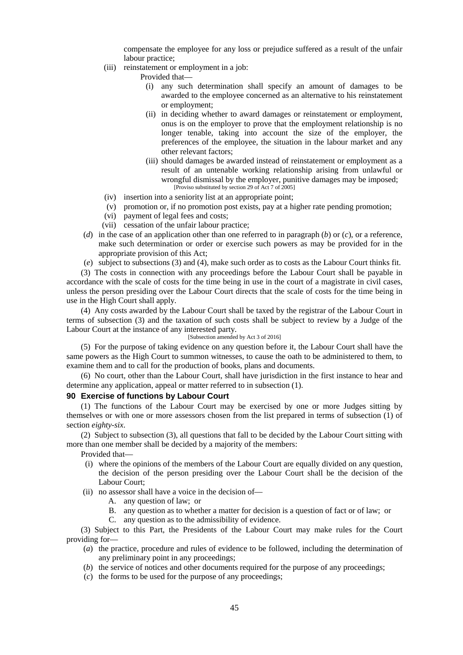compensate the employee for any loss or prejudice suffered as a result of the unfair labour practice;

- (iii) reinstatement or employment in a job:
	- Provided that—
		- (i) any such determination shall specify an amount of damages to be awarded to the employee concerned as an alternative to his reinstatement or employment;
		- (ii) in deciding whether to award damages or reinstatement or employment, onus is on the employer to prove that the employment relationship is no longer tenable, taking into account the size of the employer, the preferences of the employee, the situation in the labour market and any other relevant factors;
		- (iii) should damages be awarded instead of reinstatement or employment as a result of an untenable working relationship arising from unlawful or wrongful dismissal by the employer, punitive damages may be imposed; [Proviso substituted by section 29 of Act 7 of 2005]
- (iv) insertion into a seniority list at an appropriate point;
- (v) promotion or, if no promotion post exists, pay at a higher rate pending promotion;
- (vi) payment of legal fees and costs;
- (vii) cessation of the unfair labour practice;
- (*d*) in the case of an application other than one referred to in paragraph (*b*) or (*c*), or a reference, make such determination or order or exercise such powers as may be provided for in the appropriate provision of this Act;
- (*e*) subject to subsections (3) and (4), make such order as to costs as the Labour Court thinks fit.

(3) The costs in connection with any proceedings before the Labour Court shall be payable in accordance with the scale of costs for the time being in use in the court of a magistrate in civil cases, unless the person presiding over the Labour Court directs that the scale of costs for the time being in use in the High Court shall apply.

(4) Any costs awarded by the Labour Court shall be taxed by the registrar of the Labour Court in terms of subsection (3) and the taxation of such costs shall be subject to review by a Judge of the Labour Court at the instance of any interested party.

### [Subsection amended by Act 3 of 2016]

(5) For the purpose of taking evidence on any question before it, the Labour Court shall have the same powers as the High Court to summon witnesses, to cause the oath to be administered to them, to examine them and to call for the production of books, plans and documents.

(6) No court, other than the Labour Court, shall have jurisdiction in the first instance to hear and determine any application, appeal or matter referred to in subsection (1).

## **90 Exercise of functions by Labour Court**

(1) The functions of the Labour Court may be exercised by one or more Judges sitting by themselves or with one or more assessors chosen from the list prepared in terms of subsection (1) of section *eighty-six*.

(2) Subject to subsection (3), all questions that fall to be decided by the Labour Court sitting with more than one member shall be decided by a majority of the members:

Provided that—

- (i) where the opinions of the members of the Labour Court are equally divided on any question, the decision of the person presiding over the Labour Court shall be the decision of the Labour Court;
- (ii) no assessor shall have a voice in the decision of—
	- A. any question of law; or
	- B. any question as to whether a matter for decision is a question of fact or of law; or
	- C. any question as to the admissibility of evidence.

(3) Subject to this Part, the Presidents of the Labour Court may make rules for the Court providing for—

- (*a*) the practice, procedure and rules of evidence to be followed, including the determination of any preliminary point in any proceedings;
- (*b*) the service of notices and other documents required for the purpose of any proceedings;
- (*c*) the forms to be used for the purpose of any proceedings;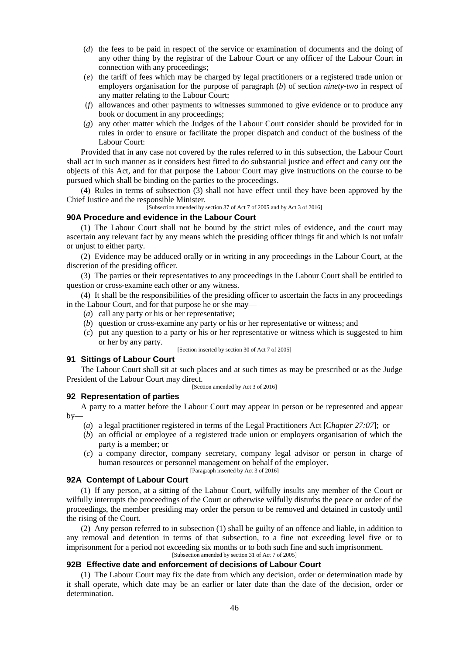- (*d*) the fees to be paid in respect of the service or examination of documents and the doing of any other thing by the registrar of the Labour Court or any officer of the Labour Court in connection with any proceedings;
- (*e*) the tariff of fees which may be charged by legal practitioners or a registered trade union or employers organisation for the purpose of paragraph (*b*) of section *ninety-two* in respect of any matter relating to the Labour Court;
- (*f*) allowances and other payments to witnesses summoned to give evidence or to produce any book or document in any proceedings;
- (*g*) any other matter which the Judges of the Labour Court consider should be provided for in rules in order to ensure or facilitate the proper dispatch and conduct of the business of the Labour Court:

Provided that in any case not covered by the rules referred to in this subsection, the Labour Court shall act in such manner as it considers best fitted to do substantial justice and effect and carry out the objects of this Act, and for that purpose the Labour Court may give instructions on the course to be pursued which shall be binding on the parties to the proceedings.

(4) Rules in terms of subsection (3) shall not have effect until they have been approved by the Chief Justice and the responsible Minister.

[Subsection amended by section 37 of Act 7 of 2005 and by Act 3 of 2016]

### **90A Procedure and evidence in the Labour Court**

(1) The Labour Court shall not be bound by the strict rules of evidence, and the court may ascertain any relevant fact by any means which the presiding officer things fit and which is not unfair or unjust to either party.

(2) Evidence may be adduced orally or in writing in any proceedings in the Labour Court, at the discretion of the presiding officer.

(3) The parties or their representatives to any proceedings in the Labour Court shall be entitled to question or cross-examine each other or any witness.

(4) It shall be the responsibilities of the presiding officer to ascertain the facts in any proceedings in the Labour Court, and for that purpose he or she may—

- (*a*) call any party or his or her representative;
- (*b*) question or cross-examine any party or his or her representative or witness; and
- (*c*) put any question to a party or his or her representative or witness which is suggested to him or her by any party.

[Section inserted by section 30 of Act 7 of 2005]

### **91 Sittings of Labour Court**

The Labour Court shall sit at such places and at such times as may be prescribed or as the Judge President of the Labour Court may direct.

[Section amended by Act 3 of 2016]

## **92 Representation of parties**

A party to a matter before the Labour Court may appear in person or be represented and appear by—

- (*a*) a legal practitioner registered in terms of the Legal Practitioners Act [*Chapter 27:07*]; or
- (*b*) an official or employee of a registered trade union or employers organisation of which the party is a member; or
- (*c*) a company director, company secretary, company legal advisor or person in charge of human resources or personnel management on behalf of the employer.

[Paragraph inserted by Act 3 of 2016]

# **92A Contempt of Labour Court**

(1) If any person, at a sitting of the Labour Court, wilfully insults any member of the Court or wilfully interrupts the proceedings of the Court or otherwise wilfully disturbs the peace or order of the proceedings, the member presiding may order the person to be removed and detained in custody until the rising of the Court.

(2) Any person referred to in subsection (1) shall be guilty of an offence and liable, in addition to any removal and detention in terms of that subsection, to a fine not exceeding level five or to imprisonment for a period not exceeding six months or to both such fine and such imprisonment. [Subsection amended by section 31 of Act 7 of 2005]

### **92B Effective date and enforcement of decisions of Labour Court**

(1) The Labour Court may fix the date from which any decision, order or determination made by it shall operate, which date may be an earlier or later date than the date of the decision, order or determination.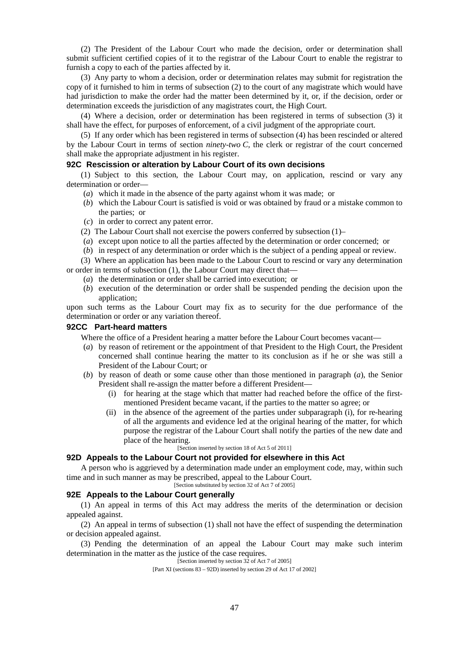(2) The President of the Labour Court who made the decision, order or determination shall submit sufficient certified copies of it to the registrar of the Labour Court to enable the registrar to furnish a copy to each of the parties affected by it.

(3) Any party to whom a decision, order or determination relates may submit for registration the copy of it furnished to him in terms of subsection (2) to the court of any magistrate which would have had jurisdiction to make the order had the matter been determined by it, or, if the decision, order or determination exceeds the jurisdiction of any magistrates court, the High Court.

(4) Where a decision, order or determination has been registered in terms of subsection (3) it shall have the effect, for purposes of enforcement, of a civil judgment of the appropriate court.

(5) If any order which has been registered in terms of subsection (4) has been rescinded or altered by the Labour Court in terms of section *ninety-two C*, the clerk or registrar of the court concerned shall make the appropriate adjustment in his register.

### **92C Rescission or alteration by Labour Court of its own decisions**

(1) Subject to this section, the Labour Court may, on application, rescind or vary any determination or order—

- (*a*) which it made in the absence of the party against whom it was made; or
- (*b*) which the Labour Court is satisfied is void or was obtained by fraud or a mistake common to the parties; or
- (*c*) in order to correct any patent error.
- (2) The Labour Court shall not exercise the powers conferred by subsection (1)–
- (*a*) except upon notice to all the parties affected by the determination or order concerned; or
- (*b*) in respect of any determination or order which is the subject of a pending appeal or review.

(3) Where an application has been made to the Labour Court to rescind or vary any determination or order in terms of subsection (1), the Labour Court may direct that—

- (*a*) the determination or order shall be carried into execution; or
- (*b*) execution of the determination or order shall be suspended pending the decision upon the application;

upon such terms as the Labour Court may fix as to security for the due performance of the determination or order or any variation thereof.

### **92CC Part-heard matters**

Where the office of a President hearing a matter before the Labour Court becomes vacant—

- (*a*) by reason of retirement or the appointment of that President to the High Court, the President concerned shall continue hearing the matter to its conclusion as if he or she was still a President of the Labour Court; or
- (*b*) by reason of death or some cause other than those mentioned in paragraph (*a*), the Senior President shall re-assign the matter before a different President—
	- (i) for hearing at the stage which that matter had reached before the office of the first mentioned President became vacant, if the parties to the matter so agree; or
	- (ii) in the absence of the agreement of the parties under subparagraph (i), for re-hearing of all the arguments and evidence led at the original hearing of the matter, for which purpose the registrar of the Labour Court shall notify the parties of the new date and place of the hearing.

[Section inserted by section 18 of Act 5 of 2011]

#### **92D Appeals to the Labour Court not provided for elsewhere in this Act**

A person who is aggrieved by a determination made under an employment code, may, within such time and in such manner as may be prescribed, appeal to the Labour Court.

[Section substituted by section 32 of Act 7 of 2005]

### **92E Appeals to the Labour Court generally**

(1) An appeal in terms of this Act may address the merits of the determination or decision appealed against.

(2) An appeal in terms of subsection (1) shall not have the effect of suspending the determination or decision appealed against.

(3) Pending the determination of an appeal the Labour Court may make such interim determination in the matter as the justice of the case requires.

[Section inserted by section 32 of Act 7 of 2005]

[Part XI (sections 83 – 92D) inserted by section 29 of Act 17 of 2002]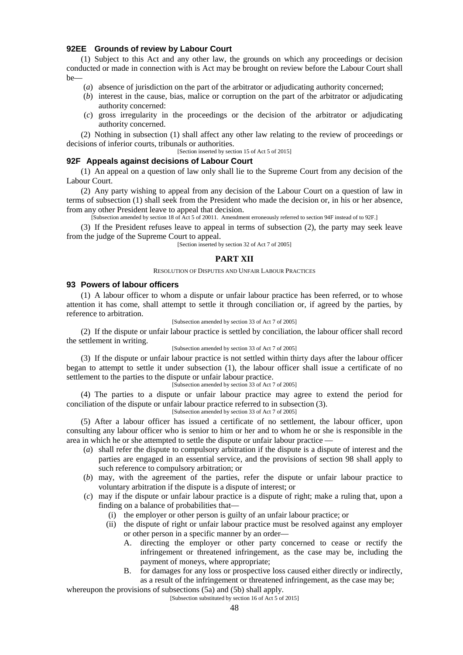## **92EE Grounds of review by Labour Court**

(1) Subject to this Act and any other law, the grounds on which any proceedings or decision conducted or made in connection with is Act may be brought on review before the Labour Court shall  $be$  —  $\qquad$ 

- (*a*) absence of jurisdiction on the part of the arbitrator or adjudicating authority concerned;
- (*b*) interest in the cause, bias, malice or corruption on the part of the arbitrator or adjudicating authority concerned:
- (*c*) gross irregularity in the proceedings or the decision of the arbitrator or adjudicating authority concerned.

(2) Nothing in subsection (1) shall affect any other law relating to the review of proceedings or decisions of inferior courts, tribunals or authorities.

### [Section inserted by section 15 of Act 5 of 2015]

### **92F Appeals against decisions of Labour Court**

(1) An appeal on a question of law only shall lie to the Supreme Court from any decision of the Labour Court.

(2) Any party wishing to appeal from any decision of the Labour Court on a question of law in terms of subsection (1) shall seek from the President who made the decision or, in his or her absence, from any other President leave to appeal that decision.

[Subsection amended by section 18 of Act 5 of 20011. Amendment erroneously referred to section 94F instead of to 92F.]

(3) If the President refuses leave to appeal in terms of subsection (2), the party may seek leave from the judge of the Supreme Court to appeal.

[Section inserted by section 32 of Act 7 of 2005]

### **PART XII**

#### RESOLUTION OF DISPUTES AND UNFAIR LABOUR PRACTICES

# **93 Powers of labour officers**

(1) A labour officer to whom a dispute or unfair labour practice has been referred, or to whose attention it has come, shall attempt to settle it through conciliation or, if agreed by the parties, by reference to arbitration.

### [Subsection amended by section 33 of Act 7 of 2005]

(2) If the dispute or unfair labour practice is settled by conciliation, the labour officer shall record the settlement in writing.

#### [Subsection amended by section 33 of Act 7 of 2005]

(3) If the dispute or unfair labour practice is not settled within thirty days after the labour officer began to attempt to settle it under subsection (1), the labour officer shall issue a certificate of no settlement to the parties to the dispute or unfair labour practice.

# [Subsection amended by section 33 of Act 7 of 2005]

(4) The parties to a dispute or unfair labour practice may agree to extend the period for conciliation of the dispute or unfair labour practice referred to in subsection (3). [Subsection amended by section 33 of Act 7 of 2005]

(5) After a labour officer has issued a certificate of no settlement, the labour officer, upon consulting any labour officer who is senior to him or her and to whom he or she is responsible in the area in which he or she attempted to settle the dispute or unfair labour practice —

- (*a*) shall refer the dispute to compulsory arbitration if the dispute is a dispute of interest and the parties are engaged in an essential service, and the provisions of section 98 shall apply to such reference to compulsory arbitration; or
- (*b*) may, with the agreement of the parties, refer the dispute or unfair labour practice to voluntary arbitration if the dispute is a dispute of interest; or
- (*c*) may if the dispute or unfair labour practice is a dispute of right; make a ruling that, upon a finding on a balance of probabilities that—
	- (i) the employer or other person is guilty of an unfair labour practice; or
	- (ii) the dispute of right or unfair labour practice must be resolved against any employer or other person in a specific manner by an order—
		- A. directing the employer or other party concerned to cease or rectify the infringement or threatened infringement, as the case may be, including the payment of moneys, where appropriate;
		- B. for damages for any loss or prospective loss caused either directly or indirectly, as a result of the infringement or threatened infringement, as the case may be;

whereupon the provisions of subsections (5a) and (5b) shall apply.

[Subsection substituted by section 16 of Act 5 of 2015]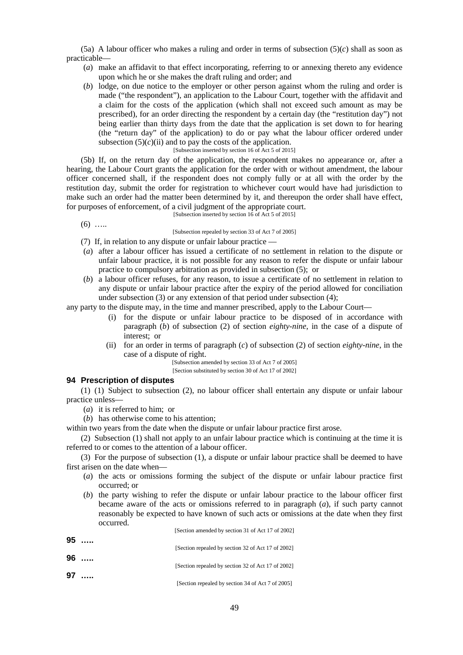(5a) A labour officer who makes a ruling and order in terms of subsection  $(5)(c)$  shall as soon as practicable—

- (*a*) make an affidavit to that effect incorporating, referring to or annexing thereto any evidence upon which he or she makes the draft ruling and order; and
- (*b*) lodge, on due notice to the employer or other person against whom the ruling and order is made ("the respondent"), an application to the Labour Court, together with the affidavit and a claim for the costs of the application (which shall not exceed such amount as may be prescribed), for an order directing the respondent by a certain day (the "restitution day") not being earlier than thirty days from the date that the application is set down to for hearing (the "return day" of the application) to do or pay what the labour officer ordered under subsection  $(5)(c)(ii)$  and to pay the costs of the application.

#### [Subsection inserted by section 16 of Act 5 of 2015]

(5b) If, on the return day of the application, the respondent makes no appearance or, after a hearing, the Labour Court grants the application for the order with or without amendment, the labour officer concerned shall, if the respondent does not comply fully or at all with the order by the restitution day, submit the order for registration to whichever court would have had jurisdiction to make such an order had the matter been determined by it, and thereupon the order shall have effect, for purposes of enforcement, of a civil judgment of the appropriate court.

#### [Subsection inserted by section 16 of Act 5 of 2015]

 $(6)$  …

### [Subsection repealed by section 33 of Act 7 of 2005]

- (7) If, in relation to any dispute or unfair labour practice —
- (*a*) after a labour officer has issued a certificate of no settlement in relation to the dispute or unfair labour practice, it is not possible for any reason to refer the dispute or unfair labour practice to compulsory arbitration as provided in subsection (5); or
- (*b*) a labour officer refuses, for any reason, to issue a certificate of no settlement in relation to any dispute or unfair labour practice after the expiry of the period allowed for conciliation under subsection (3) or any extension of that period under subsection (4);

any party to the dispute may, in the time and manner prescribed, apply to the Labour Court—

- (i) for the dispute or unfair labour practice to be disposed of in accordance with paragraph (*b*) of subsection (2) of section *eighty-nine*, in the case of a dispute of interest; or
- (ii) for an order in terms of paragraph (*c*) of subsection (2) of section *eighty-nine*, in the case of a dispute of right.

[Subsection amended by section 33 of Act 7 of 2005] [Section substituted by section 30 of Act 17 of 2002]

### **94 Prescription of disputes**

(1) (1) Subject to subsection (2), no labour officer shall entertain any dispute or unfair labour practice unless—

(*a*) it is referred to him; or

(*b*) has otherwise come to his attention;

within two years from the date when the dispute or unfair labour practice first arose.

(2) Subsection (1) shall not apply to an unfair labour practice which is continuing at the time it is referred to or comes to the attention of a labour officer.

(3) For the purpose of subsection (1), a dispute or unfair labour practice shall be deemed to have first arisen on the date when—

- (*a*) the acts or omissions forming the subject of the dispute or unfair labour practice first occurred; or
- (*b*) the party wishing to refer the dispute or unfair labour practice to the labour officer first became aware of the acts or omissions referred to in paragraph (*a*), if such party cannot reasonably be expected to have known of such acts or omissions at the date when they first occurred.

[Section amended by section 31 of Act 17 of 2002]

| 95 | $\cdots$ |                                                    |
|----|----------|----------------------------------------------------|
|    |          | [Section repealed by section 32 of Act 17 of 2002] |
| 96 | $\cdots$ |                                                    |
|    |          | [Section repealed by section 32 of Act 17 of 2002] |
| 97 | $\cdots$ | [Section repealed by section 34 of Act 7 of 2005]  |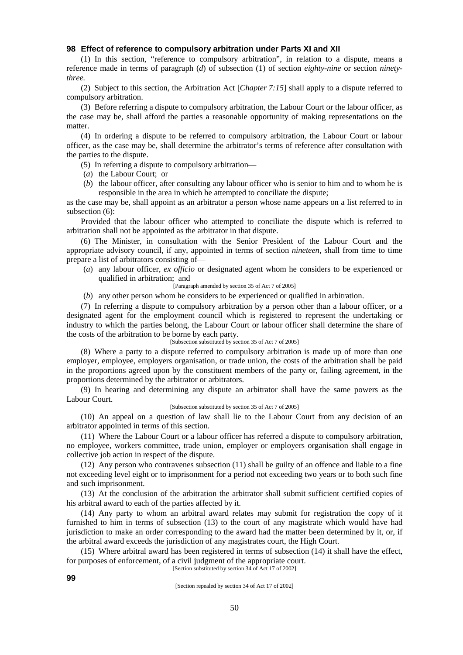### **98 Effect of reference to compulsory arbitration under Parts XI and XII**

(1) In this section, "reference to compulsory arbitration", in relation to a dispute, means a reference made in terms of paragraph (*d*) of subsection (1) of section *eighty-nine* or section *ninetythree.*

(2) Subject to this section, the Arbitration Act [*Chapter 7:15*] shall apply to a dispute referred to compulsory arbitration.

(3) Before referring a dispute to compulsory arbitration, the Labour Court or the labour officer, as the case may be, shall afford the parties a reasonable opportunity of making representations on the matter.

(4) In ordering a dispute to be referred to compulsory arbitration, the Labour Court or labour officer, as the case may be, shall determine the arbitrator's terms of reference after consultation with the parties to the dispute.

(5) In referring a dispute to compulsory arbitration—

- (*a*) the Labour Court; or
- (*b*) the labour officer, after consulting any labour officer who is senior to him and to whom he is responsible in the area in which he attempted to conciliate the dispute;

as the case may be, shall appoint as an arbitrator a person whose name appears on a list referred to in subsection (6):

Provided that the labour officer who attempted to conciliate the dispute which is referred to arbitration shall not be appointed as the arbitrator in that dispute.

(6) The Minister, in consultation with the Senior President of the Labour Court and the appropriate advisory council, if any, appointed in terms of section *nineteen*, shall from time to time prepare a list of arbitrators consisting of—

(*a*) any labour officer, *ex officio* or designated agent whom he considers to be experienced or qualified in arbitration; and

[Paragraph amended by section 35 of Act 7 of 2005]

(*b*) any other person whom he considers to be experienced or qualified in arbitration.

(7) In referring a dispute to compulsory arbitration by a person other than a labour officer, or a designated agent for the employment council which is registered to represent the undertaking or industry to which the parties belong, the Labour Court or labour officer shall determine the share of the costs of the arbitration to be borne by each party.

[Subsection substituted by section 35 of Act 7 of 2005]

(8) Where a party to a dispute referred to compulsory arbitration is made up of more than one employer, employee, employers organisation, or trade union, the costs of the arbitration shall be paid in the proportions agreed upon by the constituent members of the party or, failing agreement, in the proportions determined by the arbitrator or arbitrators.

(9) In hearing and determining any dispute an arbitrator shall have the same powers as the Labour Court.

### [Subsection substituted by section 35 of Act 7 of 2005]

(10) An appeal on a question of law shall lie to the Labour Court from any decision of an arbitrator appointed in terms of this section.

(11) Where the Labour Court or a labour officer has referred a dispute to compulsory arbitration, no employee, workers committee, trade union, employer or employers organisation shall engage in collective job action in respect of the dispute.

(12) Any person who contravenes subsection (11) shall be guilty of an offence and liable to a fine not exceeding level eight or to imprisonment for a period not exceeding two years or to both such fine and such imprisonment.

(13) At the conclusion of the arbitration the arbitrator shall submit sufficient certified copies of his arbitral award to each of the parties affected by it.

(14) Any party to whom an arbitral award relates may submit for registration the copy of it furnished to him in terms of subsection (13) to the court of any magistrate which would have had jurisdiction to make an order corresponding to the award had the matter been determined by it, or, if the arbitral award exceeds the jurisdiction of any magistrates court, the High Court.

(15) Where arbitral award has been registered in terms of subsection (14) it shall have the effect, for purposes of enforcement, of a civil judgment of the appropriate court.

[Section substituted by section 34 of Act 17 of 2002]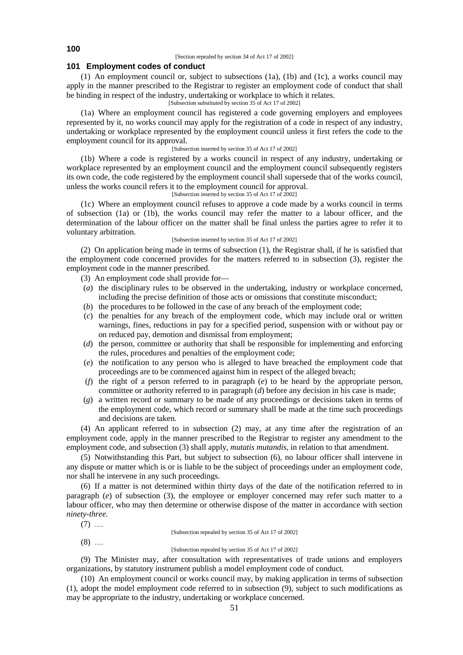[Section repealed by section 34 of Act 17 of 2002]

### **101 Employment codes of conduct**

(1) An employment council or, subject to subsections (1a), (1b) and (1c), a works council may apply in the manner prescribed to the Registrar to register an employment code of conduct that shall be binding in respect of the industry, undertaking or workplace to which it relates.

[Subsection substituted by section 35 of Act 17 of 2002]

(1a) Where an employment council has registered a code governing employers and employees represented by it, no works council may apply for the registration of a code in respect of any industry, undertaking or workplace represented by the employment council unless it first refers the code to the employment council for its approval.

### [Subsection inserted by section 35 of Act 17 of 2002]

(1b) Where a code is registered by a works council in respect of any industry, undertaking or workplace represented by an employment council and the employment council subsequently registers its own code, the code registered by the employment council shall supersede that of the works council, unless the works council refers it to the employment council for approval.

[Subsection inserted by section 35 of Act 17 of 2002]

(1c) Where an employment council refuses to approve a code made by a works council in terms of subsection (1a) or (1b), the works council may refer the matter to a labour officer, and the determination of the labour officer on the matter shall be final unless the parties agree to refer it to voluntary arbitration.

#### [Subsection inserted by section 35 of Act 17 of 2002]

(2) On application being made in terms of subsection (1), the Registrar shall, if he is satisfied that the employment code concerned provides for the matters referred to in subsection (3), register the employment code in the manner prescribed.

(3) An employment code shall provide for—

- (*a*) the disciplinary rules to be observed in the undertaking, industry or workplace concerned, including the precise definition of those acts or omissions that constitute misconduct;
- (*b*) the procedures to be followed in the case of any breach of the employment code;
- (*c*) the penalties for any breach of the employment code, which may include oral or written warnings, fines, reductions in pay for a specified period, suspension with or without pay or on reduced pay, demotion and dismissal from employment;
- (*d*) the person, committee or authority that shall be responsible for implementing and enforcing the rules, procedures and penalties of the employment code;
- (*e*) the notification to any person who is alleged to have breached the employment code that proceedings are to be commenced against him in respect of the alleged breach;
- (*f*) the right of a person referred to in paragraph (*e*) to be heard by the appropriate person, committee or authority referred to in paragraph (*d*) before any decision in his case is made;
- (*g*) a written record or summary to be made of any proceedings or decisions taken in terms of the employment code, which record or summary shall be made at the time such proceedings and decisions are taken.

(4) An applicant referred to in subsection (2) may, at any time after the registration of an employment code, apply in the manner prescribed to the Registrar to register any amendment to the employment code, and subsection (3) shall apply, *mutatis mutandis*, in relation to that amendment.

(5) Notwithstanding this Part, but subject to subsection (6), no labour officer shall intervene in any dispute or matter which is or is liable to be the subject of proceedings under an employment code, nor shall he intervene in any such proceedings.

(6) If a matter is not determined within thirty days of the date of the notification referred to in paragraph (*e*) of subsection (3), the employee or employer concerned may refer such matter to a labour officer, who may then determine or otherwise dispose of the matter in accordance with section *ninety-three.*

 $(7)$  …

 $(8)$  …

#### [Subsection repealed by section 35 of Act 17 of 2002]

[Subsection repealed by section 35 of Act 17 of 2002]

(9) The Minister may, after consultation with representatives of trade unions and employers organizations, by statutory instrument publish a model employment code of conduct.

(10) An employment council or works council may, by making application in terms of subsection (1), adopt the model employment code referred to in subsection (9), subject to such modifications as may be appropriate to the industry, undertaking or workplace concerned.

**100**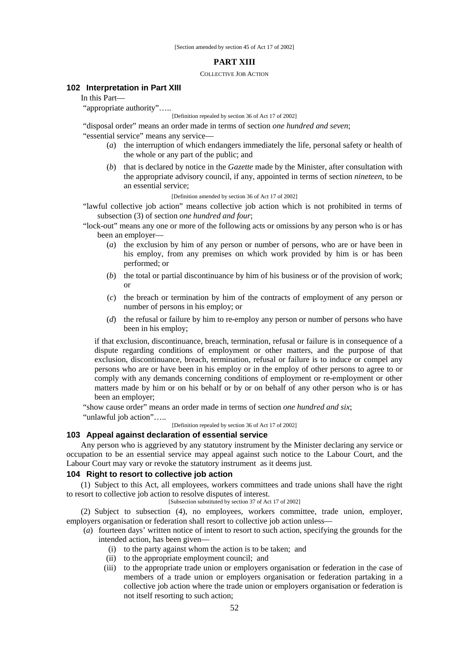### **PART XIII**

#### COLLECTIVE JOB ACTION

## **102 Interpretation in Part XIII**

In this Part—

"appropriate authority"…..

[Definition repealed by section 36 of Act 17 of 2002]

"disposal order" means an order made in terms of section *one hundred and seven*;

"essential service" means any service—

- (*a*) the interruption of which endangers immediately the life, personal safety or health of the whole or any part of the public; and
- (*b*) that is declared by notice in the *Gazette* made by the Minister, after consultation with the appropriate advisory council, if any, appointed in terms of section *nineteen*, to be an essential service;

[Definition amended by section 36 of Act 17 of 2002]

"lawful collective job action" means collective job action which is not prohibited in terms of subsection (3) of section *one hundred and four*;

- "lock-out" means any one or more of the following acts or omissions by any person who is or has been an employer—
	- (*a*) the exclusion by him of any person or number of persons, who are or have been in his employ, from any premises on which work provided by him is or has been performed; or
	- (*b*) the total or partial discontinuance by him of his business or of the provision of work; or
	- (*c*) the breach or termination by him of the contracts of employment of any person or number of persons in his employ; or
	- (*d*) the refusal or failure by him to re-employ any person or number of persons who have been in his employ;

if that exclusion, discontinuance, breach, termination, refusal or failure is in consequence of a dispute regarding conditions of employment or other matters, and the purpose of that exclusion, discontinuance, breach, termination, refusal or failure is to induce or compel any persons who are or have been in his employ or in the employ of other persons to agree to or comply with any demands concerning conditions of employment or re-employment or other matters made by him or on his behalf or by or on behalf of any other person who is or has been an employer;

"show cause order" means an order made in terms of section *one hundred and six*;

"unlawful job action"…..

[Definition repealed by section 36 of Act 17 of 2002]

# **103 Appeal against declaration of essential service**

Any person who is aggrieved by any statutory instrument by the Minister declaring any service or occupation to be an essential service may appeal against such notice to the Labour Court, and the Labour Court may vary or revoke the statutory instrument as it deems just.

# **104 Right to resort to collective job action**

(1) Subject to this Act, all employees, workers committees and trade unions shall have the right to resort to collective job action to resolve disputes of interest.

[Subsection substituted by section 37 of Act 17 of 2002]

(2) Subject to subsection (4), no employees, workers committee, trade union, employer, employers organisation or federation shall resort to collective job action unless—

- (*a*) fourteen days' written notice of intent to resort to such action, specifying the grounds for the intended action, has been given—
	- (i) to the party against whom the action is to be taken; and
	- (ii) to the appropriate employment council; and
	- (iii) to the appropriate trade union or employers organisation or federation in the case of members of a trade union or employers organisation or federation partaking in a collective job action where the trade union or employers organisation or federation is not itself resorting to such action;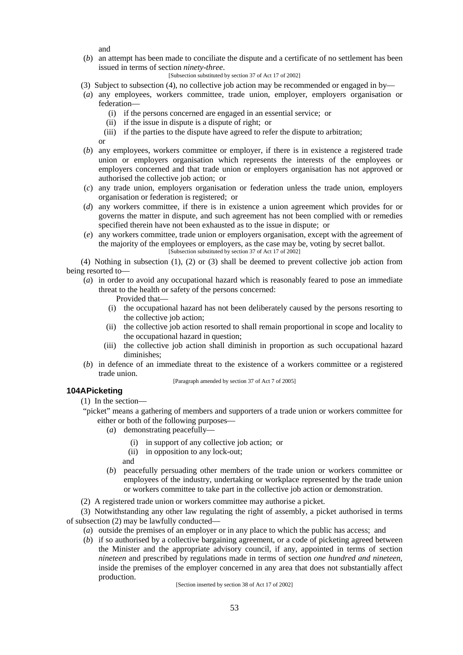and

(*b*) an attempt has been made to conciliate the dispute and a certificate of no settlement has been issued in terms of section *ninety-three*.

```
[Subsection substituted by section 37 of Act 17 of 2002]
```
- (3) Subject to subsection (4), no collective job action may be recommended or engaged in by—
- (*a*) any employees, workers committee, trade union, employer, employers organisation or federation—
	- (i) if the persons concerned are engaged in an essential service; or
	- (ii) if the issue in dispute is a dispute of right; or
	- (iii) if the parties to the dispute have agreed to refer the dispute to arbitration;

or

- (*b*) any employees, workers committee or employer, if there is in existence a registered trade union or employers organisation which represents the interests of the employees or employers concerned and that trade union or employers organisation has not approved or authorised the collective job action; or
- (*c*) any trade union, employers organisation or federation unless the trade union, employers organisation or federation is registered; or
- (*d*) any workers committee, if there is in existence a union agreement which provides for or governs the matter in dispute, and such agreement has not been complied with or remedies specified therein have not been exhausted as to the issue in dispute; or
- (*e*) any workers committee, trade union or employers organisation, except with the agreement of the majority of the employees or employers, as the case may be, voting by secret ballot. [Subsection substituted by section 37 of Act 17 of 2002]

(4) Nothing in subsection (1), (2) or (3) shall be deemed to prevent collective job action from being resorted to—

- (*a*) in order to avoid any occupational hazard which is reasonably feared to pose an immediate threat to the health or safety of the persons concerned:
	- Provided that—
	- (i) the occupational hazard has not been deliberately caused by the persons resorting to the collective job action;
	- (ii) the collective job action resorted to shall remain proportional in scope and locality to the occupational hazard in question;
	- (iii) the collective job action shall diminish in proportion as such occupational hazard diminishes;
- (*b*) in defence of an immediate threat to the existence of a workers committee or a registered trade union.

[Paragraph amended by section 37 of Act 7 of 2005]

# **104APicketing**

(1) In the section—

- "picket" means a gathering of members and supporters of a trade union or workers committee for either or both of the following purposes—
	- (*a*) demonstrating peacefully—
		- (i) in support of any collective job action; or
		- (ii) in opposition to any lock-out;
		- and
	- (*b*) peacefully persuading other members of the trade union or workers committee or employees of the industry, undertaking or workplace represented by the trade union or workers committee to take part in the collective job action or demonstration.
- (2) A registered trade union or workers committee may authorise a picket.

(3) Notwithstanding any other law regulating the right of assembly, a picket authorised in terms of subsection (2) may be lawfully conducted—

- (*a*) outside the premises of an employer or in any place to which the public has access; and
- (*b*) if so authorised by a collective bargaining agreement, or a code of picketing agreed between the Minister and the appropriate advisory council, if any, appointed in terms of section *nineteen* and prescribed by regulations made in terms of section *one hundred and nineteen*, inside the premises of the employer concerned in any area that does not substantially affect production.

[Section inserted by section 38 of Act 17 of 2002]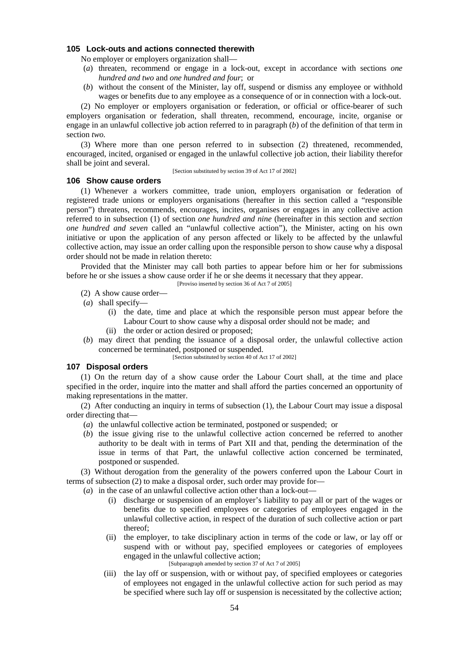# **105 Lock-outs and actions connected therewith**

No employer or employers organization shall—

- (*a*) threaten, recommend or engage in a lock-out, except in accordance with sections *one hundred and two* and *one hundred and four*; or
- (*b*) without the consent of the Minister, lay off, suspend or dismiss any employee or withhold wages or benefits due to any employee as a consequence of or in connection with a lock-out.

(2) No employer or employers organisation or federation, or official or office-bearer of such employers organisation or federation, shall threaten, recommend, encourage, incite, organise or engage in an unlawful collective job action referred to in paragraph (*b*) of the definition of that term in section *two.*

(3) Where more than one person referred to in subsection (2) threatened, recommended, encouraged, incited, organised or engaged in the unlawful collective job action, their liability therefor shall be joint and several.

[Section substituted by section 39 of Act 17 of 2002]

#### **106 Show cause orders**

(1) Whenever a workers committee, trade union, employers organisation or federation of registered trade unions or employers organisations (hereafter in this section called a "responsible person") threatens, recommends, encourages, incites, organises or engages in any collective action referred to in subsection (1) of section *one hundred and nine* (hereinafter in this section and *section one hundred and seven* called an "unlawful collective action"), the Minister, acting on his own initiative or upon the application of any person affected or likely to be affected by the unlawful collective action, may issue an order calling upon the responsible person to show cause why a disposal order should not be made in relation thereto:

Provided that the Minister may call both parties to appear before him or her for submissions before he or she issues a show cause order if he or she deems it necessary that they appear.

[Proviso inserted by section 36 of Act 7 of 2005]

- (2) A show cause order—
- (*a*) shall specify—
	- (i) the date, time and place at which the responsible person must appear before the Labour Court to show cause why a disposal order should not be made; and
	- (ii) the order or action desired or proposed;
- (*b*) may direct that pending the issuance of a disposal order, the unlawful collective action concerned be terminated, postponed or suspended.

[Section substituted by section 40 of Act 17 of 2002]

### **107 Disposal orders**

(1) On the return day of a show cause order the Labour Court shall, at the time and place specified in the order, inquire into the matter and shall afford the parties concerned an opportunity of making representations in the matter.

(2) After conducting an inquiry in terms of subsection (1), the Labour Court may issue a disposal order directing that—

- (*a*) the unlawful collective action be terminated, postponed or suspended; or
- (*b*) the issue giving rise to the unlawful collective action concerned be referred to another authority to be dealt with in terms of Part XII and that, pending the determination of the issue in terms of that Part, the unlawful collective action concerned be terminated, postponed or suspended.

(3) Without derogation from the generality of the powers conferred upon the Labour Court in terms of subsection (2) to make a disposal order, such order may provide for—

(*a*) in the case of an unlawful collective action other than a lock-out—

- (i) discharge or suspension of an employer's liability to pay all or part of the wages or benefits due to specified employees or categories of employees engaged in the unlawful collective action, in respect of the duration of such collective action or part thereof;
- (ii) the employer, to take disciplinary action in terms of the code or law, or lay off or suspend with or without pay, specified employees or categories of employees engaged in the unlawful collective action; [Subparagraph amended by section 37 of Act 7 of 2005]
- (iii) the lay off or suspension, with or without pay, of specified employees or categories of employees not engaged in the unlawful collective action for such period as may be specified where such lay off or suspension is necessitated by the collective action;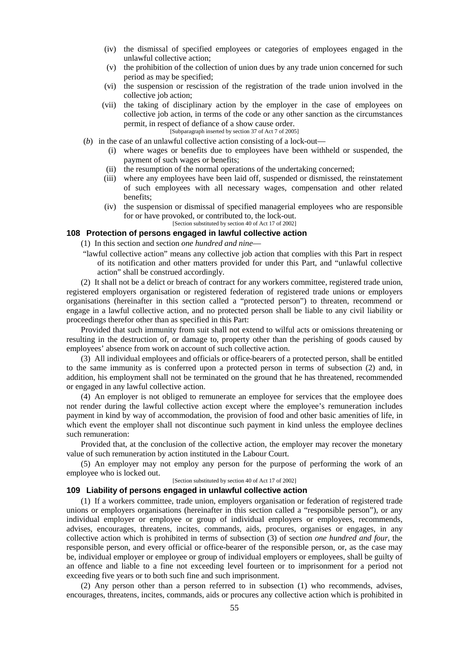- (iv) the dismissal of specified employees or categories of employees engaged in the unlawful collective action;
- (v) the prohibition of the collection of union dues by any trade union concerned for such period as may be specified;
- (vi) the suspension or rescission of the registration of the trade union involved in the collective job action:
- (vii) the taking of disciplinary action by the employer in the case of employees on collective job action, in terms of the code or any other sanction as the circumstances permit, in respect of defiance of a show cause order. [Subparagraph inserted by section 37 of Act 7 of 2005]
	-
- (*b*) in the case of an unlawful collective action consisting of a lock-out—
	- (i) where wages or benefits due to employees have been withheld or suspended, the payment of such wages or benefits;
	- (ii) the resumption of the normal operations of the undertaking concerned;
	- (iii) where any employees have been laid off, suspended or dismissed, the reinstatement of such employees with all necessary wages, compensation and other related benefits;
	- (iv) the suspension or dismissal of specified managerial employees who are responsible for or have provoked, or contributed to, the lock-out.

### [Section substituted by section 40 of Act 17 of 2002] **108 Protection of persons engaged in lawful collective action**

(1) In this section and section *one hundred and nine*—

"lawful collective action" means any collective job action that complies with this Part in respect of its notification and other matters provided for under this Part, and "unlawful collective action" shall be construed accordingly.

(2) It shall not be a delict or breach of contract for any workers committee, registered trade union, registered employers organisation or registered federation of registered trade unions or employers organisations (hereinafter in this section called a "protected person") to threaten, recommend or engage in a lawful collective action, and no protected person shall be liable to any civil liability or proceedings therefor other than as specified in this Part:

Provided that such immunity from suit shall not extend to wilful acts or omissions threatening or resulting in the destruction of, or damage to, property other than the perishing of goods caused by employees' absence from work on account of such collective action.

(3) All individual employees and officials or office-bearers of a protected person, shall be entitled to the same immunity as is conferred upon a protected person in terms of subsection (2) and, in addition, his employment shall not be terminated on the ground that he has threatened, recommended or engaged in any lawful collective action.

(4) An employer is not obliged to remunerate an employee for services that the employee does not render during the lawful collective action except where the employee's remuneration includes payment in kind by way of accommodation, the provision of food and other basic amenities of life, in which event the employer shall not discontinue such payment in kind unless the employee declines such remuneration:

Provided that, at the conclusion of the collective action, the employer may recover the monetary value of such remuneration by action instituted in the Labour Court.

(5) An employer may not employ any person for the purpose of performing the work of an employee who is locked out.

#### [Section substituted by section 40 of Act 17 of 2002]

#### **109 Liability of persons engaged in unlawful collective action**

(1) If a workers committee, trade union, employers organisation or federation of registered trade unions or employers organisations (hereinafter in this section called a "responsible person"), or any individual employer or employee or group of individual employers or employees, recommends, advises, encourages, threatens, incites, commands, aids, procures, organises or engages, in any collective action which is prohibited in terms of subsection (3) of section *one hundred and four*, the responsible person, and every official or office-bearer of the responsible person, or, as the case may be, individual employer or employee or group of individual employers or employees, shall be guilty of an offence and liable to a fine not exceeding level fourteen or to imprisonment for a period not exceeding five years or to both such fine and such imprisonment.

(2) Any person other than a person referred to in subsection (1) who recommends, advises, encourages, threatens, incites, commands, aids or procures any collective action which is prohibited in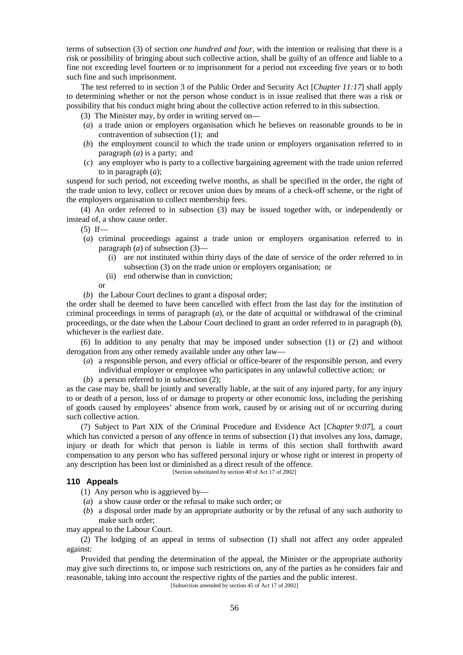terms of subsection (3) of section *one hundred and four*, with the intention or realising that there is a risk or possibility of bringing about such collective action, shall be guilty of an offence and liable to a fine not exceeding level fourteen or to imprisonment for a period not exceeding five years or to both such fine and such imprisonment.

The test referred to in section 3 of the Public Order and Security Act [*Chapter 11:17*] shall apply to determining whether or not the person whose conduct is in issue realised that there was a risk or possibility that his conduct might bring about the collective action referred to in this subsection.

(3) The Minister may, by order in writing served on—

- (*a*) a trade union or employers organisation which he believes on reasonable grounds to be in contravention of subsection (1); and
- (*b*) the employment council to which the trade union or employers organisation referred to in paragraph (*a*) is a party; and
- (*c*) any employer who is party to a collective bargaining agreement with the trade union referred to in paragraph (*a*);

suspend for such period, not exceeding twelve months, as shall be specified in the order, the right of the trade union to levy, collect or recover union dues by means of a check-off scheme, or the right of the employers organisation to collect membership fees.

(4) An order referred to in subsection (3) may be issued together with, or independently or instead of, a show cause order.

 $(5)$  If—

- (*a*) criminal proceedings against a trade union or employers organisation referred to in paragraph (*a*) of subsection (3)—
	- (i) are not instituted within thirty days of the date of service of the order referred to in subsection (3) on the trade union or employers organisation; or
	- (ii) end otherwise than in conviction;

or

(*b*) the Labour Court declines to grant a disposal order;

the order shall be deemed to have been cancelled with effect from the last day for the institution of criminal proceedings in terms of paragraph (*a*), or the date of acquittal or withdrawal of the criminal proceedings, or the date when the Labour Court declined to grant an order referred to in paragraph (*b*), whichever is the earliest date.

(6) In addition to any penalty that may be imposed under subsection (1) or (2) and without derogation from any other remedy available under any other law—

- $(a)$  a responsible person, and every official or office-bearer of the responsible person, and every individual employer or employee who participates in any unlawful collective action; or
- (*b*) a person referred to in subsection (2);

as the case may be, shall be jointly and severally liable, at the suit of any injured party, for any injury to or death of a person, loss of or damage to property or other economic loss, including the perishing of goods caused by employees' absence from work, caused by or arising out of or occurring during such collective action.

(7) Subject to Part XIX of the Criminal Procedure and Evidence Act [*Chapter 9:07*], a court which has convicted a person of any offence in terms of subsection (1) that involves any loss, damage, injury or death for which that person is liable in terms of this section shall forthwith award compensation to any person who has suffered personal injury or whose right or interest in property of any description has been lost or diminished as a direct result of the offence.

[Section substituted by section 40 of Act 17 of 2002]

## **110 Appeals**

(1) Any person who is aggrieved by—

- (*a*) a show cause order or the refusal to make such order; or
- (*b*) a disposal order made by an appropriate authority or by the refusal of any such authority to make such order;

may appeal to the Labour Court.

(2) The lodging of an appeal in terms of subsection (1) shall not affect any order appealed against:

Provided that pending the determination of the appeal, the Minister or the appropriate authority may give such directions to, or impose such restrictions on, any of the parties as he considers fair and reasonable, taking into account the respective rights of the parties and the public interest.

[Subsection amended by section 45 of Act 17 of 2002]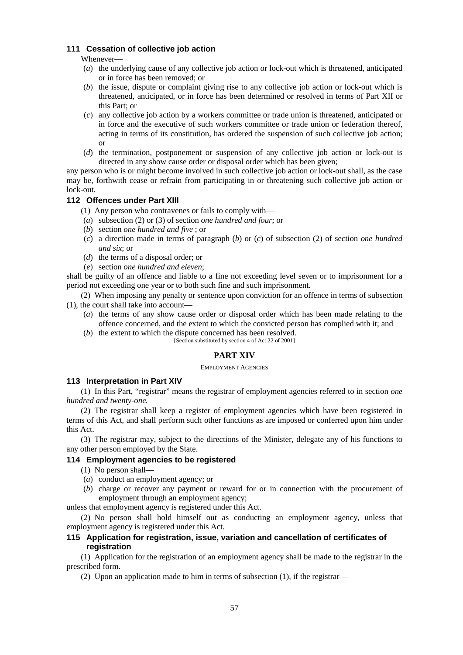# **111 Cessation of collective job action**

Whenever—

- (*a*) the underlying cause of any collective job action or lock-out which is threatened, anticipated or in force has been removed; or
- (*b*) the issue, dispute or complaint giving rise to any collective job action or lock-out which is threatened, anticipated, or in force has been determined or resolved in terms of Part XII or this Part; or
- (*c*) any collective job action by a workers committee or trade union is threatened, anticipated or in force and the executive of such workers committee or trade union or federation thereof, acting in terms of its constitution, has ordered the suspension of such collective job action; or
- (*d*) the termination, postponement or suspension of any collective job action or lock-out is directed in any show cause order or disposal order which has been given;

any person who is or might become involved in such collective job action or lock-out shall, as the case may be, forthwith cease or refrain from participating in or threatening such collective job action or lock-out.

# **112 Offences under Part XIII**

- (1) Any person who contravenes or fails to comply with
- (*a*) subsection (2) or (3) of section *one hundred and four*; or
- (*b*) section *one hundred and five* ; or
- (*c*) a direction made in terms of paragraph (*b*) or (*c*) of subsection (2) of section *one hundred and six*; or
- (*d*) the terms of a disposal order; or
- (*e*) section *one hundred and eleven*;

shall be guilty of an offence and liable to a fine not exceeding level seven or to imprisonment for a period not exceeding one year or to both such fine and such imprisonment.

(2) When imposing any penalty or sentence upon conviction for an offence in terms of subsection (1), the court shall take into account—

- (*a*) the terms of any show cause order or disposal order which has been made relating to the offence concerned, and the extent to which the convicted person has complied with it; and
- (*b*) the extent to which the dispute concerned has been resolved.

### [Section substituted by section 4 of Act 22 of 2001]

# **PART XIV**

#### EMPLOYMENT AGENCIES

## **113 Interpretation in Part XIV**

(1) In this Part, "registrar" means the registrar of employment agencies referred to in section *one hundred and twenty-one.*

(2) The registrar shall keep a register of employment agencies which have been registered in terms of this Act, and shall perform such other functions as are imposed or conferred upon him under this Act.

(3) The registrar may, subject to the directions of the Minister, delegate any of his functions to any other person employed by the State.

## **114 Employment agencies to be registered**

- (1) No person shall—
- (*a*) conduct an employment agency; or
- (*b*) charge or recover any payment or reward for or in connection with the procurement of employment through an employment agency;

unless that employment agency is registered under this Act.

(2) No person shall hold himself out as conducting an employment agency, unless that employment agency is registered under this Act.

# **115 Application for registration, issue, variation and cancellation of certificates of registration**

(1) Application for the registration of an employment agency shall be made to the registrar in the prescribed form.

(2) Upon an application made to him in terms of subsection (1), if the registrar—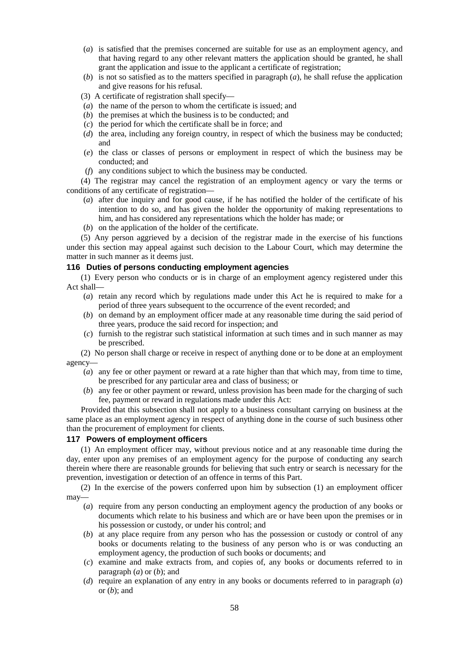- (*a*) is satisfied that the premises concerned are suitable for use as an employment agency, and that having regard to any other relevant matters the application should be granted, he shall grant the application and issue to the applicant a certificate of registration;
- (*b*) is not so satisfied as to the matters specified in paragraph  $(a)$ , he shall refuse the application and give reasons for his refusal.
- (3) A certificate of registration shall specify—
- (*a*) the name of the person to whom the certificate is issued; and
- (*b*) the premises at which the business is to be conducted; and
- (*c*) the period for which the certificate shall be in force; and
- (*d*) the area, including any foreign country, in respect of which the business may be conducted; and
- (*e*) the class or classes of persons or employment in respect of which the business may be conducted; and
- (*f*) any conditions subject to which the business may be conducted.

(4) The registrar may cancel the registration of an employment agency or vary the terms or conditions of any certificate of registration—

- (*a*) after due inquiry and for good cause, if he has notified the holder of the certificate of his intention to do so, and has given the holder the opportunity of making representations to him, and has considered any representations which the holder has made; or
- (*b*) on the application of the holder of the certificate.

(5) Any person aggrieved by a decision of the registrar made in the exercise of his functions under this section may appeal against such decision to the Labour Court, which may determine the matter in such manner as it deems just.

## **116 Duties of persons conducting employment agencies**

(1) Every person who conducts or is in charge of an employment agency registered under this Act shall—

- (*a*) retain any record which by regulations made under this Act he is required to make for a period of three years subsequent to the occurrence of the event recorded; and
- (*b*) on demand by an employment officer made at any reasonable time during the said period of three years, produce the said record for inspection; and
- (*c*) furnish to the registrar such statistical information at such times and in such manner as may be prescribed.

(2) No person shall charge or receive in respect of anything done or to be done at an employment agency—

- (*a*) any fee or other payment or reward at a rate higher than that which may, from time to time, be prescribed for any particular area and class of business; or
- (*b*) any fee or other payment or reward, unless provision has been made for the charging of such fee, payment or reward in regulations made under this Act:

Provided that this subsection shall not apply to a business consultant carrying on business at the same place as an employment agency in respect of anything done in the course of such business other than the procurement of employment for clients.

### **117 Powers of employment officers**

(1) An employment officer may, without previous notice and at any reasonable time during the day, enter upon any premises of an employment agency for the purpose of conducting any search therein where there are reasonable grounds for believing that such entry or search is necessary for the prevention, investigation or detection of an offence in terms of this Part.

(2) In the exercise of the powers conferred upon him by subsection (1) an employment officer may—

- (*a*) require from any person conducting an employment agency the production of any books or documents which relate to his business and which are or have been upon the premises or in his possession or custody, or under his control; and
- (*b*) at any place require from any person who has the possession or custody or control of any books or documents relating to the business of any person who is or was conducting an employment agency, the production of such books or documents; and
- (*c*) examine and make extracts from, and copies of, any books or documents referred to in paragraph (*a*) or (*b*); and
- (*d*) require an explanation of any entry in any books or documents referred to in paragraph (*a*) or (*b*); and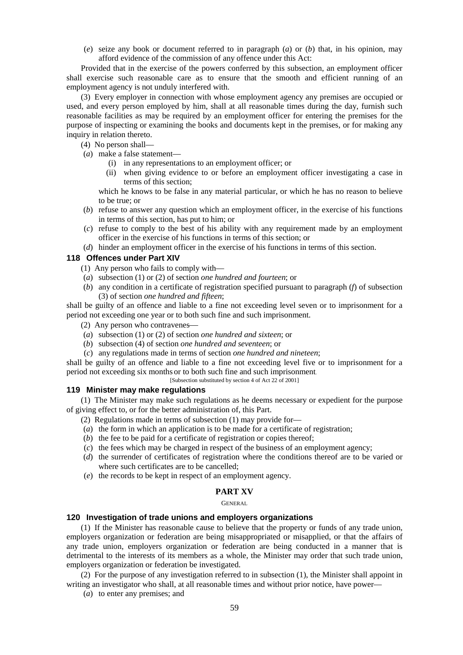(*e*) seize any book or document referred to in paragraph (*a*) or (*b*) that, in his opinion, may afford evidence of the commission of any offence under this Act:

Provided that in the exercise of the powers conferred by this subsection, an employment officer shall exercise such reasonable care as to ensure that the smooth and efficient running of an employment agency is not unduly interfered with.

(3) Every employer in connection with whose employment agency any premises are occupied or used, and every person employed by him, shall at all reasonable times during the day, furnish such reasonable facilities as may be required by an employment officer for entering the premises for the purpose of inspecting or examining the books and documents kept in the premises, or for making any inquiry in relation thereto.

(4) No person shall—

- (*a*) make a false statement—
	- (i) in any representations to an employment officer; or
	- (ii) when giving evidence to or before an employment officer investigating a case in terms of this section;

which he knows to be false in any material particular, or which he has no reason to believe to be true; or

- (*b*) refuse to answer any question which an employment officer, in the exercise of his functions in terms of this section, has put to him; or
- (*c*) refuse to comply to the best of his ability with any requirement made by an employment officer in the exercise of his functions in terms of this section; or
- (*d*) hinder an employment officer in the exercise of his functions in terms of this section.

### **118 Offences under Part XIV**

- (1) Any person who fails to comply with—
- (*a*) subsection (1) or (2) of section *one hundred and fourteen*; or
- (*b*) any condition in a certificate of registration specified pursuant to paragraph (*f*)of subsection (3) of section *one hundred and fifteen*;

shall be guilty of an offence and liable to a fine not exceeding level seven or to imprisonment for a period not exceeding one year or to both such fine and such imprisonment.

- (2) Any person who contravenes
- (*a*) subsection (1) or (2) of section *one hundred and sixteen*; or
- (*b*) subsection (4) of section *one hundred and seventeen*; or
- (*c*) any regulations made in terms of section *one hundred and nineteen*;

shall be guilty of an offence and liable to a fine not exceeding level five or to imprisonment for a period not exceeding six months or to both such fine and such imprisonment.

[Subsection substituted by section 4 of Act 22 of 2001]

# **119 Minister may make regulations**

(1) The Minister may make such regulations as he deems necessary or expedient for the purpose of giving effect to, or for the better administration of, this Part.

- (2) Regulations made in terms of subsection (1) may provide for—
- (*a*) the form in which an application is to be made for a certificate of registration;
- (*b*) the fee to be paid for a certificate of registration or copies thereof;
- (*c*) the fees which may be charged in respect of the business of an employment agency;
- (*d*) the surrender of certificates of registration where the conditions thereof are to be varied or where such certificates are to be cancelled;
- (*e*) the records to be kept in respect of an employment agency.

# **PART XV**

#### GENERAL

### **120 Investigation of trade unions and employers organizations**

(1) If the Minister has reasonable cause to believe that the property or funds of any trade union, employers organization or federation are being misappropriated or misapplied, or that the affairs of any trade union, employers organization or federation are being conducted in a manner that is detrimental to the interests of its members as a whole, the Minister may order that such trade union, employers organization or federation be investigated.

(2) For the purpose of any investigation referred to in subsection (1), the Minister shall appoint in writing an investigator who shall, at all reasonable times and without prior notice, have power—

(*a*) to enter any premises; and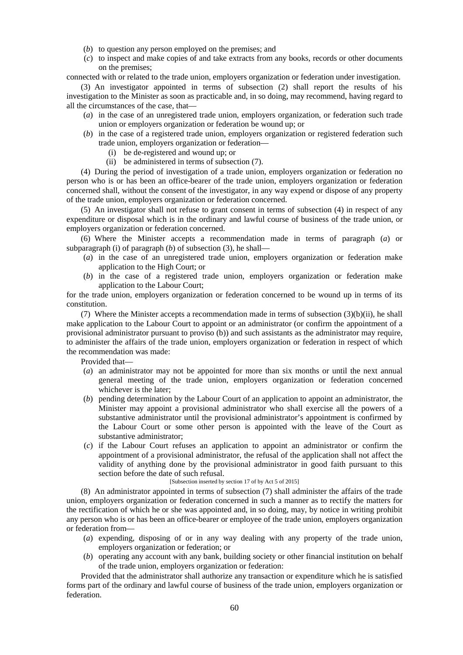- (*b*) to question any person employed on the premises; and
- (*c*) to inspect and make copies of and take extracts from any books, records or other documents on the premises;

connected with or related to the trade union, employers organization or federation under investigation.

(3) An investigator appointed in terms of subsection (2) shall report the results of his investigation to the Minister as soon as practicable and, in so doing, may recommend, having regard to all the circumstances of the case, that—

- (*a*) in the case of an unregistered trade union, employers organization, or federation such trade union or employers organization or federation be wound up; or
- (*b*) in the case of a registered trade union, employers organization or registered federation such trade union, employers organization or federation—
	- (i) be de-registered and wound up; or
	- (ii) be administered in terms of subsection (7).

(4) During the period of investigation of a trade union, employers organization or federation no person who is or has been an office-bearer of the trade union, employers organization or federation concerned shall, without the consent of the investigator, in any way expend or dispose of any property of the trade union, employers organization or federation concerned.

(5) An investigator shall not refuse to grant consent in terms of subsection (4) in respect of any expenditure or disposal which is in the ordinary and lawful course of business of the trade union, or employers organization or federation concerned.

(6) Where the Minister accepts a recommendation made in terms of paragraph (*a*) or subparagraph (i) of paragraph  $(b)$  of subsection (3), he shall—

- (*a*) in the case of an unregistered trade union, employers organization or federation make application to the High Court; or
- (*b*) in the case of a registered trade union, employers organization or federation make application to the Labour Court;

for the trade union, employers organization or federation concerned to be wound up in terms of its constitution.

(7) Where the Minister accepts a recommendation made in terms of subsection (3)(b)(ii), he shall make application to the Labour Court to appoint or an administrator (or confirm the appointment of a provisional administrator pursuant to proviso (b)) and such assistants as the administrator may require, to administer the affairs of the trade union, employers organization or federation in respect of which the recommendation was made:

Provided that—

- (*a*) an administrator may not be appointed for more than six months or until the next annual general meeting of the trade union, employers organization or federation concerned whichever is the later;
- (*b*) pending determination by the Labour Court of an application to appoint an administrator, the Minister may appoint a provisional administrator who shall exercise all the powers of a substantive administrator until the provisional administrator's appointment is confirmed by the Labour Court or some other person is appointed with the leave of the Court as substantive administrator;
- (*c*) if the Labour Court refuses an application to appoint an administrator or confirm the appointment of a provisional administrator, the refusal of the application shall not affect the validity of anything done by the provisional administrator in good faith pursuant to this section before the date of such refusal.

### [Subsection inserted by section 17 of by Act 5 of 2015]

(8) An administrator appointed in terms of subsection (7) shall administer the affairs of the trade union, employers organization or federation concerned in such a manner as to rectify the matters for the rectification of which he or she was appointed and, in so doing, may, by notice in writing prohibit any person who is or has been an office-bearer or employee of the trade union, employers organization or federation from—

- (*a*) expending, disposing of or in any way dealing with any property of the trade union, employers organization or federation; or
- (*b*) operating any account with any bank, building society or other financial institution on behalf of the trade union, employers organization or federation:

Provided that the administrator shall authorize any transaction or expenditure which he is satisfied forms part of the ordinary and lawful course of business of the trade union, employers organization or federation.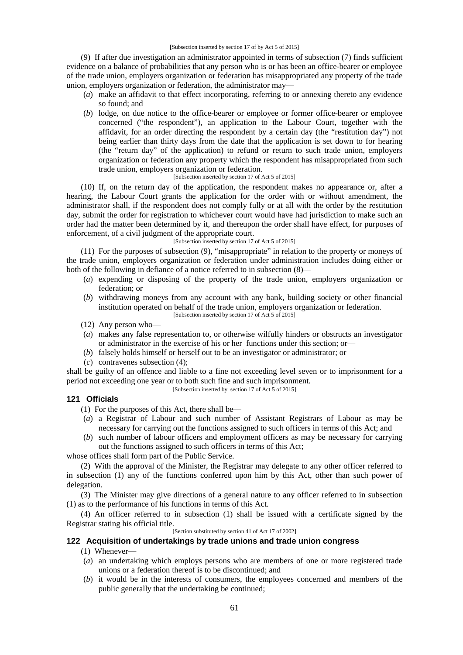#### [Subsection inserted by section 17 of by Act 5 of 2015]

(9) If after due investigation an administrator appointed in terms of subsection (7) finds sufficient evidence on a balance of probabilities that any person who is or has been an office-bearer or employee of the trade union, employers organization or federation has misappropriated any property of the trade union, employers organization or federation, the administrator may—

- (*a*) make an affidavit to that effect incorporating, referring to or annexing thereto any evidence so found; and
- (*b*) lodge, on due notice to the office-bearer or employee or former office-bearer or employee concerned ("the respondent"), an application to the Labour Court, together with the affidavit, for an order directing the respondent by a certain day (the "restitution day") not being earlier than thirty days from the date that the application is set down to for hearing (the "return day" of the application) to refund or return to such trade union, employers organization or federation any property which the respondent has misappropriated from such trade union, employers organization or federation.

#### [Subsection inserted by section 17 of Act 5 of 2015]

(10) If, on the return day of the application, the respondent makes no appearance or, after a hearing, the Labour Court grants the application for the order with or without amendment, the administrator shall, if the respondent does not comply fully or at all with the order by the restitution day, submit the order for registration to whichever court would have had jurisdiction to make such an order had the matter been determined by it, and thereupon the order shall have effect, for purposes of enforcement, of a civil judgment of the appropriate court.

[Subsection inserted by section 17 of Act 5 of 2015]

(11) For the purposes of subsection (9), "misappropriate" in relation to the property or moneys of the trade union, employers organization or federation under administration includes doing either or both of the following in defiance of a notice referred to in subsection (8)—

- (*a*) expending or disposing of the property of the trade union, employers organization or federation; or
- (*b*) withdrawing moneys from any account with any bank, building society or other financial institution operated on behalf of the trade union, employers organization or federation. [Subsection inserted by section 17 of Act 5 of 2015]
- (12) Any person who—
- (*a*) makes any false representation to, or otherwise wilfully hinders or obstructs an investigator or administrator in the exercise of his or her functions under this section; or—
- (*b*) falsely holds himself or herself out to be an investigator or administrator; or
- (*c*) contravenes subsection (4);

shall be guilty of an offence and liable to a fine not exceeding level seven or to imprisonment for a period not exceeding one year or to both such fine and such imprisonment.

[Subsection inserted by section 17 of Act 5 of 2015]

### **121 Officials**

(1) For the purposes of this Act, there shall be—

- (*a*) a Registrar of Labour and such number of Assistant Registrars of Labour as may be necessary for carrying out the functions assigned to such officers in terms of this Act; and
- (*b*) such number of labour officers and employment officers as may be necessary for carrying out the functions assigned to such officers in terms of this Act;

whose offices shall form part of the Public Service.

(2) With the approval of the Minister, the Registrar may delegate to any other officer referred to in subsection (1) any of the functions conferred upon him by this Act, other than such power of delegation.

(3) The Minister may give directions of a general nature to any officer referred to in subsection (1) as to the performance of his functions in terms of this Act.

(4) An officer referred to in subsection (1) shall be issued with a certificate signed by the Registrar stating his official title.

[Section substituted by section 41 of Act 17 of 2002]

# **122 Acquisition of undertakings by trade unions and trade union congress**

(1) Whenever—

- (*a*) an undertaking which employs persons who are members of one or more registered trade unions or a federation thereof is to be discontinued; and
- (*b*) it would be in the interests of consumers, the employees concerned and members of the public generally that the undertaking be continued;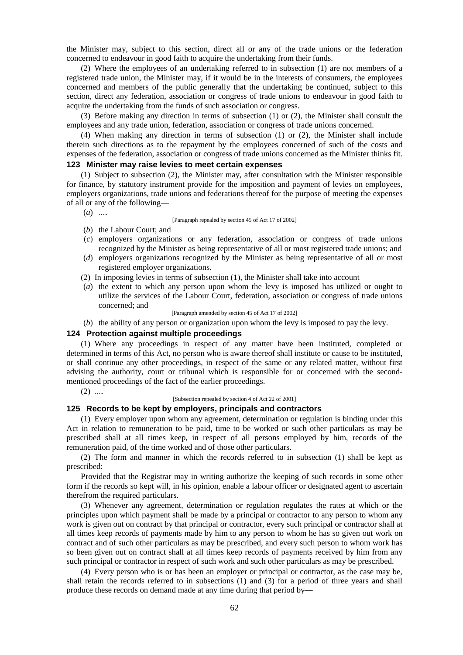the Minister may, subject to this section, direct all or any of the trade unions or the federation concerned to endeavour in good faith to acquire the undertaking from their funds.

(2) Where the employees of an undertaking referred to in subsection (1) are not members of a registered trade union, the Minister may, if it would be in the interests of consumers, the employees concerned and members of the public generally that the undertaking be continued, subject to this section, direct any federation, association or congress of trade unions to endeavour in good faith to acquire the undertaking from the funds of such association or congress.

(3) Before making any direction in terms of subsection (1) or (2), the Minister shall consult the employees and any trade union, federation, association or congress of trade unions concerned.

(4) When making any direction in terms of subsection (1) or (2), the Minister shall include therein such directions as to the repayment by the employees concerned of such of the costs and expenses of the federation, association or congress of trade unions concerned as the Minister thinks fit.

## **123 Minister may raise levies to meet certain expenses**

(1) Subject to subsection (2), the Minister may, after consultation with the Minister responsible for finance, by statutory instrument provide for the imposition and payment of levies on employees, employers organizations, trade unions and federations thereof for the purpose of meeting the expenses of all or any of the following—

(*a*) …..

#### [Paragraph repealed by section 45 of Act 17 of 2002]

- (*b*) the Labour Court; and
- (*c*) employers organizations or any federation, association or congress of trade unions recognized by the Minister as being representative of all or most registered trade unions; and
- (*d*) employers organizations recognized by the Minister as being representative of all or most registered employer organizations.
- (2) In imposing levies in terms of subsection (1), the Minister shall take into account—
- (*a*) the extent to which any person upon whom the levy is imposed has utilized or ought to utilize the services of the Labour Court, federation, association or congress of trade unions concerned; and

[Paragraph amended by section 45 of Act 17 of 2002]

(*b*) the ability of any person or organization upon whom the levy is imposed to pay the levy.

#### **124 Protection against multiple proceedings**

(1) Where any proceedings in respect of any matter have been instituted, completed or determined in terms of this Act, no person who is aware thereof shall institute or cause to be instituted, or shall continue any other proceedings, in respect of the same or any related matter, without first advising the authority, court or tribunal which is responsible for or concerned with the second mentioned proceedings of the fact of the earlier proceedings.

 $(2)$  …

#### [Subsection repealed by section 4 of Act 22 of 2001]

#### **125 Records to be kept by employers, principals and contractors**

(1) Every employer upon whom any agreement, determination or regulation is binding under this Act in relation to remuneration to be paid, time to be worked or such other particulars as may be prescribed shall at all times keep, in respect of all persons employed by him, records of the remuneration paid, of the time worked and of those other particulars.

(2) The form and manner in which the records referred to in subsection (1) shall be kept as prescribed:

Provided that the Registrar may in writing authorize the keeping of such records in some other form if the records so kept will, in his opinion, enable a labour officer or designated agent to ascertain therefrom the required particulars.

(3) Whenever any agreement, determination or regulation regulates the rates at which or the principles upon which payment shall be made by a principal or contractor to any person to whom any work is given out on contract by that principal or contractor, every such principal or contractor shall at all times keep records of payments made by him to any person to whom he has so given out work on contract and of such other particulars as may be prescribed, and every such person to whom work has so been given out on contract shall at all times keep records of payments received by him from any such principal or contractor in respect of such work and such other particulars as may be prescribed.

(4) Every person who is or has been an employer or principal or contractor, as the case may be, shall retain the records referred to in subsections (1) and (3) for a period of three years and shall produce these records on demand made at any time during that period by—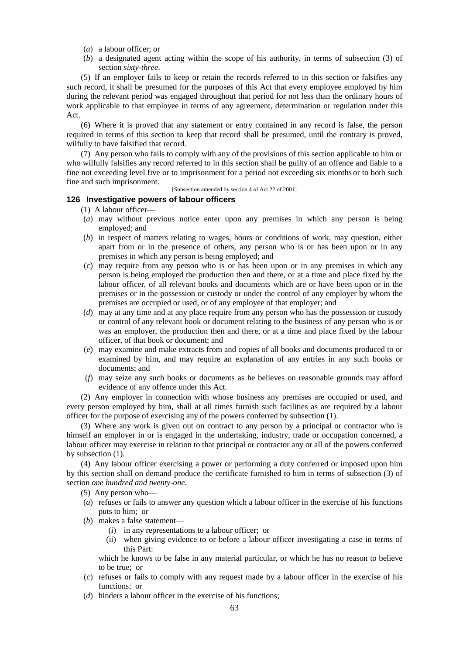- (*a*) a labour officer; or
- (*b*) a designated agent acting within the scope of his authority, in terms of subsection (3) of section *sixty-three*.

(5) If an employer fails to keep or retain the records referred to in this section or falsifies any such record, it shall be presumed for the purposes of this Act that every employee employed by him during the relevant period was engaged throughout that period for not less than the ordinary hours of work applicable to that employee in terms of any agreement, determination or regulation under this Act.

(6) Where it is proved that any statement or entry contained in any record is false, the person required in terms of this section to keep that record shall be presumed, until the contrary is proved, wilfully to have falsified that record.

(7) Any person who fails to comply with any of the provisions of this section applicable to him or who wilfully falsifies any record referred to in this section shall be guilty of an offence and liable to a fine not exceeding level five or to imprisonment for a period not exceeding six months or to both such fine and such imprisonment.

[Subsection amended by section 4 of Act 22 of 2001]

# **126 Investigative powers of labour officers**

- (1) A labour officer—
- (*a*) may without previous notice enter upon any premises in which any person is being employed; and
- (*b*) in respect of matters relating to wages, hours or conditions of work, may question, either apart from or in the presence of others, any person who is or has been upon or in any premises in which any person is being employed; and
- (*c*) may require from any person who is or has been upon or in any premises in which any person is being employed the production then and there, or at a time and place fixed by the labour officer, of all relevant books and documents which are or have been upon or in the premises or in the possession or custody or under the control of any employer by whom the premises are occupied or used, or of any employee of that employer; and
- (*d*) may at any time and at any place require from any person who has the possession or custody or control of any relevant book or document relating to the business of any person who is or was an employer, the production then and there, or at a time and place fixed by the labour officer, of that book or document; and
- (*e*) may examine and make extracts from and copies of all books and documents produced to or examined by him, and may require an explanation of any entries in any such books or documents; and
- (*f*) may seize any such books or documents as he believes on reasonable grounds may afford evidence of any offence under this Act.

(2) Any employer in connection with whose business any premises are occupied or used, and every person employed by him, shall at all times furnish such facilities as are required by a labour officer for the purpose of exercising any of the powers conferred by subsection (1).

(3) Where any work is given out on contract to any person by a principal or contractor who is himself an employer in or is engaged in the undertaking, industry, trade or occupation concerned, a labour officer may exercise in relation to that principal or contractor any or all of the powers conferred by subsection (1).

(4) Any labour officer exercising a power or performing a duty conferred or imposed upon him by this section shall on demand produce the certificate furnished to him in terms of subsection (3) of section *one hundred and twenty-one.*

- (5) Any person who—
- (*a*) refuses or fails to answer any question which a labour officer in the exercise of his functions puts to him; or
- (*b*) makes a false statement—
	- (i) in any representations to a labour officer; or
	- (ii) when giving evidence to or before a labour officer investigating a case in terms of this Part:

which he knows to be false in any material particular, or which he has no reason to believe to be true; or

- (*c*) refuses or fails to comply with any request made by a labour officer in the exercise of his functions; or
- (*d*) hinders a labour officer in the exercise of his functions;